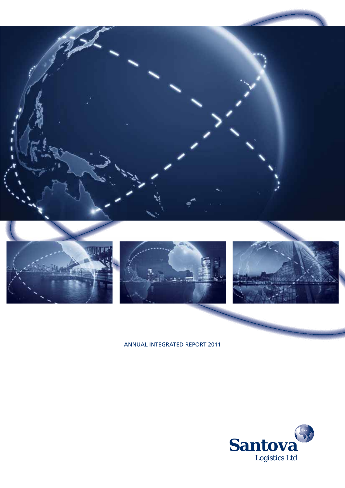

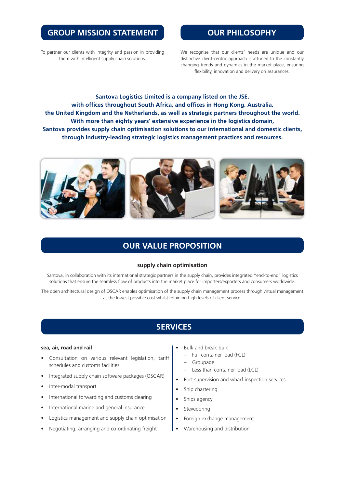# **GROUP MISSION STATEMENT**

## **OUR PHILOSOPHY**

To partner our clients with integrity and passion in providing them with intelligent supply chain solutions.

We recognise that our clients' needs are unique and our distinctive client-centric approach is attuned to the constantly changing trends and dynamics in the market place, ensuring flexibility, innovation and delivery on assurances.

**Santova Logistics Limited is a company listed on the JSE,**  with offices throughout South Africa, and offices in Hong Kong, Australia, **the United Kingdom and the Netherlands, as well as strategic partners throughout the world. With more than eighty years' extensive experience in the logistics domain, Santova provides supply chain optimisation solutions to our international and domestic clients, through industry-leading strategic logistics management practices and resources.**



## **OUR VALUE PROPOSITION**

## **supply chain optimisation**

Santova, in collaboration with its international strategic partners in the supply chain, provides integrated "end-to-end" logistics solutions that ensure the seamless flow of products into the market place for importers/exporters and consumers worldwide.

The open architectural design of OSCAR enables optimisation of the supply chain management process through virtual management at the lowest possible cost whilst retaining high levels of client service.

# **SERVICES**

## **sea, air, road and rail**

- Consultation on various relevant legislation, tariff schedules and customs facilities
- Integrated supply chain software packages (OSCAR)
- Inter-modal transport
- International forwarding and customs clearing
- International marine and general insurance
- Logistics management and supply chain optimisation
- Negotiating, arranging and co-ordinating freight
- Bulk and break bulk
	- Full container load (FCL)
	- Groupage
	- Less than container load (LCL)
- Port supervision and wharf inspection services
- Ship chartering
- Ships agency
- Stevedoring
- Foreign exchange management
- Warehousing and distribution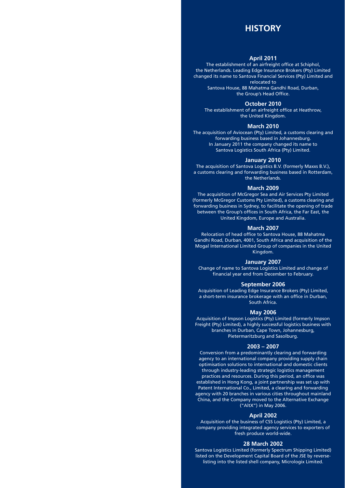## **HISTORY**

## **April 2011**

The establishment of an airfreight office at Schiphol, the Netherlands. Leading Edge Insurance Brokers (Pty) Limited changed its name to Santova Financial Services (Pty) Limited and relocated to Santova House, 88 Mahatma Gandhi Road, Durban, the Group's Head Office.

#### **October 2010**

The establishment of an airfreight office at Heathrow, the United Kingdom.

## **March 2010**

The acquisition of Aviocean (Pty) Limited, a customs clearing and forwarding business based in Johannesburg. In January 2011 the company changed its name to Santova Logistics South Africa (Pty) Limited.

## **January 2010**

The acquisition of Santova Logistics B.V. (formerly Maxxs B.V.), a customs clearing and forwarding business based in Rotterdam, the Netherlands.

#### **March 2009**

The acquisition of McGregor Sea and Air Services Pty Limited (formerly McGregor Customs Pty Limited), a customs clearing and forwarding business in Sydney, to facilitate the opening of trade between the Group's offices in South Africa, the Far East, the United Kingdom, Europe and Australia.

#### **March 2007**

Relocation of head office to Santova House, 88 Mahatma Gandhi Road, Durban, 4001, South Africa and acquisition of the Mogal International Limited Group of companies in the United Kingdom.

## **January 2007**

Change of name to Santova Logistics Limited and change of financial year end from December to February.

#### **September 2006**

Acquisition of Leading Edge Insurance Brokers (Pty) Limited, a short-term insurance brokerage with an office in Durban. South Africa.

## **May 2006**

Acquisition of Impson Logistics (Pty) Limited (formerly Impson Freight (Pty) Limited), a highly successful logistics business with branches in Durban, Cape Town, Johannesburg, Pietermaritzburg and Sasolburg.

### **2003 – 2007**

Conversion from a predominantly clearing and forwarding agency to an international company providing supply chain optimisation solutions to international and domestic clients through industry-leading strategic logistics management practices and resources. During this period, an office was established in Hong Kong, a joint partnership was set up with Patent International Co., Limited, a clearing and forwarding agency with 20 branches in various cities throughout mainland China, and the Company moved to the Alternative Exchange ("AltX") in May 2006.

### **April 2002**

Acquisition of the business of CSS Logistics (Pty) Limited, a company providing integrated agency services to exporters of fresh produce world-wide.

## **28 March 2002**

Santova Logistics Limited (formerly Spectrum Shipping Limited) listed on the Development Capital Board of the JSE by reverselisting into the listed shell company, Micrologix Limited.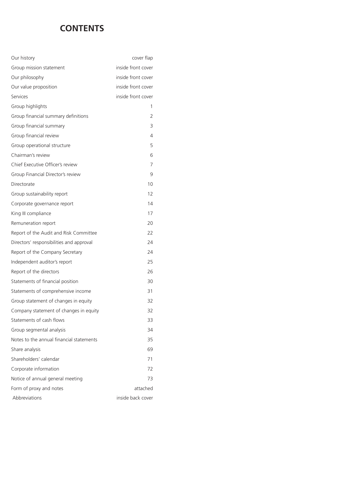# **CONTENTS**

| Our history                              | cover flap         |
|------------------------------------------|--------------------|
| Group mission statement                  | inside front cover |
| Our philosophy                           | inside front cover |
| Our value proposition                    | inside front cover |
| Services                                 | inside front cover |
| Group highlights                         | 1                  |
| Group financial summary definitions      | 2                  |
| Group financial summary                  | 3                  |
| Group financial review                   | 4                  |
| Group operational structure              | 5                  |
| Chairman's review                        | 6                  |
| Chief Executive Officer's review         | 7                  |
| Group Financial Director's review        | 9                  |
| Directorate                              | 10                 |
| Group sustainability report              | 12                 |
| Corporate governance report              | 14                 |
| King III compliance                      | 17                 |
| Remuneration report                      | 20                 |
| Report of the Audit and Risk Committee   | 22                 |
| Directors' responsibilities and approval | 24                 |
| Report of the Company Secretary          | 24                 |
| Independent auditor's report             | 25                 |
| Report of the directors                  | 26                 |
| Statements of financial position         | 30                 |
| Statements of comprehensive income       | 31                 |
| Group statement of changes in equity     | 32                 |
| Company statement of changes in equity   | 32                 |
| Statements of cash flows                 | 33                 |
| Group segmental analysis                 | 34                 |
| Notes to the annual financial statements | 35                 |
| Share analysis                           | 69                 |
| Shareholders' calendar                   | 71                 |
| Corporate information                    | 72                 |
| Notice of annual general meeting         | 73                 |
| Form of proxy and notes                  | attached           |
| Abbreviations                            | inside back cover  |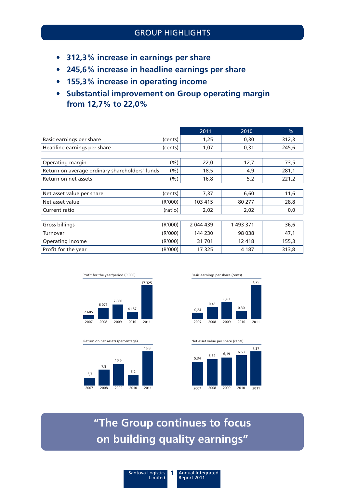- **312,3% increase in earnings per share**
- **245,6% increase in headline earnings per share**
- **155,3% increase in operating income**
- **Substantial improvement on Group operating margin from 12,7% to 22,0%**

|                                                |         | 2011      | 2010      | $\frac{0}{0}$ |
|------------------------------------------------|---------|-----------|-----------|---------------|
| Basic earnings per share                       | (cents) | 1,25      | 0,30      | 312,3         |
| Headline earnings per share                    | (cents) | 1,07      | 0,31      | 245,6         |
|                                                |         |           |           |               |
| Operating margin                               | (%)     | 22,0      | 12,7      | 73,5          |
| Return on average ordinary shareholders' funds | (%)     | 18,5      | 4,9       | 281,1         |
| Return on net assets                           | $(\% )$ | 16,8      | 5,2       | 221,2         |
|                                                |         |           |           |               |
| Net asset value per share                      | (cents) | 7,37      | 6,60      | 11,6          |
| Net asset value                                | (R'000) | 103 415   | 80 277    | 28,8          |
| Current ratio                                  | (ratio) | 2,02      | 2,02      | 0,0           |
|                                                |         |           |           |               |
| Gross billings                                 | (R'000) | 2 044 439 | 1 493 371 | 36,6          |
| Turnover                                       | (R'000) | 144 230   | 98 038    | 47,1          |
| Operating income                               | (R'000) | 31 701    | 12418     | 155,3         |
| Profit for the year                            | (R'000) | 17 325    | 4 1 8 7   | 313,8         |









**"The Group continues to focus on building quality earnings"**

> Santova Logistics **1** Limited

Annual Integrated Report 2011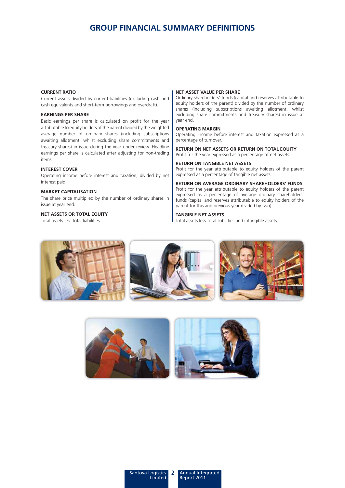## **GROUP FINANCIAL SUMMARY DEFINITIONS**

## **CURRENT RATIO**

Current assets divided by current liabilities (excluding cash and cash equivalents and short-term borrowings and overdraft).

#### **EARNINGS PER SHARE**

Basic earnings per share is calculated on profit for the year attributable to equity holders of the parent divided by the weighted average number of ordinary shares (including subscriptions awaiting allotment, whilst excluding share commitments and treasury shares) in issue during the year under review. Headline earnings per share is calculated after adjusting for non-trading items.

### **INTEREST COVER**

Operating income before interest and taxation, divided by net interest paid.

#### **MARKET CAPITALISATION**

The share price multiplied by the number of ordinary shares in issue at year end.

## **NET ASSETS OR TOTAL EQUITY**

Total assets less total liabilities.

### **NET ASSET VALUE PER SHARE**

Ordinary shareholders' funds (capital and reserves attributable to equity holders of the parent) divided by the number of ordinary shares (including subscriptions awaiting allotment, whilst excluding share commitments and treasury shares) in issue at year end.

## **OPERATING MARGIN**

Operating income before interest and taxation expressed as a percentage of turnover.

**RETURN ON NET ASSETS OR RETURN ON TOTAL EQUITY** Profit for the year expressed as a percentage of net assets.

## **RETURN ON TANGIBLE NET ASSETS**

Profit for the year attributable to equity holders of the parent expressed as a percentage of tangible net assets.

**RETURN ON AVERAGE ORDINARY SHAREHOLDERS' FUNDS** Profit for the year attributable to equity holders of the parent expressed as a percentage of average ordinary shareholders' funds (capital and reserves attributable to equity holders of the parent for this and previous year divided by two).

## **TANGIBLE NET ASSETS**

Total assets less total liabilities and intangible assets.



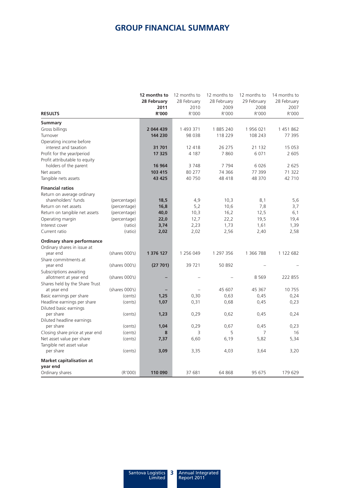# **GROUP FINANCIAL SUMMARY**

|                                                                 | 12 months to     | 12 months to      | 12 months to   | 12 months to   | 14 months to     |
|-----------------------------------------------------------------|------------------|-------------------|----------------|----------------|------------------|
|                                                                 | 28 February      | 28 February       | 28 February    | 29 February    | 28 February      |
| <b>RESULTS</b>                                                  | 2011<br>R'000    | 2010<br>R'000     | 2009<br>R'000  | 2008<br>R'000  | 2007<br>R'000    |
|                                                                 |                  |                   |                |                |                  |
| <b>Summary</b>                                                  |                  |                   |                |                |                  |
| Gross billings                                                  | 2 044 439        | 1 493 371         | 1885 240       | 1956021        | 1451862          |
| Turnover                                                        | 144 230          | 98 0 38           | 118 229        | 108 243        | 77 395           |
| Operating income before                                         |                  |                   |                |                |                  |
| interest and taxation                                           | 31 701<br>17 325 | 12 418<br>4 1 8 7 | 26 275<br>7860 | 21 132<br>6071 | 15 0 53<br>2 605 |
| Profit for the year/period                                      |                  |                   |                |                |                  |
| Profit attributable to equity<br>holders of the parent          | 16 964           | 3748              | 7 7 9 4        | 6026           | 2 6 2 5          |
| Net assets                                                      | 103 415          | 80 277            | 74 366         | 77 399         | 71 322           |
| Tangible nets assets                                            | 43 4 25          | 40 750            | 48 418         | 48 370         | 42 710           |
|                                                                 |                  |                   |                |                |                  |
| <b>Financial ratios</b>                                         |                  |                   |                |                |                  |
| Return on average ordinary                                      |                  |                   |                |                |                  |
| shareholders' funds<br>(percentage)                             | 18,5             | 4,9               | 10,3           | 8,1            | 5,6              |
| (percentage)<br>Return on net assets                            | 16,8             | 5,2               | 10,6           | 7,8            | 3,7              |
| Return on tangible net assets<br>(percentage)                   | 40,0             | 10,3              | 16,2           | 12,5           | 6,1              |
| (percentage)<br>Operating margin                                | 22,0             | 12,7              | 22,2           | 19,5           | 19,4             |
| Interest cover<br>(ratio)                                       | 3,74             | 2,23              | 1,73           | 1,61           | 1,39             |
| Current ratio<br>(ratio)                                        | 2,02             | 2,02              | 2,56           | 2,40           | 2,58             |
| <b>Ordinary share performance</b>                               |                  |                   |                |                |                  |
| Ordinary shares in issue at                                     |                  |                   |                |                |                  |
| (shares 000's)<br>year end                                      | 1 376 127        | 1 256 049         | 1 297 356      | 1 366 788      | 1 122 682        |
| Share commitments at                                            |                  |                   |                |                |                  |
| (shares 000's)<br>year end                                      | (27701)          | 39721             | 50 892         |                |                  |
| Subscriptions awaiting                                          |                  |                   |                |                |                  |
| allotment at year end<br>(shares 000's)                         |                  |                   |                | 8 5 6 9        | 222 855          |
| Shares held by the Share Trust<br>(shares 000's)<br>at year end |                  |                   | 45 607         | 45 367         | 10 755           |
| Basic earnings per share<br>(cents)                             | 1,25             | 0,30              | 0,63           | 0,45           | 0,24             |
| Headline earnings per share<br>(cents)                          | 1,07             | 0,31              | 0,68           | 0,45           | 0,23             |
| Diluted basic earnings                                          |                  |                   |                |                |                  |
| per share<br>(cents)                                            | 1,23             | 0,29              | 0,62           | 0,45           | 0,24             |
| Diluted headline earnings                                       |                  |                   |                |                |                  |
| (cents)<br>per share                                            | 1,04             | 0,29              | 0,67           | 0,45           | 0,23             |
| Closing share price at year end<br>(cents)                      | 8                | 3                 | 5              | 7              | 16               |
| Net asset value per share<br>(cents)                            | 7,37             | 6,60              | 6,19           | 5,82           | 5,34             |
| Tangible net asset value                                        |                  |                   |                |                |                  |
| per share<br>(cents)                                            | 3,09             | 3,35              | 4,03           | 3,64           | 3,20             |
| <b>Market capitalisation at</b>                                 |                  |                   |                |                |                  |
| year end                                                        |                  |                   |                |                |                  |
| Ordinary shares<br>(R'000)                                      | 110 090          | 37 681            | 64 868         | 95 675         | 179 629          |

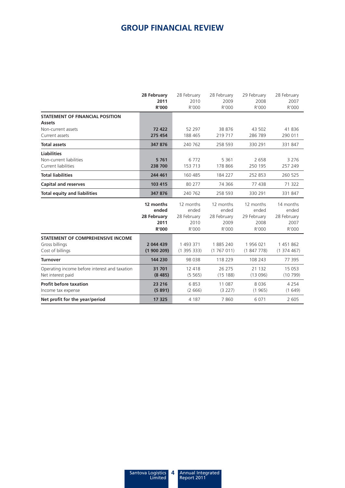# **GROUP FINANCIAL REVIEW**

|                                               | 28 February   | 28 February   | 28 February   | 29 February   | 28 February   |
|-----------------------------------------------|---------------|---------------|---------------|---------------|---------------|
|                                               | 2011<br>R'000 | 2010<br>R'000 | 2009<br>R'000 | 2008<br>R'000 | 2007<br>R'000 |
| <b>STATEMENT OF FINANCIAL POSITION</b>        |               |               |               |               |               |
| <b>Assets</b>                                 |               |               |               |               |               |
| Non-current assets                            | 72 422        | 52 297        | 38 876        | 43 502        | 41836         |
| Current assets                                | 275 454       | 188 465       | 219 717       | 286 789       | 290 011       |
| <b>Total assets</b>                           | 347 876       | 240 762       | 258 593       | 330 291       | 331 847       |
| <b>Liabilities</b>                            |               |               |               |               |               |
| Non-current liabilities                       | 5 7 6 1       | 6772          | 5 3 6 1       | 2658          | 3 2 7 6       |
| Current liabilities                           | 238 700       | 153 713       | 178 866       | 250 195       | 257 249       |
| <b>Total liabilities</b>                      | 244 461       | 160 485       | 184 227       | 252 853       | 260 525       |
| <b>Capital and reserves</b>                   | 103 415       | 80 277        | 74 366        | 77438         | 71 322        |
| <b>Total equity and liabilities</b>           | 347 876       | 240 762       | 258 593       | 330 291       | 331 847       |
|                                               | 12 months     | 12 months     | 12 months     | 12 months     | 14 months     |
|                                               | ended         | ended         | ended         | ended         | ended         |
|                                               | 28 February   | 28 February   | 28 February   | 29 February   | 28 February   |
|                                               | 2011          | 2010          | 2009          | 2008          | 2007          |
|                                               | R'000         | R'000         | R'000         | R'000         | R'000         |
| <b>STATEMENT OF COMPREHENSIVE INCOME</b>      |               |               |               |               |               |
| Gross billings                                | 2 044 439     | 1 493 371     | 1885 240      | 1956021       | 1 451 862     |
| Cost of billings                              | (1900209)     | (139533)      | (1767011)     | (1847778)     | (1374467)     |
| <b>Turnover</b>                               | 144 230       | 98 0 38       | 118 229       | 108 243       | 77 395        |
| Operating income before interest and taxation | 31 701        | 12 4 18       | 26 275        | 21 1 32       | 15 0 53       |
| Net interest paid                             | (8485)        | (5565)        | (15 188)      | (13096)       | (10799)       |
| <b>Profit before taxation</b>                 | 23 216        | 6853          | 11 087        | 8036          | 4 2 5 4       |
| Income tax expense                            | (5891)        | (2666)        | (3 227)       | (1965)        | (1649)        |
| Net profit for the year/period                | 17 325        | 4 1 8 7       | 7860          | 6 0 7 1       | 2 605         |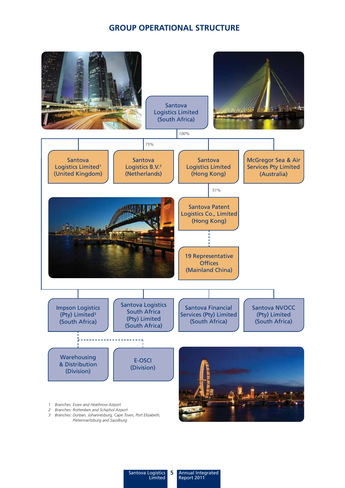## **GROUP OPERATIONAL STRUCTURE**



*3 Branches: Durban, Johannesburg, Cape Town, Port Elizabeth, Pietermaritzburg and Sasolburg*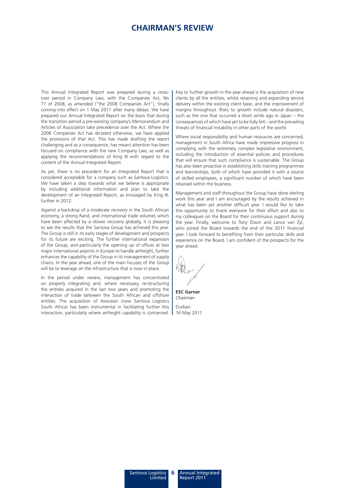## **CHAIRMAN'S REVIEW**

This Annual Integrated Report was prepared during a crossover period in Company Law, with the Companies Act, No 71 of 2008, as amended ("the 2008 Companies Act"), finally coming into effect on 1 May 2011 after many delays. We have prepared our Annual Integrated Report on the basis that during the transition period a pre-existing company's Memorandum and Articles of Association take precedence over the Act. Where the 2008 Companies Act has dictated otherwise, we have applied the provisions of that Act. This has made drafting the report challenging and as a consequence, has meant attention has been focused on compliance with the new Company Law, as well as applying the recommendations of King III with regard to the content of the Annual Integrated Report.

As yet, there is no precedent for an Integrated Report that is considered acceptable for a company such as Santova Logistics. We have taken a step towards what we believe is appropriate by including additional information and plan to take the development of an Integrated Report, as envisaged by King III, further in 2012.

Against a backdrop of a moderate recovery in the South African economy, a strong Rand, and international trade volumes which have been affected by a slower recovery globally, it is pleasing to see the results that the Santova Group has achieved this year. The Group is still in its early stages of development and prospects for its future are exciting. The further international expansion of the Group, and particularly the opening up of offices at two major international airports in Europe to handle airfreight, further enhances the capability of the Group in its management of supply chains. In the year ahead, one of the main focuses of the Group will be to leverage on the infrastructure that is now in place.

In the period under review, management has concentrated on properly integrating and, where necessary, re-structuring the entities acquired in the last two years and promoting the interaction of trade between the South African and offshore entities. The acquisition of Aviocean (now Santova Logistics South Africa) has been instrumental in facilitating further this interaction, particularly where airfreight capability is concerned.

Key to further growth in the year ahead is the acquisition of new clients by all the entities, whilst retaining and expanding service delivery within the existing client base, and the improvement of margins throughout. Risks to growth include natural disasters, such as the one that occurred a short while ago in Japan – the consequences of which have yet to be fully felt – and the prevailing threats of financial instability in other parts of the world.

Where social responsibility and human resources are concerned, management in South Africa have made impressive progress in complying with the extremely complex legislative environment, including the introduction of essential policies and procedures that will ensure that such compliance is sustainable. The Group has also been proactive in establishing skills training programmes and learnerships, both of which have provided it with a source of skilled employees, a significant number of which have been retained within the business.

Management and staff throughout the Group have done sterling work this year and I am encouraged by the results achieved in what has been yet another difficult year. I would like to take this opportunity to thank everyone for their effort and also to my colleagues on the Board for their continuous support during the year. Finally, welcome to Tony Dixon and Lance van Zyl, who joined the Board towards the end of the 2011 financial year. I look forward to benefiting from their particular skills and experience on the Board. I am confident of the prospects for the year ahead.

**ESC Garner** *Chairman* Durban 16 May 2011

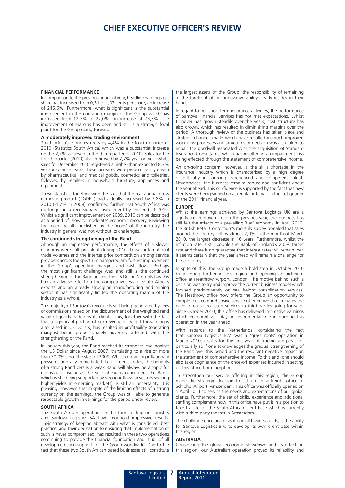## **CHIEF EXECUTIVE OFFICER'S REVIEW**

#### **FINANCIAL PERFORMANCE**

In comparison to the previous financial year, headline earnings per share has increased from 0,31 to 1,07 cents per share, an increase of 245,6%. Furthermore, what is significant is the substantial improvement in the operating margin of the Group which has increased from 12,7% to 22,0%, an increase of 73,5%. The improvement of margins has been and still is a strategic focal point for the Group going forward.

## **A moderately improved trading environment**

South Africa's economy grew by 4,4% in the fourth quarter of 2010 (Statistics South Africa) which was a substantial increase on the 2,7% achieved in the third quarter of 2010. Sales for the fourth quarter (2010) also improved by 7,7% year-on-year whilst sales for December 2010 registered a higher-than-expected 8,3% year-on-year increase. These increases were predominantly driven by pharmaceutical and medical goods, cosmetics and toiletries, followed by retailers in household furniture, appliances and equipment.

These statistics, together with the fact that the real annual gross domestic product ("GDP") had actually increased by 2,8% in 2010 (-1.7% in 2009), confirmed further that South Africa was no longer in a recessionary environment by the end of 2010. Whilst a significant improvement on 2009, 2010 can be described as a period of 'slow to moderate' economic recovery. Reviewing the recent results published by the 'icons' of the industry, the industry in general was not without its challenges.

## **The continued strengthening of the Rand**

Although an impressive performance, the effects of a slower economy were still prevalent during 2010. Lower international trade volumes and the intense price competition among service providers across the spectrum hampered any further improvement in the Group's operating margins and cash flows. Perhaps the most significant challenge was, and still is, the continued strengthening of the Rand against the US Dollar. Not only has this had an adverse effect on the competitiveness of South Africa's exports and an already struggling manufacturing and mining sector, it has significantly limited the operating margin of the industry as a whole.

The majority of Santova's revenue is still being generated by fees or commissions raised on the disbursement of the weighted rand value of goods traded by its clients. This, together with the fact that a significant portion of our revenue in freight forwarding is also raised in US Dollars, has resulted in profitability (operating margins) being proportionately adversely affected with the strengthening of the Rand.

In January this year, the Rand reached its strongest level against the US Dollar since August 2007, translating to a rise of more than 30,0% since the start of 2009. Whilst containing inflationary pressures and any immediate hike in interest rates, the benefits of a strong Rand versus a weak Rand will always be a topic for discussion. Insofar as the year ahead is concerned, the Rand, which is still being supported by strong inflows (investors seeking higher yields in emerging markets), is still an uncertainty. It is pleasing, however, that in spite of the limiting effects of a strong currency on the earnings, the Group was still able to generate respectable growth in earnings for the period under review.

## **SOUTH AFRICA**

The South African operations in the form of Impson Logistics and Santova Logistics SA have produced impressive results. Their strategy of keeping abreast with what is considered 'best practice' and their dedication to ensuring that implementation of such is never compromised, has resulted in these two operations continuing to provide the financial foundation and 'hub' of all development and support for the Group worldwide. Due to the fact that these two South African based businesses still constitute the largest assets of the Group, the responsibility of remaining at the forefront of our innovative ability clearly resides in their hands.

In regard to our short-term insurance activities, the performance of Santova Financial Services has not met expectations. Whilst turnover has grown steadily over the years, cost structure has also grown, which has resulted in diminishing margins over the period. A thorough review of the business has taken place and strategic changes made which have resulted in much improved work flow processes and structures. A decision was also taken to impair the goodwill associated with the acquisition of Standard Insurance Consultants, which has resulted in an impairment loss being effected through the statement of comprehensive income.

An on-going concern, however, is the skills shortage in the insurance industry which is characterised by a high degree of difficulty in sourcing experienced and competent talent. Nevertheless, the business remains robust and confident about the year ahead. This confidence is supported by the fact that new clients were being signed on at regular intervals in the last quarter of the 2011 financial year.

### **EUROPE**

Whilst the earnings achieved by Santova Logistics UK are a significant improvement on the previous year, the business has still felt the effects of a prevailing 'flat' economy. In April 2010, the British Retail Consortium's monthly survey revealed that sales around the country fell by almost 2,0% in the month of March 2010, the largest decrease in 16 years. Furthermore, whilst the inflation rate is still double the Bank of England's 2,0% target rate and there is no guarantee that interest rates will remain low, it seems certain that the year ahead will remain a challenge for the economy.

In spite of this, the Group made a bold step in October 2010 by investing further in this region and opening an airfreight office at Heathrow Airport, London. The motive behind such a decision was to try and improve the current business model which focused predominantly on sea freight consolidation services. The Heathrow office now offers the Group an opportunity to complete its comprehensive service offering which eliminates the need to outsource such services to third parties going forward. Since October 2010, this office has delivered impressive earnings which no doubt will play an instrumental role in building this operation in the year ahead.

With regards to the Netherlands, considering the fact that Santova Logistics B.V. was a 'grass roots' operation in March 2010, results for the first year of trading are pleasing; particularly so if one acknowledges the gradual strengthening of the Rand over this period and the resultant negative impact on the statement of comprehensive income. To this end, one should also take cognisance of the once-off expenses incurred in setting up this office from inception.

To strengthen our service offering in this region, the Group made the strategic decision to set up an airfreight office at Schiphol Airport, Amsterdam. This office was officially opened on 1 April 2011 to service the needs and expectations of our global clients. Furthermore, the set of skills, experience and additional staffing complement now in this office have put it in a position to take transfer of the South African client base which is currently with a third party (agent) in Amsterdam.

The challenge once again, as it is in all business units, is the ability for Santova Logistics B.V. to develop its own client base within this region.

### **AUSTRALIA**

Considering the global economic slowdown and its effect on this region, our Australian operation proved its reliability and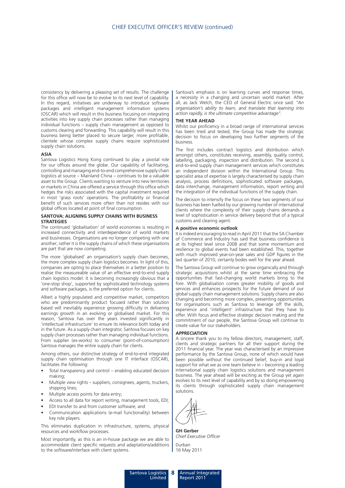consistency by delivering a pleasing set of results. The challenge for this office will now be to evolve to its next level of capability. In this regard, initiatives are underway to introduce software packages and intelligent management information systems (OSCAR) which will result in this business focusing on integrating activities into key supply chain processes rather than managing individual functions – supply chain management as opposed to customs clearing and forwarding. This capability will result in this business being better placed to secure larger, more profitable, clientele whose complex supply chains require sophisticated supply chain solutions.

#### **ASIA**

Santova Logistics Hong Kong continued to play a pivotal role for our offices around the globe. Our capability of facilitating, controlling and managing end-to-end comprehensive supply chain logistics at source – Mainland China – continues to be a valuable asset to the Group. Clients wanting to venture into new territories or markets in China are offered a service through this office which hedges the risks associated with the capital investment required in most 'grass roots' operations. The profitability or financial benefit of such services more often than not resides with our global offices located at point of final consumption.

## **SANTOVA: ALIGNING SUPPLY CHAINS WITH BUSINESS STRATEGIES**

The continued 'globalisation' of world economies is resulting in increased connectivity and interdependence of world markets and businesses. Organisations are no longer competing with one another; rather it is the supply chains of which these organisations are part that are now competing.

The more 'globalised' an organisation's supply chain becomes, the more complex supply chain logistics becomes. In light of this, companies are opting to place themselves in a better position to realise the measureable value of an effective end-to-end supply chain logistics model. It is becoming increasingly obvious that a 'one-stop shop', supported by sophisticated technology systems and software packages, is the preferred option for clients.

Albeit a highly populated and competitive market, competitors who are predominantly product focused rather than solution based will inevitably experience growing difficulty in delivering earnings growth in an evolving or globalised market. For this reason, Santova has over the years invested significantly in 'intellectual infrastructure' to ensure its relevance both today and in the future. As a supply chain integrator, Santova focuses on key supply chain processes rather than managing individual functions. From supplier (ex-works) to consumer (point-of-consumption) Santova manages the entire supply chain for clients.

Among others, our distinctive strategy of end-to-end integrated supply chain optimisation through one IT interface (OSCAR), facilitates the following:

- Total transparency and control enabling educated decision making;
- Multiple view rights suppliers, consignees, agents, truckers, shipping lines;
- Multiple access points for data entry;
- Access to all data for report writing, management tools, EDI;
- EDI transfer to and from customer software; and
- Communication applications (e-mail functionality) between key role players.

This eliminates duplication in infrastructure, systems, physical resources and workflow processes.

Most importantly, as this is an in-house package we are able to accommodate client specific requests and adaptations/additions to the software/interface with client systems.

Santova's emphasis is on learning curves and response times, a necessity in a changing and uncertain world market. After all, as Jack Welch, the CEO of General Electric once said: *"An organisation's ability to learn, and translate that learning into action rapidly, is the ultimate competitive advantage".*

#### **THE YEAR AHEAD**

Whilst our proficiency in a broad range of international services has been tried and tested, the Group has made the strategic decision to focus on developing two further segments of the business.

The first includes contract logistics and distribution which amongst others, constitutes receiving, assembly, quality control, labelling, packaging, inspection and distribution. The second is end-to-end supply chain management services which constitutes an independent division within the International Group. This specialist area of expertise is largely characterised by supply chain analysis, process definitions, sophisticated software packages, data interchange, management information, report writing and the integration of the individual functions of the supply chain.

The decision to intensify the focus on these two segments of our business has been fuelled by our growing number of international clients where the complexity of their supply chains demands a level of sophistication in service delivery beyond that of a typical customs and clearing agent.

#### **A positive economic outlook**

It is indeed encouraging to read in April 2011 that the SA Chamber of Commerce and Industry has said that business confidence is at its highest level since 2008 and that some momentum and resilience to global events had been established. This, together with much improved year-on-year sales and GDP figures in the last quarter of 2010, certainly bodes well for the year ahead.

The Santova Group will continue to grow organically and through strategic acquisitions whilst at the same time embracing the opportunities that fast-changing world markets bring to the fore. With globalisation comes greater mobility of goods and services and enhances prospects for the future demand of our global supply chain management solutions. Supply chains are also changing and becoming more complex, presenting opportunities for organisations such as Santova to leverage off the skills, experience and 'intelligent' infrastructure that they have to offer. With focus and effective strategic decision making and the commitment of our people, the Santova Group will continue to create value for our stakeholders.

## **APPRECIATION**

A sincere thank you to my fellow directors, management, staff, clients and strategic partners for all their support during the 2011 financial year. The year was characterised by an impressive performance by the Santova Group, none of which would have been possible without the continued belief, buy-in and loyal support for what we as one team believe in – becoming a leading international supply chain logistics solutions and management business. The year ahead will be exciting as the Group yet again evolves to its next level of capability and by so doing empowering its clients through sophisticated supply chain management solutions.

**GH Gerber** *Chief Executive Officer* Durban 16 May 2011

Santova Logistics **8** Annual Integrated Report 2011

Limited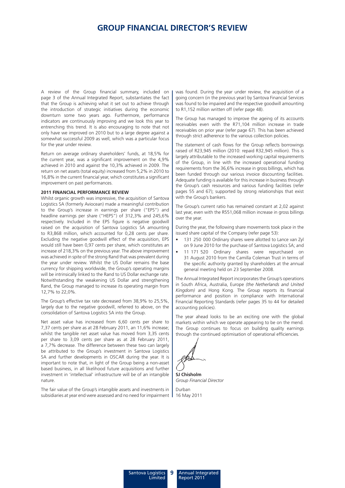## **GROUP FINANCIAL DIRECTOR'S REVIEW**

A review of the Group financial summary, included on page 3 of the Annual Integrated Report, substantiates the fact that the Group is achieving what it set out to achieve through the introduction of strategic initiatives during the economic downturn some two years ago. Furthermore, performance indicators are continuously improving and we look this year to entrenching this trend. It is also encouraging to note that not only have we improved on 2010 but to a large degree against a somewhat successful 2009 as well, which was a particular focus for the year under review.

Return on average ordinary shareholders' funds, at 18,5% for the current year, was a significant improvement on the 4.9% achieved in 2010 and against the 10,3% achieved in 2009. The return on net assets (total equity) increased from 5,2% in 2010 to 16,8% in the current financial year, which constitutes a significant improvement on past performances.

## **2011 FINANCIAL PERFORMANCE REVIEW**

Whilst organic growth was impressive, the acquisition of Santova Logistics SA (formerly Aviocean) made a meaningful contribution to the Group's increase in earnings per share ("EPS") and headline earnings per share ("HEPS") of 312,3% and 245,6% respectively. Included in the EPS figure is negative goodwill raised on the acquisition of Santova Logistics SA amounting to R3,868 million, which accounted for 0,28 cents per share. Excluding the negative goodwill effect of the acquisition, EPS would still have been 0,97 cents per share, which constitutes an increase of 218,3% on the previous year. The above improvement was achieved in spite of the strong Rand that was prevalent during the year under review. Whilst the US Dollar remains the base currency for shipping worldwide, the Group's operating margins will be intrinsically linked to the Rand to US Dollar exchange rate. Notwithstanding the weakening US Dollar and strengthening Rand, the Group managed to increase its operating margin from 12,7% to 22,0%.

The Group's effective tax rate decreased from 38,9% to 25,5%, largely due to the negative goodwill, referred to above, on the consolidation of Santova Logistics SA into the Group.

Net asset value has increased from 6,60 cents per share to 7,37 cents per share as at 28 February 2011, an 11,6% increase; whilst the tangible net asset value has moved from 3,35 cents per share to 3,09 cents per share as at 28 February 2011, a 7,7% decrease. The difference between these two can largely be attributed to the Group's investment in Santova Logistics SA and further developments in OSCAR during the year. It is important to note that, in light of the Group being a non-asset based business, in all likelihood future acquisitions and further investment in 'intellectual' infrastructure will be of an intangible nature.

The fair value of the Group's intangible assets and investments in subsidiaries at year end were assessed and no need for impairment 16 May 2011

was found. During the year under review, the acquisition of a going concern (in the previous year) by Santova Financial Services was found to be impaired and the respective goodwill amounting to R1,152 million written off (refer page 48).

The Group has managed to improve the ageing of its accounts receivables even with the R71,104 million increase in trade receivables on prior year (refer page 67). This has been achieved through strict adherence to the various collection policies.

The statement of cash flows for the Group reflects borrowings raised of R23,945 million (2010: repaid R32,945 million). This is largely attributable to the increased working capital requirements of the Group, in line with the increased operational funding requirements from the 36,6% increase in gross billings, which has been funded through our various invoice discounting facilities. Adequate funding is available for this increase in business through the Group's cash resources and various funding facilities (refer pages 55 and 67); supported by strong relationships that exist with the Group's bankers.

The Group's current ratio has remained constant at 2,02 against last year, even with the R551,068 million increase in gross billings over the year.

During the year, the following share movements took place in the issued share capital of the Company (refer page 53):

- 131 250 000 Ordinary shares were allotted to Lance van Zyl on 9 June 2010 for the purchase of Santova Logistics SA; and
- 11 171 520 Ordinary shares were repurchased on 31 August 2010 from the Camilla Coleman Trust in terms of the specific authority granted by shareholders at the annual general meeting held on 23 September 2008.

The Annual Integrated Report incorporates the Group's operations in South Africa, Australia, Europe *(the Netherlands and United*  Kingdom) and Hong Kong. The Group reports its financial performance and position in compliance with International Financial Reporting Standards (refer pages 35 to 44 for detailed accounting policies).

The year ahead looks to be an exciting one with the global markets within which we operate appearing to be on the mend. The Group continues to focus on building quality earnings through the continued optimisation of operational efficiencies.

**SJ Chisholm** *Group Financial Director*

Durban

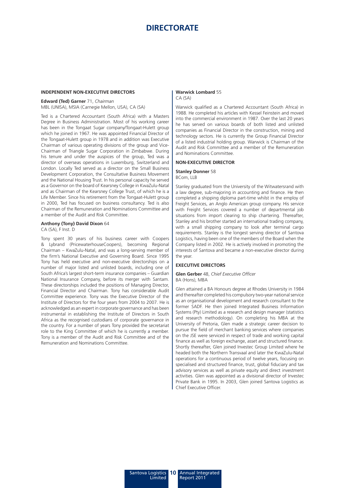## **INDEPENDENT NON-EXECUTIVE DIRECTORS**

**Edward (Ted) Garner** 71, *Chairman* MBL (UNISA), MSIA (Carnegie Mellon, USA), CA (SA)

Ted is a Chartered Accountant (South Africa) with a Masters Degree in Business Administration. Most of his working career has been in the Tongaat Sugar company/Tongaat-Hulett group which he joined in 1967. He was appointed Financial Director of the Tongaat-Hulett group in 1978 and in addition was Executive Chairman of various operating divisions of the group and Vice-Chairman of Triangle Sugar Corporation in Zimbabwe. During his tenure and under the auspices of the group, Ted was a director of overseas operations in Luxemburg, Switzerland and London. Locally Ted served as a director on the Small Business Development Corporation, the Consultative Business Movement and the National Housing Trust. In his personal capacity he served as a Governor on the board of Kearsney College in KwaZulu-Natal and as Chairman of the Kearsney College Trust, of which he is a Life Member. Since his retirement from the Tongaat-Hulett group in 2000, Ted has focused on business consultancy. Ted is also Chairman of the Remuneration and Nominations Committee and a member of the Audit and Risk Committee.

## **Anthony (Tony) David Dixon** 64

CA (SA), F Inst. D

Tony spent 30 years of his business career with Coopers & Lybrand (PricewaterhouseCoopers), becoming Regional Chairman – KwaZulu-Natal, and was a long-serving member of the firm's National Executive and Governing Board. Since 1995 Tony has held executive and non-executive directorships on a number of major listed and unlisted boards, including one of South Africa's largest short-term insurance companies – Guardian National Insurance Company, before its merger with Santam. These directorships included the positions of Managing Director, Financial Director and Chairman. Tony has considerable Audit Committee experience. Tony was the Executive Director of the Institute of Directors for the four years from 2004 to 2007. He is acknowledged as an expert in corporate governance and has been instrumental in establishing the Institute of Directors in South Africa as the recognised custodians of corporate governance in the country. For a number of years Tony provided the secretariat role to the King Committee of which he is currently a member. Tony is a member of the Audit and Risk Committee and of the Remuneration and Nominations Committee.

## **Warwick Lombard** 55  $C\Delta$  (S $\Delta$ )

Warwick qualified as a Chartered Accountant (South Africa) in 1988. He completed his articles with Kessel Feinstein and moved into the commercial environment in 1987. Over the last 20 years he has served on various boards of both listed and unlisted companies as Financial Director in the construction, mining and technology sectors. He is currently the Group Financial Director of a listed industrial holding group. Warwick is Chairman of the Audit and Risk Committee and a member of the Remuneration and Nominations Committee.

## **NON-EXECUTIVE DIRECTOR**

**Stanley Donner** 58 BCom, LLB

Stanley graduated from the University of the Witwatersrand with a law degree, sub-majoring in accounting and finance. He then completed a shipping diploma part-time whilst in the employ of Freight Services, an Anglo American group company. His service with Freight Services covered a number of departmental job situations from import clearing to ship chartering. Thereafter, Stanley and his brother started an international trading company, with a small shipping company to look after terminal cargo requirements. Stanley is the longest serving director of Santova Logistics, having been one of the members of the Board when the Company listed in 2002. He is actively involved in promoting the interests of Santova and became a non-executive director during the year.

## **EXECUTIVE DIRECTORS**

**Glen Gerber** 48, *Chief Executive Officer* BA (Hons), MBA

Glen attained a BA Honours degree at Rhodes University in 1984 and thereafter completed his compulsory two-year national service as an organisational development and research consultant to the former SADF. He then joined Integrated Business Information Systems (Pty) Limited as a research and design manager (statistics and research methodology). On completing his MBA at the University of Pretoria, Glen made a strategic career decision to pursue the field of merchant banking services where companies on the JSE were serviced in respect of trade and working capital finance as well as foreign exchange, asset and structured finance. Shortly thereafter, Glen joined Invester, Group Limited where he headed both the Northern Transvaal and later the KwaZulu-Natal operations for a continuous period of twelve years, focusing on specialised and structured finance, trust, global fiduciary and tax advisory services as well as private equity and direct investment activities. Glen was appointed as a divisional director of Investec Private Bank in 1995. In 2003, Glen joined Santova Logistics as Chief Executive Officer.

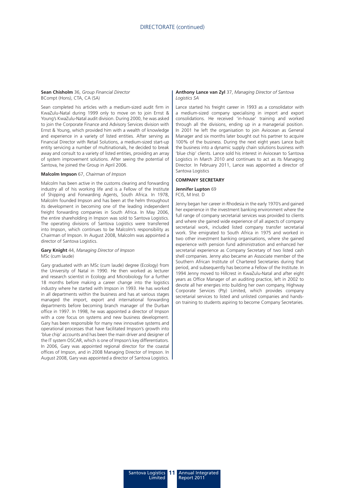## **Sean Chisholm** 36, *Group Financial Director* BCompt (Hons), CTA, CA (SA)

Sean completed his articles with a medium-sized audit firm in KwaZulu-Natal during 1999 only to move on to join Ernst & Young's KwaZulu-Natal audit division. During 2000, he was asked to join the Corporate Finance and Advisory Services division with Ernst & Young, which provided him with a wealth of knowledge and experience in a variety of listed entities. After serving as Financial Director with Retail Solutions, a medium-sized start-up entity servicing a number of multinationals, he decided to break away and consult to a variety of listed entities, providing an array of system improvement solutions. After seeing the potential of Santova, he joined the Group in April 2006.

## **Malcolm Impson** 67, *Chairman of Impson*

Malcolm has been active in the customs clearing and forwarding industry all of his working life and is a Fellow of the Institute of Shipping and Forwarding Agents, South Africa. In 1978, Malcolm founded Impson and has been at the helm throughout its development in becoming one of the leading independent freight forwarding companies in South Africa. In May 2006, the entire shareholding in Impson was sold to Santova Logistics. The operating divisions of Santova Logistics were transferred into Impson, which continues to be Malcolm's responsibility as Chairman of Impson. In August 2008, Malcolm was appointed a director of Santova Logistics.

## **Gary Knight** 44, *Managing Director of Impson* MSc (cum laude)

Gary graduated with an MSc (cum laude) degree (Ecology) from the University of Natal in 1990. He then worked as lecturer and research scientist in Ecology and Microbiology for a further 18 months before making a career change into the logistics industry where he started with Impson in 1993. He has worked in all departments within the business and has at various stages managed the import, export and international forwarding departments before becoming branch manager of the Durban office in 1997. In 1998, he was appointed a director of Impson with a core focus on systems and new business development. Gary has been responsible for many new innovative systems and operational processes that have facilitated Impson's growth into 'blue chip' accounts and has been the main driver and designer of the IT system OSCAR, which is one of Impson's key differentiators. In 2006, Gary was appointed regional director for the coastal offices of Impson, and in 2008 Managing Director of Impson. In August 2008, Gary was appointed a director of Santova Logistics.

#### **Anthony Lance van Zyl** 37, *Managing Director of Santova Logistics SA*

Lance started his freight career in 1993 as a consolidator with a medium-sized company specialising in import and export consolidations. He received 'in-house' training and worked through all the divisions, ending up in a managerial position. In 2001 he left the organisation to join Aviocean as General Manager and six months later bought out his partner to acquire 100% of the business. During the next eight years Lance built the business into a dynamic supply chain solutions business with 'blue chip' clients. Lance sold his interest in Aviocean to Santova Logistics in March 2010 and continues to act as its Managing Director. In February 2011, Lance was appointed a director of Santova Logistics

## **COMPANY SECRETARY**

#### **Jennifer Lupton** 69 FCIS, M Inst. D

Jenny began her career in Rhodesia in the early 1970's and gained her experience in the investment banking environment where the full range of company secretarial services was provided to clients and where she gained wide experience of all aspects of company secretarial work, included listed company transfer secretarial work. She emigrated to South Africa in 1975 and worked in two other investment banking organisations, where she gained experience with pension fund administration and enhanced her secretarial experience as Company Secretary of two listed cash shell companies. Jenny also became an Associate member of the Southern African Institute of Chartered Secretaries during that period, and subsequently has become a Fellow of the Institute. In 1994 Jenny moved to Hillcrest in KwaZulu-Natal and after eight years as Office Manager of an auditing practice, left in 2002 to devote all her energies into building her own company, Highway Corporate Services (Pty) Limited, which provides company secretarial services to listed and unlisted companies and handson training to students aspiring to become Company Secretaries.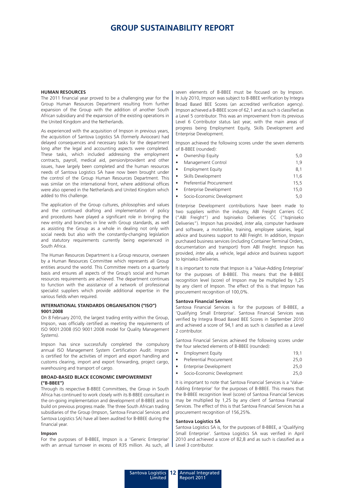## **GROUP SUSTAINABILITY REPORT**

#### **HUMAN RESOURCES**

The 2011 financial year proved to be a challenging year for the Group Human Resources Department resulting from further expansion of the Group with the addition of another South African subsidiary and the expansion of the existing operations in the United Kingdom and the Netherlands.

As experienced with the acquisition of Impson in previous years, the acquisition of Santova Logistics SA (formerly Aviocean) had delayed consequences and necessary tasks for the department long after the legal and accounting aspects were completed. These tasks, which included addressing the employment contracts, payroll, medical aid, pension/provident and other issues, have largely been completed and the human resources needs of Santova Logistics SA have now been brought under the control of the Group Human Resources Department. This was similar on the international front, where additional offices were also opened in the Netherlands and United Kingdom which added to this challenge.

The application of the Group cultures, philosophies and values and the continued drafting and implementation of policy and procedures have played a significant role in bringing the new entity and branches in line with Group standards, as well as assisting the Group as a whole in dealing not only with social needs but also with the constantly-changing legislation and statutory requirements currently being experienced in South Africa.

The Human Resources Department is a Group resource, overseen by a Human Resources Committee which represents all Group entities around the world. This Committee meets on a quarterly basis and ensures all aspects of the Group's social and human resources requirements are achieved. The department continues to function with the assistance of a network of professional specialist suppliers which provide additional expertise in the various fields when required.

#### **INTERNATIONAL STANDARDS ORGANISATION ("ISO") 9001:2008**

On 8 February 2010, the largest trading entity within the Group, Impson, was officially certified as meeting the requirements of ISO 9001:2008 (ISO 9001:2008 model for Quality Management Systems).

Impson has since successfully completed the compulsory annual ISO Management System Certification Audit. Impson is certified for the activities of import and export handling and customs clearing, import and export forwarding, project cargo, warehousing and transport of cargo.

## **BROAD-BASED BLACK ECONOMIC EMPOWERMENT ("B-BBEE")**

Through its respective B-BBEE Committees, the Group in South Africa has continued to work closely with its B-BBEE consultant in the on-going implementation and development of B-BBEE and to build on previous progress made. The three South African trading subsidiaries of the Group (Impson, Santova Financial Services and Santova Logistics SA) have all been audited for B-BBEE during the financial year.

#### **Impson**

For the purposes of B-BBEE, Impson is a 'Generic Enterprise' with an annual turnover in excess of R35 million. As such, all

seven elements of B-BBEE must be focused on by Impson. In July 2010, Impson was subject to B-BBEE verification by Integra Broad Based BEE Scores (an accredited verification agency). Impson achieved a B-BBEE score of 62,1 and as such is classified as a Level 5 contributor. This was an improvement from its previous Level 6 Contributor status last year, with the main areas of progress being Employment Equity, Skills Development and Enterprise Development.

Impson achieved the following scores under the seven elements of B-BBEE (rounded):

| $\bullet$ | Ownership Equity           | 5,0  |
|-----------|----------------------------|------|
| $\bullet$ | Management Control         | 1,9  |
| $\bullet$ | <b>Employment Equity</b>   | 8,1  |
| $\bullet$ | Skills Development         | 11.6 |
| $\bullet$ | Preferential Procurement   | 15,5 |
| $\bullet$ | Enterprise Development     | 15,0 |
| $\bullet$ | Socio-Economic Development | 5,0  |
|           |                            |      |

Enterprise Development contributions have been made to two suppliers within the industry, ABI Freight Carriers CC ("ABI Freight") and Isqiniseko Deliveries CC ("Isqiniseko Deliveries"). Impson has provided, *inter alia*, computer hardware and software, a motorbike, training, employee salaries, legal advice and business support to ABI Freight. In addition, Impson purchased business services (including Container Terminal Orders, documentation and transport) from ABI Freight. Impson has provided, *inter alia*, a vehicle, legal advice and business support to Iginiseko Deliveries

It is important to note that Impson is a 'Value-Adding Enterprise' for the purposes of B-BBEE. This means that the B-BBEE recognition level (score) of Impson may be multiplied by 1,25 by any client of Impson. The effect of this is that Impson has procurement recognition of 100,0%.

## **Santova Financial Services**

Santova Financial Services is for the purposes of B-BBEE, a 'Qualifying Small Enterprise'. Santova Financial Services was verified by Integra Broad Based BEE Scores in September 2010 and achieved a score of 94,1 and as such is classified as a Level 2 contributor.

Santova Financial Services achieved the following scores under the four selected elements of B-BBEE (rounded):

- Employment Equity 19,1 • Preferential Procurement 25,0
- Enterprise Development 25,0
- Socio-Economic Development 25,0

It is important to note that Santova Financial Services is a 'Value-Adding Enterprise' for the purposes of B-BBEE. This means that the B-BBEE recognition level (score) of Santova Financial Services may be multiplied by 1,25 by any client of Santova Financial Services. The effect of this is that Santova Financial Services has a procurement recognition of 156,25%.

## **Santova Logistics SA**

Santova Logistics SA is, for the purposes of B-BBEE, a 'Qualifying Small Enterprise'. Santova Logistics SA was verified in April 2010 and achieved a score of 82,8 and as such is classified as a Level 3 contributor.

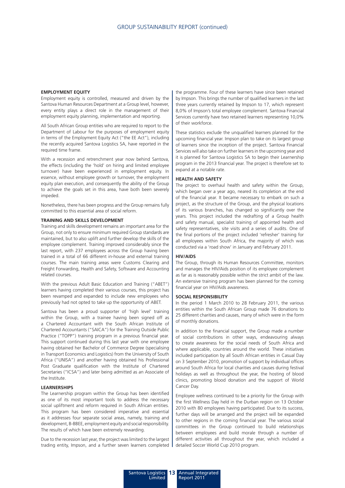#### **EMPLOYMENT EQUITY**

Employment equity is controlled, measured and driven by the Santova Human Resources Department at a Group level, however, every entity plays a direct role in the management of their employment equity planning, implementation and reporting.

All South African Group entities who are required to report to the Department of Labour for the purposes of employment equity in terms of the Employment Equity Act ("the EE Act"), including the recently acquired Santova Logistics SA, have reported in the required time frame.

With a recession and retrenchment year now behind Santova, the effects (including the 'hold' on hiring and limited employee turnover) have been experienced in employment equity. In essence, without employee growth or turnover, the employment equity plan execution, and consequently the ability of the Group to achieve the goals set in this area, have both been severely impeded.

Nonetheless, there has been progress and the Group remains fully committed to this essential area of social reform.

## **TRAINING AND SKILLS DEVELOPMENT**

Training and skills development remains an important area for the Group, not only to ensure minimum required Group standards are maintained, but to also uplift and further develop the skills of the employee complement. Training improved considerably since the last report, with 237 employees across the Group having been trained in a total of 66 different in-house and external training courses. The main training areas were Customs Clearing and Freight Forwarding, Health and Safety, Software and Accounting related courses.

With the previous Adult Basic Education and Training ("ABET") learners having completed their various courses, this project has been revamped and expanded to include new employees who previously had not opted to take up the opportunity of ABET.

Santova has been a proud supporter of 'high level' training within the Group, with a trainee having been signed off as a Chartered Accountant with the South African Institute of Chartered Accountants ("SAICA") for the Training Outside Public Practice ("TOPP") training program in a previous financial year. This support continued during this last year with one employee having obtained her Bachelor of Commerce Degree (specialising in Transport Economics and Logistics) from the University of South Africa ("UNISA") and another having obtained his Professional Post Graduate qualification with the Institute of Chartered Secretaries ("ICSA") and later being admitted as an Associate of the Institute.

#### **LEARNERSHIPS**

The Learnership program within the Group has been identified as one of its most important tools to address the necessary social upliftment and reform required in South African entities. This program has been considered imperative and essential as it addresses four separate social areas, namely, training and development, B-BBEE, employment equity and social responsibility. The results of which have been extremely rewarding.

Due to the recession last year, the project was limited to the largest trading entity, Impson, and a further seven learners completed the programme. Four of these learners have since been retained by Impson. This brings the number of qualified learners in the last three years currently retained by Impson to 17, which represent 8,0% of Impson's total employee complement. Santova Financial Services currently have two retained learners representing 10,0% of their workforce.

These statistics exclude the unqualified learners planned for the upcoming financial year. Impson plan to take on its largest group of learners since the inception of the project. Santova Financial Services will also take on further learners in the upcoming year and it is planned for Santova Logistics SA to begin their Learnership program in the 2013 financial year. The project is therefore set to expand at a notable rate.

#### **HEALTH AND SAFETY**

The project to overhaul health and safety within the Group, which began over a year ago, neared its completion at the end of the financial year. It became necessary to embark on such a project, as the structure of the Group, and the physical locations of its various branches, has changed so significantly over the years. This project included the redrafting of a Group health and safety manual, specialist training of appointed health and safety representatives, site visits and a series of audits. One of the final portions of the project included 'refresher' training for all employees within South Africa, the majority of which was conducted via a 'road show' in January and February 2011.

## **HIV/AIDS**

The Group, through its Human Resources Committee, monitors and manages the HIV/Aids position of its employee complement as far as is reasonably possible within the strict ambit of the law. An extensive training program has been planned for the coming financial year on HIV/Aids awareness.

### **SOCIAL RESPONSIBILITY**

In the period 1 March 2010 to 28 February 2011, the various entities within the South African Group made 76 donations to 25 different charities and causes, many of which were in the form of monthly donations.

In addition to the financial support, the Group made a number of social contributions in other ways, endeavouring always to create awareness for the social needs of South Africa and where applicable, countries around the world. These initiatives included participation by all South African entities in Casual Day on 3 September 2010, promotion of support by individual offices around South Africa for local charities and causes during festival holidays as well as throughout the year, the hosting of blood clinics, promoting blood donation and the support of World Cancer Day.

Employee wellness continued to be a priority for the Group with the first Wellness Day held in the Durban region on 13 October 2010 with 80 employees having participated. Due to its success, further days will be arranged and the project will be expanded to other regions in the coming financial year. The various social committees in the Group continued to build relationships between employees and build morale through a number of different activities all throughout the year, which included a detailed Soccer World Cup 2010 program.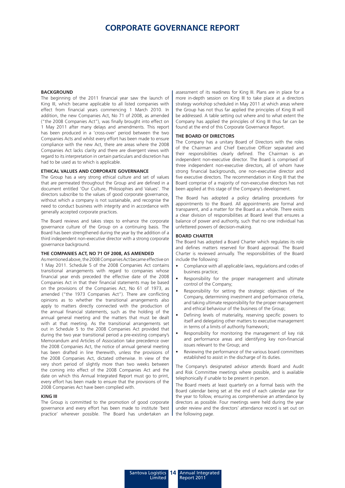## **CORPORATE GOVERNANCE REPORT**

### **BACKGROUND**

The beginning of the 2011 financial year saw the launch of King III, which became applicable to all listed companies with effect from financial years commencing 1 March 2010. In addition, the new Companies Act, No 71 of 2008, as amended ("the 2008 Companies Act"), was finally brought into effect on 1 May 2011 after many delays and amendments. This report has been produced in a 'cross-over' period between the two Companies Acts and whilst every effort has been made to ensure compliance with the new Act, there are areas where the 2008 Companies Act lacks clarity and there are divergent views with regard to its interpretation in certain particulars and discretion has had to be used as to which is applicable.

## **ETHICAL VALUES AND CORPORATE GOVERNANCE**

The Group has a very strong ethical culture and set of values that are permeated throughout the Group and are defined in a document entitled 'Our Culture, Philosophies and Values'. The directors subscribe to the values of good corporate governance, without which a company is not sustainable, and recognise the need to conduct business with integrity and in accordance with generally accepted corporate practices.

The Board reviews and takes steps to enhance the corporate governance culture of the Group on a continuing basis. The Board has been strengthened during the year by the addition of a third independent non-executive director with a strong corporate governance background.

## **THE COMPANIES ACT, NO 71 OF 2008, AS AMENDED**

As mentioned above, the 2008 Companies Act became effective on 1 May 2011. Schedule 5 of the 2008 Companies Act contains transitional arrangements with regard to companies whose financial year ends preceded the effective date of the 2008 Companies Act in that their financial statements may be based on the provisions of the Companies Act, No 61 of 1973, as amended ("the 1973 Companies Act"). There are conflicting opinions as to whether the transitional arrangements also apply to matters directly connected with the production of the annual financial statements, such as the holding of the annual general meeting and the matters that must be dealt with at that meeting. As the transitional arrangements set out in Schedule 5 to the 2008 Companies Act provided that during the two year transitional period a pre-existing company's Memorandum and Articles of Association take precedence over the 2008 Companies Act, the notice of annual general meeting has been drafted in line therewith, unless the provisions of the 2008 Companies Act, dictated otherwise. In view of the very short period of slightly more than two weeks between the coming into effect of the 2008 Companies Act and the date on which this Annual Integrated Report must go to print, every effort has been made to ensure that the provisions of the 2008 Companies Act have been complied with.

## **KING III**

The Group is committed to the promotion of good corporate governance and every effort has been made to institute 'best practice' wherever possible. The Board has undertaken an

assessment of its readiness for King III. Plans are in place for a more in-depth session on King III to take place at a directors strategy workshop scheduled in May 2011 at which areas where the Group has not thus far applied the principles of King III will be addressed. A table setting out where and to what extent the Company has applied the principles of King III thus far can be found at the end of this Corporate Governance Report.

### **THE BOARD OF DIRECTORS**

The Company has a unitary Board of Directors with the roles of the Chairman and Chief Executive Officer separated and their responsibilities clearly defined. The Chairman is an independent non-executive director. The Board is comprised of three independent non-executive directors, all of whom have strong financial backgrounds, one non-executive director and five executive directors. The recommendation in King III that the Board comprise of a majority of non-executive directors has not been applied at this stage of the Company's development.

The Board has adopted a policy detailing procedures for appointments to the Board. All appointments are formal and transparent, and a matter for the Board as a whole. There exists a clear division of responsibilities at Board level that ensures a balance of power and authority, such that no one individual has unfettered powers of decision-making.

## **BOARD CHARTER**

The Board has adopted a Board Charter which regulates its role and defines matters reserved for Board approval. The Board Charter is reviewed annually. The responsibilities of the Board include the following:

- Compliance with all applicable laws, regulations and codes of business practice;
- Responsibility for the proper management and ultimate control of the Company;
- Responsibility for setting the strategic objectives of the Company, determining investment and performance criteria, and taking ultimate responsibility for the proper management and ethical behaviour of the business of the Group;
- Defining levels of materiality, reserving specific powers to itself and delegating other matters to executive management in terms of a limits of authority framework;
- Responsibility for monitoring the management of key risk and performance areas and identifying key non-financial issues relevant to the Group; and
- Reviewing the performance of the various board committees established to assist in the discharge of its duties.

The Company's designated advisor attends Board and Audit and Risk Committee meetings where possible, and is available telephonically if unable to be present in person.

The Board meets at least quarterly on a formal basis with the Board calendar being set at the end of each calendar year for the year to follow, ensuring as comprehensive an attendance by directors as possible. Four meetings were held during the year under review and the directors' attendance record is set out on the following page.

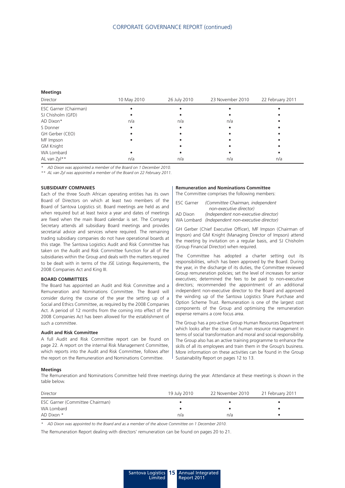## **Meetings**

| Director              | 10 May 2010 | 26 July 2010 | 23 November 2010 | 22 February 2011 |
|-----------------------|-------------|--------------|------------------|------------------|
| ESC Garner (Chairman) |             |              |                  |                  |
| SJ Chisholm (GFD)     |             |              |                  |                  |
| AD Dixon*             | n/a         | n/a          | n/a              |                  |
| S Donner              |             |              |                  |                  |
| GH Gerber (CEO)       |             |              |                  |                  |
| MF Impson             |             |              |                  |                  |
| <b>GM Knight</b>      |             |              |                  |                  |
| WA Lombard            |             |              |                  |                  |
| AL van Zyl**          | n/a         | n/a          | n/a              | n/a              |

*\* AD Dixon was appointed a member of the Board on 1 December 2010.*

*\*\* AL van Zyl was appointed a member of the Board on 22 February 2011.*

## **SUBSIDIARY COMPANIES**

Each of the three South African operating entities has its own Board of Directors on which at least two members of the Board of Santova Logistics sit. Board meetings are held as and when required but at least twice a year and dates of meetings are fixed when the main Board calendar is set. The Company Secretary attends all subsidiary Board meetings and provides secretarial advice and services where required. The remaining trading subsidiary companies do not have operational boards at this stage. The Santova Logistics Audit and Risk Committee has taken on the Audit and Risk Committee function for all of the subsidiaries within the Group and deals with the matters required to be dealt with in terms of the JSE Listings Requirements, the 2008 Companies Act and King III.

#### **BOARD COMMITTEES**

The Board has appointed an Audit and Risk Committee and a Remuneration and Nominations Committee. The Board will consider during the course of the year the setting up of a Social and Ethics Committee, as required by the 2008 Companies Act. A period of 12 months from the coming into effect of the 2008 Companies Act has been allowed for the establishment of such a committee.

## **Audit and Risk Committee**

A full Audit and Risk Committee report can be found on page 22. A report on the internal Risk Management Committee, which reports into the Audit and Risk Committee, follows after the report on the Remuneration and Nominations Committee.

## **Remuneration and Nominations Committee**

The Committee comprises the following members:

| ESC Garner | (Committee Chairman, independent                |
|------------|-------------------------------------------------|
|            | non-executive director)                         |
| AD Dixon   | (Independent non-executive director)            |
|            | WA Lombard (Independent non-executive director) |

GH Gerber (Chief Executive Officer), MF Impson (Chairman of Impson) and GM Knight (Managing Director of Impson) attend the meeting by invitation on a regular basis, and SJ Chisholm (Group Financial Director) when required.

The Committee has adopted a charter setting out its responsibilities, which has been approved by the Board. During the year, in the discharge of its duties, the Committee reviewed Group remuneration policies; set the level of increases for senior executives; determined the fees to be paid to non-executive directors; recommended the appointment of an additional independent non-executive director to the Board and approved the winding up of the Santova Logistics Share Purchase and Option Scheme Trust. Remuneration is one of the largest cost components of the Group and optimising the remuneration expense remains a core focus area.

The Group has a pro-active Group Human Resources Department which looks after the issues of human resource management in terms of social transformation and moral and social responsibility. The Group also has an active training programme to enhance the skills of all its employees and train them in the Group's business. More information on these activities can be found in the Group Sustainability Report on pages 12 to 13.

#### **Meetings**

The Remuneration and Nominations Committee held three meetings during the year. Attendance at these meetings is shown in the table below.

| Director                        | 19 July 2010 | 22 November 2010 | 21 February 2011 |
|---------------------------------|--------------|------------------|------------------|
| ESC Garner (Committee Chairman) |              |                  |                  |
| WA Lombard                      |              |                  |                  |
| AD Dixon *                      | n/a          | n/a              |                  |

*\* AD Dixon was appointed to the Board and as a member of the above Committee on 1 December 2010.*

The Remuneration Report dealing with directors' remuneration can be found on pages 20 to 21.

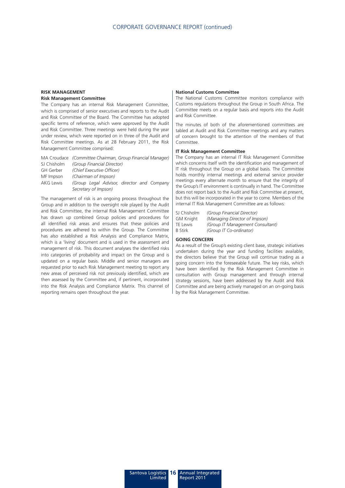## **RISK MANAGEMENT Risk Management Committee**

The Company has an internal Risk Management Committee, which is comprised of senior executives and reports to the Audit and Risk Committee of the Board. The Committee has adopted specific terms of reference, which were approved by the Audit and Risk Committee. Three meetings were held during the year under review, which were reported on in three of the Audit and Risk Committee meetings. As at 28 February 2011, the Risk Management Committee comprised:

|             | MA Croudace (Committee Chairman, Group Financial Manager) |  |  |
|-------------|-----------------------------------------------------------|--|--|
| SJ Chisholm | (Group Financial Director)                                |  |  |
| GH Gerber   | (Chief Executive Officer)                                 |  |  |
| MF Impson   | (Chairman of Impson)                                      |  |  |
| AKG Lewis   | (Group Legal Advisor, director and Company                |  |  |
|             | Secretary of Impson)                                      |  |  |

The management of risk is an ongoing process throughout the Group and in addition to the oversight role played by the Audit and Risk Committee, the internal Risk Management Committee has drawn up combined Group policies and procedures for all identified risk areas and ensures that these policies and procedures are adhered to within the Group. The Committee has also established a Risk Analysis and Compliance Matrix, which is a 'living' document and is used in the assessment and management of risk. This document analyses the identified risks into categories of probability and impact on the Group and is updated on a regular basis. Middle and senior managers are requested prior to each Risk Management meeting to report any new areas of perceived risk not previously identified, which are then assessed by the Committee and, if pertinent, incorporated into the Risk Analysis and Compliance Matrix. This channel of reporting remains open throughout the year.

#### **National Customs Committee**

The National Customs Committee monitors compliance with Customs regulations throughout the Group in South Africa. The Committee meets on a regular basis and reports into the Audit and Risk Committee.

The minutes of both of the aforementioned committees are tabled at Audit and Risk Committee meetings and any matters of concern brought to the attention of the members of that Committee.

## **IT Risk Management Committee**

The Company has an internal IT Risk Management Committee which concerns itself with the identification and management of IT risk throughout the Group on a global basis. The Committee holds monthly internal meetings and external service provider meetings every alternate month to ensure that the integrity of the Group's IT environment is continually in hand. The Committee does not report back to the Audit and Risk Committee at present, but this will be incorporated in the year to come. Members of the internal IT Risk Management Committee are as follows:

| SJ Chisholm      | (Group Financial Director)       |
|------------------|----------------------------------|
| <b>GM Knight</b> | (Managing Director of Impson)    |
| TE Lewis         | (Group IT Management Consultant) |
| <b>B</b> Stirk   | (Group IT Co-ordinator)          |

## **GOING CONCERN**

As a result of the Group's existing client base, strategic initiatives undertaken during the year and funding facilities available, the directors believe that the Group will continue trading as a going concern into the foreseeable future. The key risks, which have been identified by the Risk Management Committee in consultation with Group management and through internal strategy sessions, have been addressed by the Audit and Risk Committee and are being actively managed on an on-going basis by the Risk Management Committee.

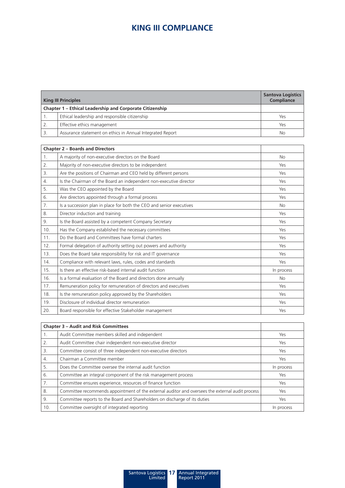# **KING III COMPLIANCE**

| <b>King III Principles</b>                                | <b>Santova Logistics</b><br>Compliance |
|-----------------------------------------------------------|----------------------------------------|
| Chapter 1 – Ethical Leadership and Corporate Citizenship  |                                        |
| Ethical leadership and responsible citizenship            | Yes                                    |
| Effective ethics management                               | Yes                                    |
| Assurance statement on ethics in Annual Integrated Report | No                                     |

| <b>Chapter 2 - Boards and Directors</b> |                                                                      |            |
|-----------------------------------------|----------------------------------------------------------------------|------------|
| 1.                                      | A majority of non-executive directors on the Board                   | <b>No</b>  |
| 2.                                      | Majority of non-executive directors to be independent                | Yes        |
| 3.                                      | Are the positions of Chairman and CEO held by different persons      | Yes        |
| $\overline{4}$ .                        | Is the Chairman of the Board an independent non-executive director   | Yes        |
| 5.                                      | Was the CEO appointed by the Board                                   | Yes        |
| 6.                                      | Are directors appointed through a formal process                     | Yes        |
| 7.                                      | Is a succession plan in place for both the CEO and senior executives | <b>No</b>  |
| 8.                                      | Director induction and training                                      | Yes        |
| 9.                                      | Is the Board assisted by a competent Company Secretary               | Yes        |
| 10.                                     | Has the Company established the necessary committees                 | Yes        |
| 11.                                     | Do the Board and Committees have formal charters                     | Yes        |
| 12.                                     | Formal delegation of authority setting out powers and authority      | Yes        |
| 13.                                     | Does the Board take responsibility for risk and IT governance        | Yes        |
| 14.                                     | Compliance with relevant laws, rules, codes and standards            | Yes        |
| 15.                                     | Is there an effective risk-based internal audit function             | In process |
| 16.                                     | Is a formal evaluation of the Board and directors done annually      | <b>No</b>  |
| 17.                                     | Remuneration policy for remuneration of directors and executives     | Yes        |
| 18.                                     | Is the remuneration policy approved by the Shareholders              | Yes        |
| 19.                                     | Disclosure of individual director remuneration                       | Yes        |
| 20.                                     | Board responsible for effective Stakeholder management               | Yes        |

|     | <b>Chapter 3 - Audit and Risk Committees</b>                                                     |            |
|-----|--------------------------------------------------------------------------------------------------|------------|
| 1.  | Audit Committee members skilled and independent                                                  | Yes        |
| 2.  | Audit Committee chair independent non-executive director                                         | Yes        |
| 3.  | Committee consist of three independent non-executive directors                                   | Yes        |
| 4.  | Chairman a Committee member                                                                      | Yes        |
| 5.  | Does the Committee oversee the internal audit function                                           | In process |
| 6.  | Committee an integral component of the risk management process                                   | Yes        |
| 7.  | Committee ensures experience, resources of finance function                                      | Yes        |
| 8.  | Committee recommends appointment of the external auditor and oversees the external audit process | Yes        |
| 9.  | Committee reports to the Board and Shareholders on discharge of its duties                       | Yes        |
| 10. | Committee oversight of integrated reporting                                                      | In process |

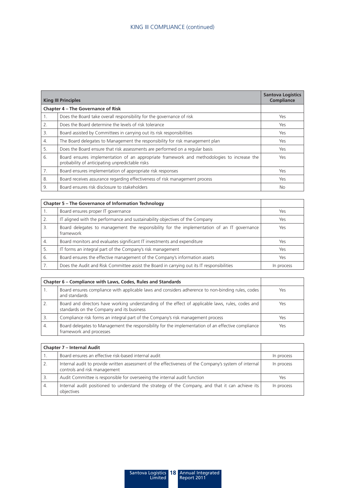|                | <b>King III Principles</b>                                                                                                                    | <b>Santova Logistics</b><br>Compliance |
|----------------|-----------------------------------------------------------------------------------------------------------------------------------------------|----------------------------------------|
|                | Chapter 4 - The Governance of Risk                                                                                                            |                                        |
| 1.             | Does the Board take overall responsibility for the governance of risk                                                                         | Yes                                    |
| 2.             | Does the Board determine the levels of risk tolerance                                                                                         | Yes                                    |
| 3.             | Board assisted by Committees in carrying out its risk responsibilities                                                                        | Yes                                    |
| 4.             | The Board delegates to Management the responsibility for risk management plan                                                                 | Yes                                    |
| 5.             | Does the Board ensure that risk assessments are performed on a regular basis                                                                  | Yes                                    |
| 6.             | Board ensures implementation of an appropriate framework and methodologies to increase the<br>probability of anticipating unpredictable risks | Yes                                    |
| 7 <sub>1</sub> | Board ensures implementation of appropriate risk responses                                                                                    | Yes                                    |
| 8.             | Board receives assurance regarding effectiveness of risk management process                                                                   | Yes                                    |
| 9.             | Board ensures risk disclosure to stakeholders                                                                                                 | <b>No</b>                              |

|                  | Chapter 5 - The Governance of Information Technology                                                     |            |
|------------------|----------------------------------------------------------------------------------------------------------|------------|
| Ί.               | Board ensures proper IT governance                                                                       | Yes        |
| 2.               | IT aligned with the performance and sustainability objectives of the Company                             | Yes        |
| $\overline{3}$ . | Board delegates to management the responsibility for the implementation of an IT governance<br>framework | Yes        |
| $\overline{4}$ . | Board monitors and evaluates significant IT investments and expenditure                                  | Yes        |
| 5.               | IT forms an integral part of the Company's risk management                                               | Yes        |
| 6.               | Board ensures the effective management of the Company's information assets                               | Yes        |
|                  | Does the Audit and Risk Committee assist the Board in carrying out its IT responsibilities               | In process |

| Chapter 6 – Compliance with Laws, Codes, Rules and Standards |                                                                                                                                                |     |
|--------------------------------------------------------------|------------------------------------------------------------------------------------------------------------------------------------------------|-----|
|                                                              | Board ensures compliance with applicable laws and considers adherence to non-binding rules, codes<br>and standards                             | Yes |
|                                                              | Board and directors have working understanding of the effect of applicable laws, rules, codes and<br>standards on the Company and its business | Yes |
| 3.                                                           | Compliance risk forms an integral part of the Company's risk management process                                                                | Yes |
| -4.                                                          | Board delegates to Management the responsibility for the implementation of an effective compliance<br>framework and processes                  | Yes |

| Chapter 7 - Internal Audit |                                                                                                                                       |            |
|----------------------------|---------------------------------------------------------------------------------------------------------------------------------------|------------|
|                            | Board ensures an effective risk-based internal audit                                                                                  | In process |
|                            | Internal audit to provide written assessment of the effectiveness of the Company's system of internal<br>controls and risk management | In process |
| 3.                         | Audit Committee is responsible for overseeing the internal audit function                                                             | Yes        |
| 4.                         | Internal audit positioned to understand the strategy of the Company, and that it can achieve its<br>objectives                        | In process |

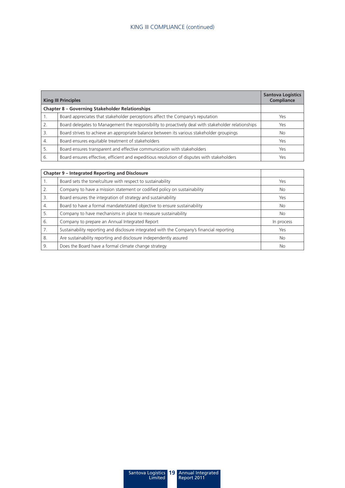| <b>King III Principles</b> | <b>Santova Logistics</b><br>Compliance                                                              |     |
|----------------------------|-----------------------------------------------------------------------------------------------------|-----|
|                            | <b>Chapter 8 - Governing Stakeholder Relationships</b>                                              |     |
| 1 <sub>1</sub>             | Board appreciates that stakeholder perceptions affect the Company's reputation                      | Yes |
| 2.                         | Board delegates to Management the responsibility to proactively deal with stakeholder relationships | Yes |
| 3.                         | Board strives to achieve an appropriate balance between its various stakeholder groupings           | No  |
| $\mathcal{A}$ .            | Board ensures equitable treatment of stakeholders                                                   | Yes |
| 5.                         | Board ensures transparent and effective communication with stakeholders                             | Yes |
| 6.                         | Board ensures effective, efficient and expeditious resolution of disputes with stakeholders         | Yes |

| Chapter 9 - Integrated Reporting and Disclosure |                                                                                           |            |
|-------------------------------------------------|-------------------------------------------------------------------------------------------|------------|
| 1.                                              | Board sets the tone/culture with respect to sustainability                                | Yes        |
| 2.                                              | Company to have a mission statement or codified policy on sustainability                  | No         |
| 3.                                              | Board ensures the integration of strategy and sustainability                              | Yes        |
| 4.                                              | Board to have a formal mandate/stated objective to ensure sustainability                  | No         |
| 5.                                              | Company to have mechanisms in place to measure sustainability                             | <b>No</b>  |
| 6.                                              | Company to prepare an Annual Integrated Report                                            | In process |
| 7 <sub>1</sub>                                  | Sustainability reporting and disclosure integrated with the Company's financial reporting | Yes        |
| 8.                                              | Are sustainability reporting and disclosure independently assured                         | No         |
| 9.                                              | Does the Board have a formal climate change strategy                                      | No         |

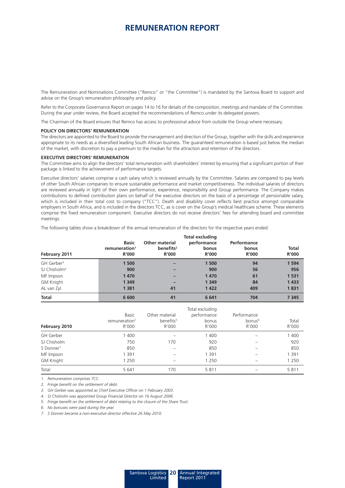## **REMUNERATION REPORT**

The Remuneration and Nominations Committee ("Remco" or "the Committee") is mandated by the Santova Board to support and advise on the Group's remuneration philosophy and policy.

Refer to the Corporate Governance Report on pages 14 to 16 for details of the composition, meetings and mandate of the Committee. During the year under review, the Board accepted the recommendations of Remco under its delegated powers.

The Chairman of the Board ensures that Remco has access to professional advice from outside the Group where necessary.

## **POLICY ON DIRECTORS' REMUNERATION**

The directors are appointed to the Board to provide the management and direction of the Group, together with the skills and experience appropriate to its needs as a diversified leading South African business. The guaranteed remuneration is based just below the median of the market, with discretion to pay a premium to the median for the attraction and retention of the directors.

#### **EXECUTIVE DIRECTORS' REMUNERATION**

The Committee aims to align the directors' total remuneration with shareholders' interest by ensuring that a significant portion of their package is linked to the achievement of performance targets.

Executive directors' salaries comprise a cash salary which is reviewed annually by the Committee. Salaries are compared to pay levels of other South African companies to ensure sustainable performance and market competitiveness. The individual salaries of directors are reviewed annually in light of their own performance, experience, responsibility and Group performance. The Company makes contributions to defined contribution plans on behalf of the executive directors on the basis of a percentage of pensionable salary, which is included in their total cost to company ("TCC"). Death and disability cover reflects best practice amongst comparable employers in South Africa, and is included in the directors TCC, as is cover on the Group's medical healthcare scheme. These elements comprise the fixed remuneration component. Executive directors do not receive directors' fees for attending board and committee meetings.

The following tables show a breakdown of the annual remuneration of the directors for the respective years ended:

| February 2011            | <b>Basic</b><br>remuneration <sup>1</sup><br><b>R'000</b> | <b>Other material</b><br>benefits <sup>2</sup><br><b>R'000</b> | <b>Total excluding</b><br>performance<br>bonus<br><b>R'000</b> | Performance<br>bonus<br><b>R'000</b> | <b>Total</b><br><b>R'000</b> |
|--------------------------|-----------------------------------------------------------|----------------------------------------------------------------|----------------------------------------------------------------|--------------------------------------|------------------------------|
| GH Gerber <sup>3</sup>   | 1 500                                                     |                                                                | 1500                                                           | 94                                   | 1 5 9 4                      |
| SJ Chisholm <sup>4</sup> | 900                                                       |                                                                | 900                                                            | 56                                   | 956                          |
| MF Impson                | 1470                                                      |                                                                | 1470                                                           | 61                                   | 1 5 3 1                      |
| <b>GM Knight</b>         | 1 3 4 9                                                   |                                                                | 1 3 4 9                                                        | 84                                   | 1433                         |
| AL van Zyl               | 1 3 8 1                                                   | 41                                                             | 1422                                                           | 409                                  | 1831                         |
| <b>Total</b>             | 6 600                                                     | 41                                                             | 6 6 4 1                                                        | 704                                  | 7 3 4 5                      |

| February 2010         | <b>Basic</b><br>remuneration <sup>1</sup><br>R'000 | Other material<br>benefits <sup>5</sup><br>R'000 | Total excluding<br>performance<br>bonus<br>R'000 | Performance<br>bonus <sup>6</sup><br>R'000 | Total<br>R'000 |
|-----------------------|----------------------------------------------------|--------------------------------------------------|--------------------------------------------------|--------------------------------------------|----------------|
| <b>GH Gerber</b>      | 1 400                                              |                                                  | 1 400                                            |                                            | 1 400          |
| SJ Chisholm           | 750                                                | 170                                              | 920                                              |                                            | 920            |
| S Donner <sup>7</sup> | 850                                                |                                                  | 850                                              |                                            | 850            |
| MF Impson             | 1 3 9 1                                            |                                                  | 1 3 9 1                                          |                                            | 1 3 9 1        |
| <b>GM Knight</b>      | 1 2 5 0                                            |                                                  | 1 2 5 0                                          |                                            | 1 2 5 0        |
| Total                 | 5 641                                              | 170                                              | 5811                                             |                                            | 5811           |

*1. Remuneration comprises TCC.*

2. Fringe benefit on the settlement of debt.

3. GH Gerber was appointed as Chief Executive Officer on 1 February 2003.

*4. SJ Chisholm was appointed Group Financial Director on 16 August 2006.*

*5. Fringe benefi t on the settlement of debt relating to the closure of the Share Trust.*

*6. No bonuses were paid during the year.*

*7. S Donner became a non-executive director effective 26 May 2010.* 

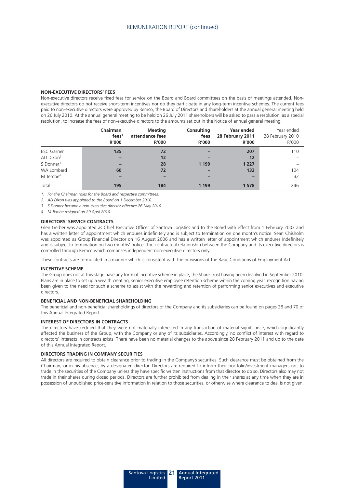## **NON-EXECUTIVE DIRECTORS' FEES**

Non-executive directors receive fixed fees for service on the Board and Board committees on the basis of meetings attended. Nonexecutive directors do not receive short-term incentives nor do they participate in any long-term incentive schemes. The current fees paid to non-executive directors were approved by Remco, the Board of Directors and shareholders at the annual general meeting held on 26 July 2010. At the annual general meeting to be held on 26 July 2011 shareholders will be asked to pass a resolution, as a special resolution, to increase the fees of non-executive directors to the amounts set out in the Notice of annual general meeting.

|                        | <b>Chairman</b><br>fees <sup>1</sup><br><b>R'000</b> | <b>Meeting</b><br>attendance fees<br><b>R'000</b> | Consulting<br>fees<br><b>R'000</b> | Year ended<br>28 February 2011<br><b>R'000</b> | Year ended<br>28 February 2010<br>R'000 |
|------------------------|------------------------------------------------------|---------------------------------------------------|------------------------------------|------------------------------------------------|-----------------------------------------|
| <b>ESC Garner</b>      | 135                                                  | 72                                                |                                    | 207                                            | 110                                     |
| AD Dixon <sup>2</sup>  |                                                      | 12                                                |                                    | 12                                             |                                         |
| S Donner <sup>3</sup>  |                                                      | 28                                                | 1 1 9 9                            | 1 2 2 7                                        |                                         |
| WA Lombard             | 60                                                   | 72                                                |                                    | 132                                            | 104                                     |
| $M$ Tembe <sup>4</sup> |                                                      |                                                   |                                    | -                                              | 32                                      |
| Total                  | 195                                                  | 184                                               | 1 1 9 9                            | 1 5 7 8                                        | 246                                     |

*1. For the Chairman roles for the Board and respective committees.*

*2. AD Dixon was appointed to the Board on 1 December 2010.*

*3. S Donner became a non-executive director effective 26 May 2010.*

*4. M Tembe resigned on 29 April 2010.*

## **DIRECTORS' SERVICE CONTRACTS**

Glen Gerber was appointed as Chief Executive Officer of Santova Logistics and to the Board with effect from 1 February 2003 and has a written letter of appointment which endures indefinitely and is subject to termination on one month's notice. Sean Chisholm was appointed as Group Financial Director on 16 August 2006 and has a written letter of appointment which endures indefinitely and is subject to termination on two months' notice. The contractual relationship between the Company and its executive directors is controlled through Remco which comprises independent non-executive directors only.

These contracts are formulated in a manner which is consistent with the provisions of the Basic Conditions of Employment Act.

#### **INCENTIVE SCHEME**

The Group does not at this stage have any form of incentive scheme in place, the Share Trust having been dissolved in September 2010. Plans are in place to set up a wealth creating, senior executive employee retention scheme within the coming year, recognition having been given to the need for such a scheme to assist with the rewarding and retention of performing senior executives and executive directors

## **BENEFICIAL AND NON-BENEFICIAL SHAREHOLDING**

The beneficial and non-beneficial shareholdings of directors of the Company and its subsidiaries can be found on pages 28 and 70 of this Annual Integrated Report.

#### **INTEREST OF DIRECTORS IN CONTRACTS**

The directors have certified that they were not materially interested in any transaction of material significance, which significantly affected the business of the Group, with the Company or any of its subsidiaries. Accordingly, no conflict of interest with regard to directors' interests in contracts exists. There have been no material changes to the above since 28 February 2011 and up to the date of this Annual Integrated Report.

#### **DIRECTORS TRADING IN COMPANY SECURITIES**

All directors are required to obtain clearance prior to trading in the Company's securities. Such clearance must be obtained from the Chairman, or in his absence, by a designated director. Directors are required to inform their portfolio/investment managers not to trade in the securities of the Company unless they have specific written instructions from that director to do so. Directors also may not trade in their shares during closed periods. Directors are further prohibited from dealing in their shares at any time when they are in possession of unpublished price-sensitive information in relation to those securities, or otherwise where clearance to deal is not given.

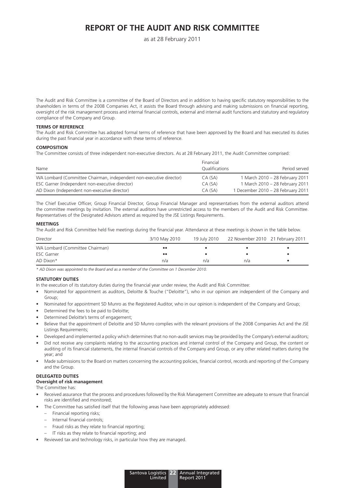# **REPORT OF THE AUDIT AND RISK COMMITTEE**

as at 28 February 2011

The Audit and Risk Committee is a committee of the Board of Directors and in addition to having specific statutory responsibilities to the shareholders in terms of the 2008 Companies Act, it assists the Board through advising and making submissions on financial reporting. oversight of the risk management process and internal financial controls, external and internal audit functions and statutory and regulatory compliance of the Company and Group.

## **TERMS OF REFERENCE**

The Audit and Risk Committee has adopted formal terms of reference that have been approved by the Board and has executed its duties during the past financial year in accordance with these terms of reference.

## **COMPOSITION**

The Committee consists of three independent non-executive directors. As at 28 February 2011, the Audit Committee comprised:

| Name                                                                | Financial<br>Qualifications | Period served                      |
|---------------------------------------------------------------------|-----------------------------|------------------------------------|
| WA Lombard (Committee Chairman, independent non-executive director) | CA(SA)                      | 1 March 2010 - 28 February 2011    |
| ESC Garner (Independent non-executive director)                     | CA(SA)                      | 1 March 2010 - 28 February 2011    |
| AD Dixon (Independent non-executive director)                       | CA(SA)                      | 1 December 2010 - 28 February 2011 |

The Chief Executive Officer, Group Financial Director, Group Financial Manager and representatives from the external auditors attend the committee meetings by invitation. The external auditors have unrestricted access to the members of the Audit and Risk Committee. Representatives of the Designated Advisors attend as required by the JSE Listings Requirements.

## **MEETINGS**

The Audit and Risk Committee held five meetings during the financial year. Attendance at these meetings is shown in the table below.

| Director                        | 3/10 May 2010    |     | 19 July 2010 22 November 2010 21 February 2011 |  |
|---------------------------------|------------------|-----|------------------------------------------------|--|
| WA Lombard (Committee Chairman) | $\bullet\bullet$ |     |                                                |  |
| ESC Garner                      | $\bullet\bullet$ |     |                                                |  |
| AD Dixon*                       | n/a              | n/a | n/a                                            |  |

*\* AD Dixon was appointed to the Board and as a member of the Committee on 1 December 2010.*

## **STATUTORY DUTIES**

In the execution of its statutory duties during the financial year under review, the Audit and Risk Committee:

- Nominated for appointment as auditors, Deloitte & Touche ("Deloitte"), who in our opinion are independent of the Company and Group;
- Nominated for appointment SD Munro as the Registered Auditor, who in our opinion is independent of the Company and Group;
- Determined the fees to be paid to Deloitte;
- Determined Deloitte's terms of engagement;
- Believe that the appointment of Deloitte and SD Munro complies with the relevant provisions of the 2008 Companies Act and the JSE Listings Requirements;
- Developed and implemented a policy which determines that no non-audit services may be provided by the Company's external auditors;
- Did not receive any complaints relating to the accounting practices and internal control of the Company and Group, the content or auditing of its financial statements, the internal financial controls of the Company and Group, or any other related matters during the year; and
- Made submissions to the Board on matters concerning the accounting policies, financial control, records and reporting of the Company and the Group.

## **DELEGATED DUTIES**

#### **Oversight of risk management**

The Committee has:

Received assurance that the process and procedures followed by the Risk Management Committee are adequate to ensure that financial risks are identified and monitored;

> Annual Integrated Report 2011

The Committee has satisfied itself that the following areas have been appropriately addressed:

Santova Logistics Limited

- Financial reporting risks;
- Internal financial controls;
- $-$  Fraud risks as they relate to financial reporting:
- IT risks as they relate to financial reporting; and
- Reviewed tax and technology risks, in particular how they are managed.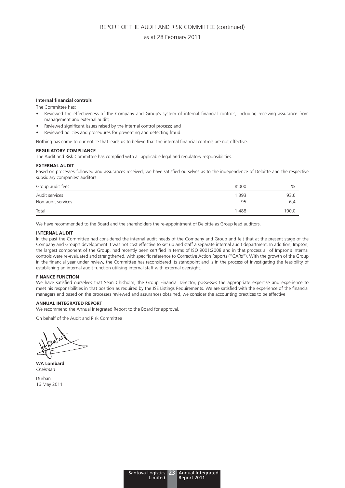as at 28 February 2011

## **Internal fi nancial controls**

The Committee has:

- Reviewed the effectiveness of the Company and Group's system of internal financial controls, including receiving assurance from management and external audit;
- Reviewed significant issues raised by the internal control process; and
- Reviewed policies and procedures for preventing and detecting fraud.

Nothing has come to our notice that leads us to believe that the internal financial controls are not effective.

#### **REGULATORY COMPLIANCE**

The Audit and Risk Committee has complied with all applicable legal and regulatory responsibilities.

#### **EXTERNAL AUDIT**

Based on processes followed and assurances received, we have satisfied ourselves as to the independence of Deloitte and the respective subsidiary companies' auditors.

| Group audit fees   | R'000 | $\%$  |
|--------------------|-------|-------|
| Audit services     | 1393  | 93,6  |
| Non-audit services | 95    | 6.4   |
| Total              | 1488  | 100,0 |

We have recommended to the Board and the shareholders the re-appointment of Deloitte as Group lead auditors.

## **INTERNAL AUDIT**

In the past the Committee had considered the internal audit needs of the Company and Group and felt that at the present stage of the Company and Group's development it was not cost effective to set up and staff a separate internal audit department. In addition, Impson, the largest component of the Group, had recently been certified in terms of ISO 9001:2008 and in that process all of Impson's internal controls were re-evaluated and strengthened, with specific reference to Corrective Action Reports ("CARs"). With the growth of the Group in the financial year under review, the Committee has reconsidered its standpoint and is in the process of investigating the feasibility of establishing an internal audit function utilising internal staff with external oversight.

## **FINANCE FUNCTION**

We have satisfied ourselves that Sean Chisholm, the Group Financial Director, possesses the appropriate expertise and experience to meet his responsibilities in that position as required by the JSE Listings Requirements. We are satisfied with the experience of the financial managers and based on the processes reviewed and assurances obtained, we consider the accounting practices to be effective.

#### **ANNUAL INTEGRATED REPORT**

We recommend the Annual Integrated Report to the Board for approval.

On behalf of the Audit and Risk Committee

**WA Lombard** *Chairman*

Durban 16 May 2011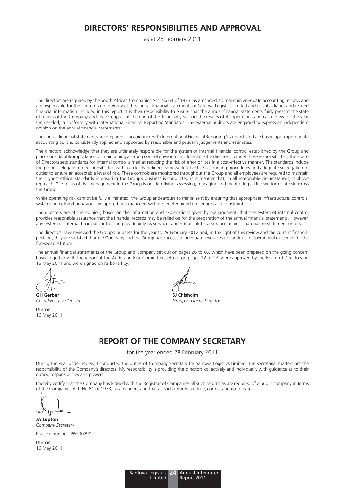## **DIRECTORS' RESPONSIBILITIES AND APPROVAL**

as at 28 February 2011

The directors are required by the South African Companies Act, No 61 of 1973, as amended, to maintain adequate accounting records and are responsible for the content and integrity of the annual financial statements of Santova Logistics Limited and its subsidiaries and related financial information included in this report. It is their responsibility to ensure that the annual financial statements fairly present the state of affairs of the Company and the Group as at the end of the financial year and the results of its operations and cash flows for the year then ended, in conformity with International Financial Reporting Standards. The external auditors are engaged to express an independent opinion on the annual financial statements.

The annual financial statements are prepared in accordance with International Financial Reporting Standards and are based upon appropriate accounting policies consistently applied and supported by reasonable and prudent judgements and estimates.

The directors acknowledge that they are ultimately responsible for the system of internal financial control established by the Group and place considerable importance on maintaining a strong control environment. To enable the directors to meet these responsibilities, the Board of Directors sets standards for internal control aimed at reducing the risk of error or loss in a cost-effective manner. The standards include the proper delegation of responsibilities within a clearly defined framework, effective accounting procedures and adequate segregation of duties to ensure an acceptable level of risk. These controls are monitored throughout the Group and all employees are required to maintain the highest ethical standards in ensuring the Group's business is conducted in a manner that, in all reasonable circumstances, is above reproach. The focus of risk management in the Group is on identifying, assessing, managing and monitoring all known forms of risk across the Group.

While operating risk cannot be fully eliminated, the Group endeavours to minimise it by ensuring that appropriate infrastructure, controls, systems and ethical behaviour are applied and managed within predetermined procedures and constraints.

The directors are of the opinion, based on the information and explanations given by management, that the system of internal control provides reasonable assurance that the financial records may be relied on for the preparation of the annual financial statements. However, any system of internal financial control can provide only reasonable, and not absolute, assurance against material misstatement or loss.

The directors have reviewed the Group's budgets for the year to 29 February 2012 and, in the light of this review and the current financial position, they are satisfied that the Company and the Group have access to adequate resources to continue in operational existence for the foreseeable future.

The annual financial statements of the Group and Company set out on pages 26 to 68, which have been prepared on the going concern basis, together with the report of the Audit and Risk Committee set out on pages 22 to 23, were approved by the Board of Directors on 16 May 2011 and were signed on its behalf by:

**GH Gerber SJ Chisholm**<br>
Chief Executive Officer **ST Chisholm**<br>
Group Finance

Durban 16 May 2011

*Chief Executive Offi cer Group Financial Director*

## **REPORT OF THE COMPANY SECRETARY**

for the year ended 28 February 2011

During the year under review, I conducted the duties of Company Secretary for Santova Logistics Limited. The secretarial matters are the responsibility of the Company's directors. My responsibility is providing the directors collectively and individually with guidance as to their duties, responsibilities and powers.

I hereby certify that the Company has lodged with the Registrar of Companies all such returns as are required of a public company in terms of the Companies Act, No 61 of 1973, as amended, and that all such returns are true, correct and up to date.

**JA Lupton** *Company Secretary*

Practice number: PPG00290

Durban 16 May 2011

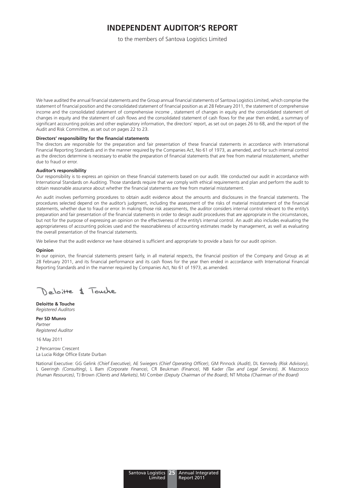## **INDEPENDENT AUDITOR'S REPORT**

to the members of Santova Logistics Limited

We have audited the annual financial statements and the Group annual financial statements of Santova Logistics Limited, which comprise the statement of financial position and the consolidated statement of financial position as at 28 February 2011, the statement of comprehensive income and the consolidated statement of comprehensive income , statement of changes in equity and the consolidated statement of changes in equity and the statement of cash flows and the consolidated statement of cash flows for the year then ended, a summary of significant accounting policies and other explanatory information, the directors' report, as set out on pages 26 to 68, and the report of the Audit and Risk Committee, as set out on pages 22 to 23.

## **Directors' responsibility for the financial statements**

The directors are responsible for the preparation and fair presentation of these financial statements in accordance with International Financial Reporting Standards and in the manner required by the Companies Act, No 61 of 1973, as amended, and for such internal control as the directors determine is necessary to enable the preparation of financial statements that are free from material misstatement, whether due to fraud or error.

#### **Auditor's responsibility**

Our responsibility is to express an opinion on these financial statements based on our audit. We conducted our audit in accordance with International Standards on Auditing. Those standards require that we comply with ethical requirements and plan and perform the audit to obtain reasonable assurance about whether the financial statements are free from material misstatement.

An audit involves performing procedures to obtain audit evidence about the amounts and disclosures in the financial statements. The procedures selected depend on the auditor's judgment, including the assessment of the risks of material misstatement of the financial statements, whether due to fraud or error. In making those risk assessments, the auditor considers internal control relevant to the entity's preparation and fair presentation of the financial statements in order to design audit procedures that are appropriate in the circumstances, but not for the purpose of expressing an opinion on the effectiveness of the entity's internal control. An audit also includes evaluating the appropriateness of accounting policies used and the reasonableness of accounting estimates made by management, as well as evaluating the overall presentation of the financial statements.

We believe that the audit evidence we have obtained is sufficient and appropriate to provide a basis for our audit opinion.

#### **Opinion**

In our opinion, the financial statements present fairly, in all material respects, the financial position of the Company and Group as at 28 February 2011, and its financial performance and its cash flows for the year then ended in accordance with International Financial Reporting Standards and in the manner required by Companies Act, No 61 of 1973, as amended.

Deloitte & Touche

**Deloitte & Touche** *Registered Auditors*

**Per SD Munro** *Partner Registered Auditor*

16 May 2011

2 Pencarrow Crescent La Lucia Ridge Office Estate Durban

National Executive: GG Gelink *(Chief Executive)*, AE Swiegers *(Chief Operating Officer)*, GM Pinnock *(Audit)*, DL Kennedy *(Risk Advisory)*, L Geeringh *(Consulting)*, L Bam *(Corporate Finance)*, CR Beukman *(Finance)*, NB Kader *(Tax and Legal Services)*, JK Mazzocco *(Human Resources)*, TJ Brown *(Clients and Markets)*, MJ Comber *(Deputy Chairman of the Board)*, NT Mtoba *(Chairman of the Board)* 

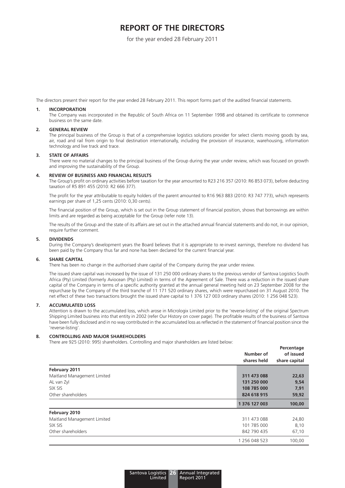## **REPORT OF THE DIRECTORS**

for the year ended 28 February 2011

The directors present their report for the year ended 28 February 2011. This report forms part of the audited financial statements.

#### **1. INCORPORATION**

The Company was incorporated in the Republic of South Africa on 11 September 1998 and obtained its certificate to commence business on the same date.

#### **2. GENERAL REVIEW**

The principal business of the Group is that of a comprehensive logistics solutions provider for select clients moving goods by sea, air, road and rail from origin to final destination internationally, including the provision of insurance, warehousing, information technology and live track and trace.

### **3. STATE OF AFFAIRS**

There were no material changes to the principal business of the Group during the year under review, which was focused on growth and improving the sustainability of the Group.

### **4. REVIEW OF BUSINESS AND FINANCIAL RESULTS**

The Group's profit on ordinary activities before taxation for the year amounted to R23 216 357 (2010; R6 853 073), before deducting taxation of R5 891 455 (2010: R2 666 377).

The profit for the year attributable to equity holders of the parent amounted to R16 963 883 (2010: R3 747 773), which represents earnings per share of 1,25 cents (2010: 0,30 cents).

The financial position of the Group, which is set out in the Group statement of financial position, shows that borrowings are within limits and are regarded as being acceptable for the Group (refer note 13).

The results of the Group and the state of its affairs are set out in the attached annual financial statements and do not, in our opinion, require further comment.

### **5. DIVIDENDS**

During the Company's development years the Board believes that it is appropriate to re-invest earnings, therefore no dividend has been paid by the Company thus far and none has been declared for the current financial year.

#### **6. SHARE CAPITAL**

There has been no change in the authorised share capital of the Company during the year under review.

The issued share capital was increased by the issue of 131 250 000 ordinary shares to the previous vendor of Santova Logistics South Africa (Pty) Limited (formerly Aviocean (Pty) Limited) in terms of the Agreement of Sale. There was a reduction in the issued share capital of the Company in terms of a specific authority granted at the annual general meeting held on 23 September 2008 for the repurchase by the Company of the third tranche of 11 171 520 ordinary shares, which were repurchased on 31 August 2010. The net effect of these two transactions brought the issued share capital to 1 376 127 003 ordinary shares (2010: 1 256 048 523).

## **7. ACCUMULATED LOSS**

Attention is drawn to the accumulated loss, which arose in Micrologix Limited prior to the 'reverse-listing' of the original Spectrum Shipping Limited business into that entity in 2002 (refer Our History on cover page). The profi table results of the business of Santova have been fully disclosed and in no way contributed in the accumulated loss as reflected in the statement of financial position since the 'reverse-listing'.

#### **8. CONTROLLING AND MAJOR SHAREHOLDERS**

There are 925 (2010: 995) shareholders. Controlling and major shareholders are listed below:

|                             | Number of<br>shares held | Percentage<br>of issued<br>share capital |
|-----------------------------|--------------------------|------------------------------------------|
| February 2011               |                          |                                          |
| Maitland Management Limited | 311 473 088              | 22,63                                    |
| AL van Zyl                  | 131 250 000              | 9,54                                     |
| SIX SIS                     | 108 785 000              | 7,91                                     |
| Other shareholders          | 824 618 915              | 59,92                                    |
|                             | 1 376 127 003            | 100,00                                   |
| February 2010               |                          |                                          |
| Maitland Management Limited | 311 473 088              | 24,80                                    |
| SIX SIS                     | 101 785 000              | 8,10                                     |
| Other shareholders          | 842 790 435              | 67,10                                    |
|                             | 1 256 048 523            | 100.00                                   |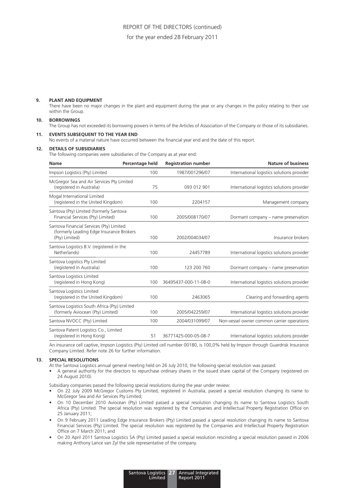for the year ended 28 February 2011

#### **9. PLANT AND EQUIPMENT**

There have been no major changes in the plant and equipment during the year or any changes in the policy relating to their use within the Group.

### **10. BORROWINGS**

The Group has not exceeded its borrowing powers in terms of the Articles of Association of the Company or those of its subsidiaries.

## **11. EVENTS SUBSEQUENT TO THE YEAR END**

No events of a material nature have occurred between the financial year end and the date of this report.

## **12. DETAILS OF SUBSIDIARIES**

The following companies were subsidiaries of the Company as at year end:

| <b>Name</b>                                                                                            | Percentage held | <b>Registration number</b> | <b>Nature of business</b>                  |
|--------------------------------------------------------------------------------------------------------|-----------------|----------------------------|--------------------------------------------|
| Impson Logistics (Pty) Limited                                                                         | 100             | 1987/001296/07             | International logistics solutions provider |
| McGregor Sea and Air Services Pty Limited<br>(registered in Australia)                                 | 75              | 093 012 901                | International logistics solutions provider |
| Mogal International Limited<br>(registered in the United Kingdom)                                      | 100             | 2204157                    | Management company                         |
| Santova (Pty) Limited (formerly Santova<br>Financial Services (Pty) Limited)                           | 100             | 2005/008170/07             | Dormant company - name preservation        |
| Santova Financial Services (Pty) Limited<br>(formerly Leading Edge Insurance Brokers<br>(Pty) Limited) | 100             | 2002/004034/07             | Insurance brokers                          |
| Santova Logistics B.V. (registered in the<br>Netherlands)                                              | 100             | 24457789                   | International logistics solutions provider |
| Santova Logistics Pty Limited<br>(registered in Australia)                                             | 100             | 123 200 760                | Dormant company - name preservation        |
| Santova Logistics Limited<br>(registered in Hong Kong)                                                 | 100             | 36495437-000-11-08-0       | International logistics solutions provider |
| Santova Logistics Limited<br>(registered in the United Kingdom)                                        | 100             | 2463065                    | Clearing and forwarding agents             |
| Santova Logistics South Africa (Pty) Limited<br>(formerly Aviocean (Pty) Limited)                      | 100             | 2005/042259/07             | International logistics solutions provider |
| Santova NVOCC (Pty) Limited                                                                            | 100             | 2004/031099/07             | Non-vessel owner common carrier operations |
| Santova Patent Logistics Co., Limited<br>(registered in Hong Kong)                                     | 51              | 36771425-000-05-08-7       | International logistics solutions provider |

An insurance cell captive, Impson Logistics (Pty) Limited cell number 00180, is 100,0% held by Impson through Guardrisk Insurance Company Limited. Refer note 26 for further information.

## **13. SPECIAL RESOLUTIONS**

At the Santova Logistics annual general meeting held on 26 July 2010, the following special resolution was passed:

• A general authority for the directors to repurchase ordinary shares in the issued share capital of the Company (registered on 24 August 2010).

Subsidiary companies passed the following special resolutions during the year under review:

- On 22 July 2009 McGregor Customs Pty Limited, registered in Australia, passed a special resolution changing its name to McGregor Sea and Air Services Pty Limited;
- On 10 December 2010 Aviocean (Pty) Limited passed a special resolution changing its name to Santova Logistics South Africa (Pty) Limited. The special resolution was registered by the Companies and Intellectual Property Registration Office on 25 January 2011;
- On 9 February 2011 Leading Edge Insurance Brokers (Pty) Limited passed a special resolution changing its name to Santova Financial Services (Pty) Limited. The special resolution was registered by the Companies and Intellectual Property Registration Office on 7 March 2011; and
- On 20 April 2011 Santova Logistics SA (Pty) Limited passed a special resolution rescinding a special resolution passed in 2006 making Anthony Lance van Zyl the sole representative of the company.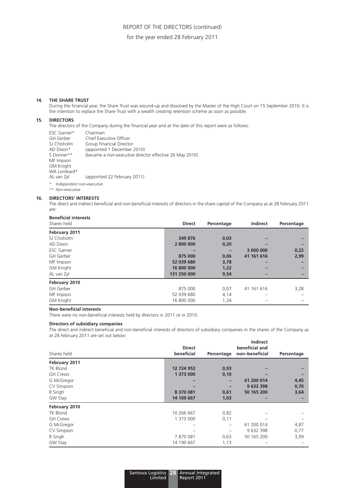for the year ended 28 February 2011

#### **14. THE SHARE TRUST**

During the financial year, the Share Trust was wound-up and dissolved by the Master of the High Court on 15 September 2010. It is the intention to replace the Share Trust with a wealth creating retention scheme as soon as possible.

### **15. DIRECTORS**

The directors of the Company during the financial year and at the date of this report were as follows:

| ESC Garner*      | Chairman                                                |
|------------------|---------------------------------------------------------|
| <b>GH</b> Gerber | Chief Executive Officer                                 |
| SJ Chisholm      | Group Financial Director                                |
| AD Dixon*        | (appointed 1 December 2010)                             |
| S Donner**       | (became a non-executive director effective 26 May 2010) |
| MF Impson        |                                                         |
| <b>GM Knight</b> |                                                         |
| WA Lombard*      |                                                         |
| AL van Zyl       | (appointed 22 February 2011)                            |

*\* Independent non-executive*

*\*\* Non-executive*

## **16. DIRECTORS' INTERESTS**

The direct and indirect beneficial and non-beneficial interests of directors in the share capital of the Company as at 28 February 2011 are:

| <b>Beneficial interests</b> |               |            |            |            |
|-----------------------------|---------------|------------|------------|------------|
| Shares held                 | <b>Direct</b> | Percentage | Indirect   | Percentage |
| February 2011               |               |            |            |            |
| SJ Chisholm                 | 349 876       | 0,03       |            |            |
| AD Dixon                    | 2 800 000     | 0,20       |            |            |
| <b>ESC Garner</b>           |               |            | 3 000 000  | 0,22       |
| <b>GH Gerber</b>            | 875 000       | 0,06       | 41 161 616 | 2,99       |
| MF Impson                   | 52 039 680    | 3,78       |            |            |
| <b>GM Knight</b>            | 16 800 000    | 1,22       |            |            |
| AL van Zyl                  | 131 250 000   | 9,54       |            |            |
| February 2010               |               |            |            |            |
| <b>GH</b> Gerber            | 875 000       | 0,07       | 41 161 616 | 3,28       |
| MF Impson                   | 52 039 680    | 4,14       |            |            |
| <b>GM Knight</b>            | 16 800 000    | 1,34       |            |            |

## **Non-beneficial interests**

There were no non-beneficial interests held by directors in 2011 or in 2010.

## **Directors of subsidiary companies**

The direct and indirect beneficial and non-beneficial interests of directors of subsidiary companies in the shares of the Company as at 28 February 2011 are set out below:

**Indirect**

|                 | <b>Direct</b> |            | muneu<br>beneficial and |            |
|-----------------|---------------|------------|-------------------------|------------|
| Shares held     | beneficial    | Percentage | non-beneficial          | Percentage |
| February 2011   |               |            |                         |            |
| TK Blond        | 12 724 952    | 0,93       |                         |            |
| <b>GH Crews</b> | 1 373 000     | 0,10       |                         |            |
| G McGregor      |               | -          | 61 200 014              | 4,45       |
| CV Simpson      |               |            | 9 632 398               | 0,70       |
| R Singh         | 8 370 081     | 0,61       | 50 165 200              | 3,64       |
| GW Stay         | 14 109 667    | 1,03       |                         |            |
| February 2010   |               |            |                         |            |
| <b>TK Blond</b> | 10 266 667    | 0,82       |                         |            |
| <b>GH Crews</b> | 1 373 000     | 0,11       |                         |            |
| G McGregor      |               | -          | 61 200 014              | 4,87       |
| CV Simpson      |               | -          | 9 632 398               | 0,77       |
| R Singh         | 7870081       | 0,63       | 50 165 200              | 3,99       |
| <b>GW Stav</b>  | 14 190 667    | 1,13       |                         |            |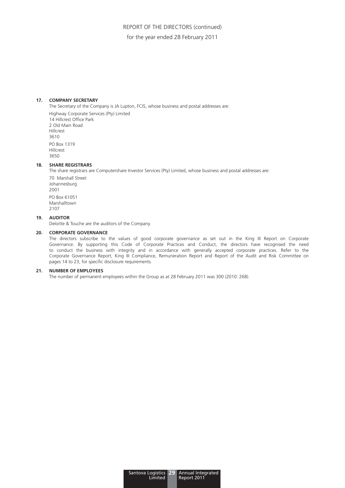## **17. COMPANY SECRETARY**

The Secretary of the Company is JA Lupton, FCIS, whose business and postal addresses are: Highway Corporate Services (Pty) Limited 14 Hillcrest Office Park 2 Old Main Road Hillcrest 3610 PO Box 1319 Hillcrest 3650

## **18. SHARE REGISTRARS**

The share registrars are Computershare Investor Services (Pty) Limited, whose business and postal addresses are:

70 Marshall Street Johannesburg 2001 PO Box 61051 Marshalltown 2107

## **19. AUDITOR**

Deloitte & Touche are the auditors of the Company.

## **20. CORPORATE GOVERNANCE**

The directors subscribe to the values of good corporate governance as set out in the King III Report on Corporate Governance. By supporting this Code of Corporate Practices and Conduct, the directors have recognised the need to conduct the business with integrity and in accordance with generally accepted corporate practices. Refer to the Corporate Governance Report, King III Compliance, Remuneration Report and Report of the Audit and Risk Committee on pages 14 to 23, for specific disclosure requirements.

## **21. NUMBER OF EMPLOYEES**

The number of permanent employees within the Group as at 28 February 2011 was 300 (2010: 268).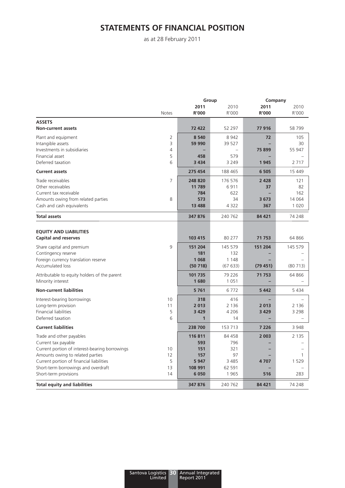# **STATEMENTS OF FINANCIAL POSITION**

as at 28 February 2011

|                                                |                |              | Group   |                          | Company |
|------------------------------------------------|----------------|--------------|---------|--------------------------|---------|
|                                                |                | 2011         | 2010    | 2011                     | 2010    |
|                                                | <b>Notes</b>   | <b>R'000</b> | R'000   | R'000                    | R'000   |
| <b>ASSETS</b>                                  |                |              |         |                          |         |
| <b>Non-current assets</b>                      |                | 72 422       | 52 297  | 77916                    | 58 799  |
| Plant and equipment                            | $\overline{2}$ | 8 5 4 0      | 8 9 4 2 | 72                       | 105     |
| Intangible assets                              | 3              | 59 990       | 39 5 27 |                          | 30      |
| Investments in subsidiaries                    | $\overline{4}$ |              |         | 75 899                   | 55 947  |
| Financial asset                                | 5              | 458          | 579     |                          |         |
| Deferred taxation                              | 6              | 3 4 3 4      | 3 2 4 9 | 1945                     | 2 7 1 7 |
| <b>Current assets</b>                          |                | 275 454      | 188 465 | 6 5 0 5                  | 15 449  |
| Trade receivables                              | 7              | 248 820      | 176 576 | 2 4 2 8                  | 121     |
| Other receivables                              |                | 11789        | 6911    | 37                       | 82      |
| Current tax receivable                         |                | 784          | 622     |                          | 162     |
| Amounts owing from related parties             | 8              | 573          | 34      | 3 6 7 3                  | 14 0 64 |
| Cash and cash equivalents                      |                | 13 4 88      | 4 3 2 2 | 367                      | 1 0 2 0 |
| <b>Total assets</b>                            |                | 347 876      | 240 762 | 84 4 21                  | 74 248  |
|                                                |                |              |         |                          |         |
| <b>EQUITY AND LIABILITIES</b>                  |                |              |         |                          |         |
| <b>Capital and reserves</b>                    |                | 103 415      | 80 277  | 71753                    | 64 866  |
| Share capital and premium                      | 9              | 151 204      | 145 579 | 151 204                  | 145 579 |
| Contingency reserve                            |                | 181          | 132     |                          |         |
| Foreign currency translation reserve           |                | 1068         | 1 1 4 8 |                          |         |
| Accumulated loss                               |                | (50718)      | (67633) | (79 451)                 | (80713) |
| Attributable to equity holders of the parent   |                | 101 735      | 79 226  | 71753                    | 64 866  |
| Minority interest                              |                | 1680         | 1 0 5 1 |                          |         |
| <b>Non-current liabilities</b>                 |                | 5761         | 6772    | 5 4 4 2                  | 5 4 3 4 |
| Interest-bearing borrowings                    | 10             | 318          | 416     |                          |         |
| Long-term provision                            | 11             | 2013         | 2 1 3 6 | 2013                     | 2 1 3 6 |
| <b>Financial liabilities</b>                   | 5              | 3 4 2 9      | 4 2 0 6 | 3 4 2 9                  | 3 2 9 8 |
| Deferred taxation                              | 6              | 1            | 14      | $\overline{\phantom{0}}$ |         |
| <b>Current liabilities</b>                     |                | 238 700      | 153 713 | 7 2 2 6                  | 3 9 4 8 |
| Trade and other payables                       |                | 116 811      | 84 458  | 2 0 0 3                  | 2 1 3 5 |
| Current tax payable                            |                | 593          | 796     |                          |         |
| Current portion of interest-bearing borrowings | 10             | 151          | 321     |                          |         |
| Amounts owing to related parties               | 12             | 157          | 97      |                          | 1       |
| Current portion of financial liabilities       | 5              | 5947         | 3 4 8 5 | 4707                     | 1 5 2 9 |
| Short-term borrowings and overdraft            | 13             | 108 991      | 62 591  |                          |         |
| Short-term provisions                          | 14             | 6050         | 1965    | 516                      | 283     |
| <b>Total equity and liabilities</b>            |                | 347 876      | 240 762 | 84 4 21                  | 74 248  |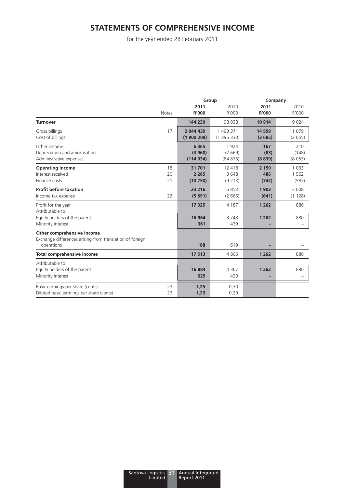# **STATEMENTS OF COMPREHENSIVE INCOME**

for the year ended 28 February 2011

| 2010<br>2011<br>2010<br>2011<br>R'000<br>R'000<br>R'000<br><b>Notes</b><br>R'000<br>98 0 38<br>10 9 14<br>9 0 2 4<br><b>Turnover</b><br>144 230<br>17<br>2 044 439<br>1 493 371<br>14 5 9 9<br>11 079<br>Gross billings<br>Cost of billings<br>(1900209)<br>(139533)<br>(2 055)<br>(3685)<br>Other income<br>6 3 6 5<br>1924<br>167<br>210<br>Depreciation and amortisation<br>(3960)<br>(2669)<br>(83)<br>(148)<br>Administrative expenses<br>(114934)<br>(84875)<br>(8839)<br>(8053) |
|----------------------------------------------------------------------------------------------------------------------------------------------------------------------------------------------------------------------------------------------------------------------------------------------------------------------------------------------------------------------------------------------------------------------------------------------------------------------------------------|
|                                                                                                                                                                                                                                                                                                                                                                                                                                                                                        |
|                                                                                                                                                                                                                                                                                                                                                                                                                                                                                        |
|                                                                                                                                                                                                                                                                                                                                                                                                                                                                                        |
|                                                                                                                                                                                                                                                                                                                                                                                                                                                                                        |
|                                                                                                                                                                                                                                                                                                                                                                                                                                                                                        |
|                                                                                                                                                                                                                                                                                                                                                                                                                                                                                        |
|                                                                                                                                                                                                                                                                                                                                                                                                                                                                                        |
|                                                                                                                                                                                                                                                                                                                                                                                                                                                                                        |
| <b>Operating income</b><br>18<br>31 701<br>12 4 18<br>1 0 3 3<br>2 1 5 9                                                                                                                                                                                                                                                                                                                                                                                                               |
| Interest received<br>20<br>2 2 6 5<br>3648<br>486<br>1 5 6 2                                                                                                                                                                                                                                                                                                                                                                                                                           |
| 21<br>(587)<br>Finance costs<br>(10750)<br>(9213)<br>(742)                                                                                                                                                                                                                                                                                                                                                                                                                             |
| 6853<br>1 9 0 3<br><b>Profit before taxation</b><br>23 216<br>2 0 0 8                                                                                                                                                                                                                                                                                                                                                                                                                  |
| 22<br>(5891)<br>(2666)<br>(641)<br>(1128)<br>Income tax expense                                                                                                                                                                                                                                                                                                                                                                                                                        |
| 880<br>Profit for the year<br>17 325<br>4 1 8 7<br>1 2 6 2                                                                                                                                                                                                                                                                                                                                                                                                                             |
| Attributable to:                                                                                                                                                                                                                                                                                                                                                                                                                                                                       |
| 16 9 64<br>1 2 6 2<br>880<br>Equity holders of the parent<br>3748                                                                                                                                                                                                                                                                                                                                                                                                                      |
| Minority interest<br>439<br>361                                                                                                                                                                                                                                                                                                                                                                                                                                                        |
| Other comprehensive income                                                                                                                                                                                                                                                                                                                                                                                                                                                             |
| Exchange differences arising from translation of foreign                                                                                                                                                                                                                                                                                                                                                                                                                               |
| 619<br>operations<br>188                                                                                                                                                                                                                                                                                                                                                                                                                                                               |
| <b>Total comprehensive income</b><br>17 513<br>4806<br>880<br>1 2 6 2                                                                                                                                                                                                                                                                                                                                                                                                                  |
| Attributable to:                                                                                                                                                                                                                                                                                                                                                                                                                                                                       |
| 16884<br>1 2 6 2<br>880<br>Equity holders of the parent<br>4 3 6 7                                                                                                                                                                                                                                                                                                                                                                                                                     |
| Minority interest<br>629<br>439                                                                                                                                                                                                                                                                                                                                                                                                                                                        |
| Basic earnings per share (cents)<br>23<br>1,25<br>0,30                                                                                                                                                                                                                                                                                                                                                                                                                                 |
| Diluted basic earnings per share (cents)<br>23<br>0,29<br>1,23                                                                                                                                                                                                                                                                                                                                                                                                                         |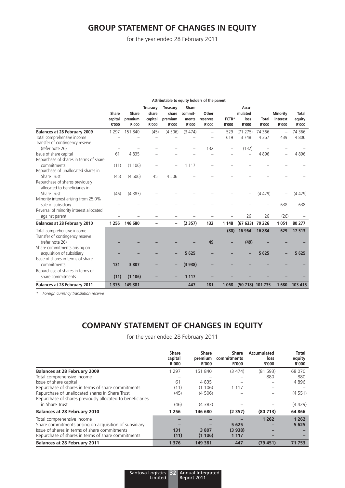# **GROUP STATEMENT OF CHANGES IN EQUITY**

for the year ended 28 February 2011

|                                                                                                      | Attributable to equity holders of the parent |                           |                           |                           |                           |                            |                |                          |                       |                                 |                                 |
|------------------------------------------------------------------------------------------------------|----------------------------------------------|---------------------------|---------------------------|---------------------------|---------------------------|----------------------------|----------------|--------------------------|-----------------------|---------------------------------|---------------------------------|
|                                                                                                      |                                              |                           | Treasury                  | Treasury                  | <b>Share</b>              |                            |                | Accu-                    |                       |                                 |                                 |
|                                                                                                      | Share<br>capital<br>R'000                    | Share<br>premium<br>R'000 | share<br>capital<br>R'000 | share<br>premium<br>R'000 | commit-<br>ments<br>R'000 | Other<br>reserves<br>R'000 | FCTR*<br>R'000 | mulated<br>loss<br>R'000 | <b>Total</b><br>R'000 | Minority<br>interest<br>R'000   | <b>Total</b><br>equity<br>R'000 |
| <b>Balances at 28 February 2009</b><br>Total comprehensive income<br>Transfer of contingency reserve | 1 2 9 7                                      | 151 840                   | (45)                      | (4506)                    | (3474)                    | $\overline{\phantom{0}}$   | 529<br>619     | (71 275)<br>3748         | 74 366<br>4 3 6 7     | $\overline{\phantom{0}}$<br>439 | 74 366<br>4806                  |
| (refer note 26)                                                                                      |                                              |                           |                           |                           |                           | 132                        |                | (132)                    |                       |                                 |                                 |
| Issue of share capital<br>Repurchase of shares in terms of share                                     | 61                                           | 4835                      |                           |                           |                           |                            |                | $\overline{\phantom{0}}$ | 4896                  |                                 | 4896                            |
| commitments<br>Repurchase of unallocated shares in                                                   | (11)                                         | (1106)                    |                           |                           | 1 1 1 7                   |                            |                |                          |                       |                                 |                                 |
| Share Trust<br>Repurchase of shares previously                                                       | (45)                                         | (4506)                    | 45                        | 4506                      |                           |                            |                |                          |                       |                                 |                                 |
| allocated to beneficiaries in<br>Share Trust<br>Minority interest arising from 25,0%                 | (46)                                         | (4383)                    |                           |                           |                           |                            |                |                          | (4429)                |                                 | (4429)                          |
| sale of subsidiary<br>Reversal of minority interest allocated                                        |                                              |                           |                           |                           |                           |                            |                |                          |                       | 638                             | 638                             |
| against parent                                                                                       |                                              |                           |                           |                           |                           |                            |                | 26                       | 26                    | (26)                            |                                 |
| <b>Balances at 28 February 2010</b>                                                                  | 1 2 5 6                                      | 146 680                   |                           |                           | (2357)                    | 132                        | 1 1 4 8        | (67633)                  | 79 226                | 1051                            | 80 277                          |
| Total comprehensive income<br>Transfer of contingency reserve                                        |                                              |                           |                           |                           |                           |                            | (80)           | 16 9 64                  | 16 8 84               | 629                             | 17 513                          |
| (refer note 26)<br>Share commitments arising on                                                      |                                              |                           |                           |                           |                           | 49                         |                | (49)                     |                       |                                 |                                 |
| acquisition of subsidiary<br>Issue of shares in terms of share                                       |                                              |                           |                           |                           | 5 6 2 5                   |                            |                |                          | 5 6 2 5               |                                 | 5 6 2 5                         |
| commitments                                                                                          | 131                                          | 3 807                     |                           |                           | (3938)                    |                            |                |                          |                       |                                 |                                 |
| Repurchase of shares in terms of<br>share commitments                                                | (11)                                         | (1106)                    |                           |                           | 1 1 1 7                   |                            |                |                          |                       |                                 |                                 |
| <b>Balances at 28 February 2011</b>                                                                  | 1 3 7 6                                      | 149 381                   |                           |                           | 447                       | 181                        | 1 0 6 8        |                          | (50 718) 101 735      | 1680                            | 103 415                         |

*\* Foreign currency translation reserve*

# **COMPANY STATEMENT OF CHANGES IN EQUITY**

for the year ended 28 February 2011

|                                                            | <b>Share</b><br>capital<br>R'000 | <b>Share</b><br>premium<br>R'000 | Share<br>commitments<br>R'000 | Accumulated<br>loss<br>R'000 | <b>Total</b><br>equity<br>R'000 |
|------------------------------------------------------------|----------------------------------|----------------------------------|-------------------------------|------------------------------|---------------------------------|
| <b>Balances at 28 February 2009</b>                        | 1 2 9 7                          | 151 840                          | (3474)                        | (81593)                      | 68 070                          |
| Total comprehensive income                                 |                                  |                                  |                               | 880                          | 880                             |
| Issue of share capital                                     | 61                               | 4835                             |                               |                              | 4896                            |
| Repurchase of shares in terms of share commitments         | (11)                             | (1106)                           | 1 1 1 7                       |                              |                                 |
| Repurchase of unallocated shares in Share Trust            | (45)                             | (4506)                           |                               |                              | (4551)                          |
| Repurchase of shares previously allocated to beneficiaries |                                  |                                  |                               |                              |                                 |
| in Share Trust                                             | (46)                             | (4383)                           |                               |                              | (4429)                          |
| <b>Balances at 28 February 2010</b>                        | 1 2 5 6                          | 146 680                          | (2357)                        | (80713)                      | 64 866                          |
| Total comprehensive income                                 |                                  |                                  |                               | 1 2 6 2                      | 1 2 6 2                         |
| Share commitments arising on acquisition of subsidiary     |                                  |                                  | 5 6 2 5                       |                              | 5 6 2 5                         |
| Issue of shares in terms of share commitments              | 131                              | 3807                             | (3938)                        |                              |                                 |
| Repurchase of shares in terms of share commitments         | (11)                             | (1106)                           | 1 1 1 7                       |                              |                                 |
| <b>Balances at 28 February 2011</b>                        | 1 3 7 6                          | 149 381                          | 447                           | (79451)                      | 71753                           |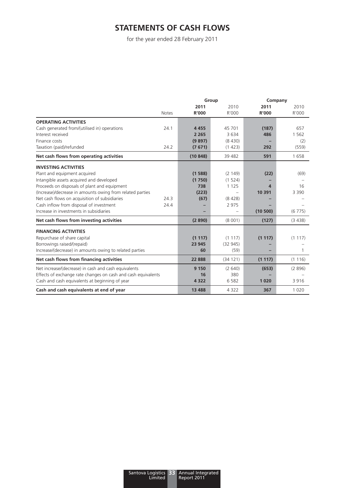# **STATEMENTS OF CASH FLOWS**

|                                                               |              | Group    |         | Company  |         |
|---------------------------------------------------------------|--------------|----------|---------|----------|---------|
|                                                               |              | 2011     | 2010    | 2011     | 2010    |
|                                                               | <b>Notes</b> | R'000    | R'000   | R'000    | R'000   |
| <b>OPERATING ACTIVITIES</b>                                   |              |          |         |          |         |
| Cash generated from/(utilised in) operations                  | 24.1         | 4 4 5 5  | 45 701  | (187)    | 657     |
| Interest received                                             |              | 2 2 6 5  | 3 6 3 4 | 486      | 1 5 6 2 |
| Finance costs                                                 |              | (9897)   | (8430)  |          | (2)     |
| Taxation (paid)/refunded                                      | 24.2         | (7671)   | (1423)  | 292      | (559)   |
| Net cash flows from operating activities                      |              | (10848)  | 39 482  | 591      | 1658    |
| <b>INVESTING ACTIVITIES</b>                                   |              |          |         |          |         |
| Plant and equipment acquired                                  |              | (1588)   | (2149)  | (22)     | (69)    |
| Intangible assets acquired and developed                      |              | (1750)   | (1524)  |          |         |
| Proceeds on disposals of plant and equipment                  |              | 738      | 1 1 2 5 | 4        | 16      |
| (Increase)/decrease in amounts owing from related parties     |              | (223)    |         | 10 391   | 3 3 9 0 |
| Net cash flows on acquisition of subsidiaries                 | 24.3         | (67)     | (8428)  |          |         |
| Cash inflow from disposal of investment                       | 24.4         |          | 2 9 7 5 |          |         |
| Increase in investments in subsidiaries                       |              |          |         | (10 500) | (6775)  |
| Net cash flows from investing activities                      |              | (2890)   | (8001)  | (127)    | (3438)  |
| <b>FINANCING ACTIVITIES</b>                                   |              |          |         |          |         |
| Repurchase of share capital                                   |              | (1117)   | (1117)  | (1117)   | (1117)  |
| Borrowings raised/(repaid)                                    |              | 23 945   | (32945) |          |         |
| Increase/(decrease) in amounts owing to related parties       |              | 60       | (59)    |          | 1       |
| Net cash flows from financing activities                      |              | 22 8 8 8 | (34121) | (1117)   | (1116)  |
| Net increase/(decrease) in cash and cash equivalents          |              | 9 1 5 0  | (2640)  | (653)    | (2896)  |
| Effects of exchange rate changes on cash and cash equivalents |              | 16       | 380     |          |         |
| Cash and cash equivalents at beginning of year                |              | 4 3 2 2  | 6 5 8 2 | 1 0 2 0  | 3916    |
| Cash and cash equivalents at end of year                      |              | 13 4 8 8 | 4 3 2 2 | 367      | 1 0 2 0 |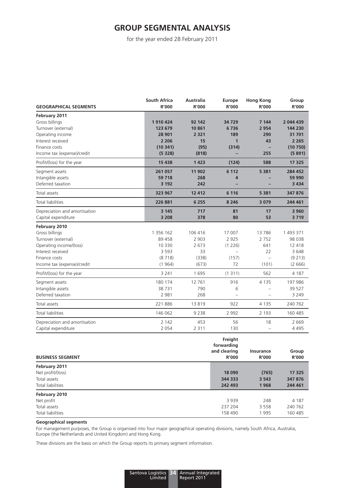# **GROUP SEGMENTAL ANALYSIS**

for the year ended 28 February 2011

| <b>GEOGRAPHICAL SEGMENTS</b>  | <b>South Africa</b><br>R'000 | <b>Australia</b><br>R'000 | <b>Europe</b><br>R'000 | <b>Hong Kong</b><br>R'000 | Group<br>R'000 |
|-------------------------------|------------------------------|---------------------------|------------------------|---------------------------|----------------|
| February 2011                 |                              |                           |                        |                           |                |
| Gross billings                | 1910424                      | 92 142                    | 34 729                 | 7 144                     | 2 044 439      |
| Turnover (external)           | 123 679                      | 10861                     | 6736                   | 2 9 5 4                   | 144 230        |
| Operating income              | 28 901                       | 2 3 2 1                   | 189                    | 290                       | 31 701         |
| Interest received             | 2 2 0 6                      | 15                        | 1                      | 43                        | 2 2 6 5        |
| Finance costs                 | (10341)                      | (95)                      | (314)                  |                           | (10750)        |
| Income tax (expense)/credit   | (5328)                       | (818)                     |                        | 255                       | (5891)         |
| Profit/(loss) for the year    | 15 438                       | 1423                      | (124)                  | 588                       | 17 325         |
| Segment assets                | 261 057                      | 11 902                    | 6 1 1 2                | 5 3 8 1                   | 284 452        |
| Intangible assets             | 59 718                       | 268                       | 4                      |                           | 59 990         |
| Deferred taxation             | 3 192                        | 242                       |                        |                           | 3 4 3 4        |
| Total assets                  | 323 967                      | 12 4 12                   | 6 1 1 6                | 5 3 8 1                   | 347 876        |
| <b>Total liabilities</b>      | 226 881                      | 6 2 5 5                   | 8 2 4 6                | 3 0 7 9                   | 244 461        |
| Depreciation and amortisation | 3 1 4 5                      | 717                       | 81                     | 17                        | 3 9 6 0        |
| Capital expenditure           | 3 2 0 8                      | 378                       | 80                     | 53                        | 3719           |
| February 2010                 |                              |                           |                        |                           |                |
| Gross billings                | 1 356 162                    | 106 416                   | 17 007                 | 13786                     | 1 493 371      |
| Turnover (external)           | 89 458                       | 2 9 0 3                   | 2 9 2 5                | 2 7 5 2                   | 98 038         |
| Operating income/(loss)       | 10 330                       | 2 673                     | (1 226)                | 641                       | 12 418         |
| Interest received             | 3 5 9 3                      | 33                        |                        | 22                        | 3 6 4 8        |
| Finance costs                 | (8718)                       | (338)                     | (157)                  |                           | (9 213)        |
| Income tax (expense)/credit   | (1964)                       | (673)                     | 72                     | (101)                     | (2666)         |
| Profit/(loss) for the year    | 3 2 4 1                      | 1695                      | (1311)                 | 562                       | 4 1 8 7        |
| Segment assets                | 180 174                      | 12 761                    | 916                    | 4 1 3 5                   | 197 986        |
| Intangible assets             | 38 7 31                      | 790                       | 6                      |                           | 39 527         |
| Deferred taxation             | 2 9 8 1                      | 268                       |                        |                           | 3 2 4 9        |
| Total assets                  | 221 886                      | 13819                     | 922                    | 4 1 3 5                   | 240 762        |
| <b>Total liabilities</b>      | 146 062                      | 9 2 3 8                   | 2 9 9 2                | 2 1 9 3                   | 160 485        |
| Depreciation and amortisation | 2 1 4 2                      | 453                       | 56                     | 18                        | 2 6 6 9        |
| Capital expenditure           | 2 0 5 4                      | 2 3 1 1                   | 130                    | $\qquad \qquad -$         | 4 4 9 5        |

| <b>BUSINESS SEGMENT</b>                                                 | Freight<br>forwarding<br>and clearing<br><b>R'000</b> | <b>Insurance</b><br><b>R'000</b> | Group<br>R'000                |
|-------------------------------------------------------------------------|-------------------------------------------------------|----------------------------------|-------------------------------|
| February 2011<br>Net profit/(loss)<br>Total assets<br>Total liabilities | 18 0 90<br>344 333<br>242 493                         | (765)<br>3 5 4 3<br>1968         | 17 325<br>347 876<br>244 461  |
| February 2010<br>Net profit<br>Total assets<br><b>Total liabilities</b> | 3939<br>237 204<br>158 490                            | 248<br>3 5 5 8<br>1995           | 4 1 8 7<br>240 762<br>160 485 |

### **Geographical segments**

For management purposes, the Group is organised into four major geographical operating divisions, namely South Africa, Australia, Europe (the Netherlands and United Kingdom) and Hong Kong.

These divisions are the basis on which the Group reports its primary segment information.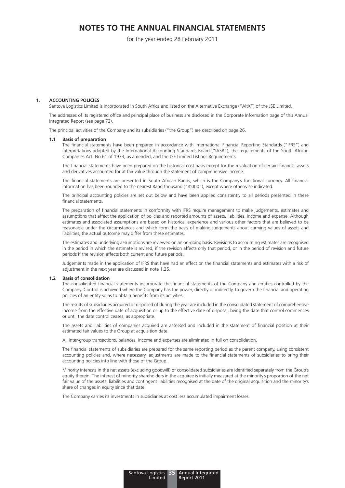# **NOTES TO THE ANNUAL FINANCIAL STATEMENTS**

for the year ended 28 February 2011

#### **1. ACCOUNTING POLICIES**

Santova Logistics Limited is incorporated in South Africa and listed on the Alternative Exchange ("AltX") of the JSE Limited.

The addresses of its registered office and principal place of business are disclosed in the Corporate Information page of this Annual Integrated Report (see page 72).

The principal activities of the Company and its subsidiaries ("the Group") are described on page 26.

#### **1.1 Basis of preparation**

The financial statements have been prepared in accordance with International Financial Reporting Standards ("IFRS") and interpretations adopted by the International Accounting Standards Board ("IASB"), the requirements of the South African Companies Act, No 61 of 1973, as amended, and the JSE Limited Listings Requirements.

The financial statements have been prepared on the historical cost basis except for the revaluation of certain financial assets and derivatives accounted for at fair value through the statement of comprehensive income.

The financial statements are presented in South African Rands, which is the Company's functional currency. All financial information has been rounded to the nearest Rand thousand ("R'000"), except where otherwise indicated.

The principal accounting policies are set out below and have been applied consistently to all periods presented in these financial statements.

The preparation of financial statements in conformity with IFRS require management to make judgements, estimates and assumptions that affect the application of policies and reported amounts of assets, liabilities, income and expense. Although estimates and associated assumptions are based on historical experience and various other factors that are believed to be reasonable under the circumstances and which form the basis of making judgements about carrying values of assets and liabilities, the actual outcome may differ from these estimates.

The estimates and underlying assumptions are reviewed on an on-going basis. Revisions to accounting estimates are recognised in the period in which the estimate is revised, if the revision affects only that period, or in the period of revision and future periods if the revision affects both current and future periods.

Judgements made in the application of IFRS that have had an effect on the financial statements and estimates with a risk of adjustment in the next year are discussed in note 1.25.

#### **1.2 Basis of consolidation**

The consolidated financial statements incorporate the financial statements of the Company and entities controlled by the Company. Control is achieved where the Company has the power, directly or indirectly, to govern the financial and operating policies of an entity so as to obtain benefits from its activities.

The results of subsidiaries acquired or disposed of during the year are included in the consolidated statement of comprehensive income from the effective date of acquisition or up to the effective date of disposal, being the date that control commences or until the date control ceases, as appropriate.

The assets and liabilities of companies acquired are assessed and included in the statement of financial position at their estimated fair values to the Group at acquisition date.

All inter-group transactions, balances, income and expenses are eliminated in full on consolidation.

The financial statements of subsidiaries are prepared for the same reporting period as the parent company, using consistent accounting policies and, where necessary, adjustments are made to the financial statements of subsidiaries to bring their accounting policies into line with those of the Group.

Minority interests in the net assets (excluding goodwill) of consolidated subsidiaries are identified separately from the Group's equity therein. The interest of minority shareholders in the acquiree is initially measured at the minority's proportion of the net fair value of the assets, liabilities and contingent liabilities recognised at the date of the original acquisition and the minority's share of changes in equity since that date.

The Company carries its investments in subsidiaries at cost less accumulated impairment losses.

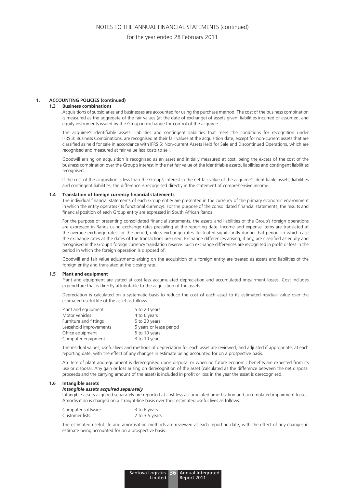### **1. ACCOUNTING POLICIES (continued)**

### **1.3 Business combinations**

Acquisitions of subsidiaries and businesses are accounted for using the purchase method. The cost of the business combination is measured as the aggregate of the fair values (at the date of exchange) of assets given, liabilities incurred or assumed, and equity instruments issued by the Group in exchange for control of the acquiree.

The acquiree's identifiable assets, liabilities and contingent liabilities that meet the conditions for recognition under IFRS 3: Business Combinations, are recognised at their fair values at the acquisition date, except for non-current assets that are classified as held for sale in accordance with IFRS 5: Non-current Assets Held for Sale and Discontinued Operations, which are recognised and measured at fair value less costs to sell.

Goodwill arising on acquisition is recognised as an asset and initially measured at cost, being the excess of the cost of the business combination over the Group's interest in the net fair value of the identifiable assets, liabilities and contingent liabilities recognised.

If the cost of the acquisition is less than the Group's interest in the net fair value of the acquiree's identifiable assets, liabilities and contingent liabilities, the difference is recognised directly in the statement of comprehensive income.

#### **1.4 Translation of foreign currency financial statements**

The individual financial statements of each Group entity are presented in the currency of the primary economic environment in which the entity operates (its functional currency). For the purpose of the consolidated financial statements, the results and financial position of each Group entity are expressed in South African Rands.

For the purpose of presenting consolidated financial statements, the assets and liabilities of the Group's foreign operations are expressed in Rands using exchange rates prevailing at the reporting date. Income and expense items are translated at the average exchange rates for the period, unless exchange rates fluctuated significantly during that period, in which case the exchange rates at the dates of the transactions are used. Exchange differences arising, if any, are classified as equity and recognised in the Group's foreign currency translation reserve. Such exchange differences are recognised in profit or loss in the period in which the foreign operation is disposed of.

Goodwill and fair value adjustments arising on the acquisition of a foreign entity are treated as assets and liabilities of the foreign entity and translated at the closing rate.

#### **1.5 Plant and equipment**

Plant and equipment are stated at cost less accumulated depreciation and accumulated impairment losses. Cost includes expenditure that is directly attributable to the acquisition of the assets.

Depreciation is calculated on a systematic basis to reduce the cost of each asset to its estimated residual value over the estimated useful life of the asset as follows:

| Plant and equipment    | 5 to 20 years           |
|------------------------|-------------------------|
| Motor vehicles         | 4 to 6 years            |
| Furniture and fittings | 5 to 20 years           |
| Leasehold improvements | 5 years or lease period |
| Office equipment       | 5 to 10 years           |
| Computer equipment     | 3 to 10 years           |

The residual values, useful lives and methods of depreciation for each asset are reviewed, and adjusted if appropriate, at each reporting date, with the effect of any changes in estimate being accounted for on a prospective basis.

An item of plant and equipment is derecognised upon disposal or when no future economic benefits are expected from its use or disposal. Any gain or loss arising on derecognition of the asset (calculated as the difference between the net disposal proceeds and the carrying amount of the asset) is included in profit or loss in the year the asset is derecognised.

### **1.6 Intangible assets**

#### *Intangible assets acquired separately*

Intangible assets acquired separately are reported at cost less accumulated amortisation and accumulated impairment losses. Amortisation is charged on a straight-line basis over their estimated useful lives as follows:

| Computer software | 3 to 6 years     |
|-------------------|------------------|
| Customer lists    | 2 to $3,5$ years |

The estimated useful life and amortisation methods are reviewed at each reporting date, with the effect of any changes in estimate being accounted for on a prospective basis.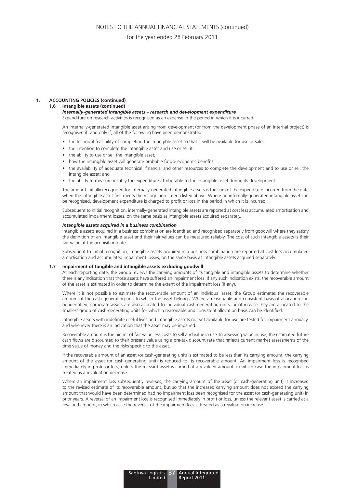### **1. ACCOUNTING POLICIES (continued)**

#### **1.6 Intangible assets (continued)**

*Internally-generated intangible assets – research and development expenditure*

Expenditure on research activities is recognised as an expense in the period in which it is incurred.

An internally-generated intangible asset arising from development (or from the development phase of an internal project) is recognised if, and only if, all of the following have been demonstrated:

- the technical feasibility of completing the intangible asset so that it will be available for use or sale;
- the intention to complete the intangible asset and use or sell it;
- the ability to use or sell the intangible asset;
- how the intangible asset will generate probable future economic benefits;
- the availability of adequate technical, financial and other resources to complete the development and to use or sell the intangible asset; and
- the ability to measure reliably the expenditure attributable to the intangible asset during its development.

The amount initially recognised for internally-generated intangible assets is the sum of the expenditure incurred from the date when the intangible asset first meets the recognition criteria listed above. Where no internally-generated intangible asset can be recognised, development expenditure is charged to profit or loss in the period in which it is incurred.

Subsequent to initial recognition, internally-generated intangible assets are reported at cost less accumulated amortisation and accumulated impairment losses, on the same basis as intangible assets acquired separately.

#### *Intangible assets acquired in a business combination*

Intangible assets acquired in a business combination are identified and recognised separately from goodwill where they satisfy the definition of an intangible asset and their fair values can be measured reliably. The cost of such intangible assets is their fair value at the acquisition date.

Subsequent to initial recognition, intangible assets acquired in a business combination are reported at cost less accumulated amortisation and accumulated impairment losses, on the same basis as intangible assets acquired separately.

#### **1.7 Impairment of tangible and intangible assets excluding goodwill**

At each reporting date, the Group reviews the carrying amounts of its tangible and intangible assets to determine whether there is any indication that those assets have suffered an impairment loss. If any such indication exists, the recoverable amount of the asset is estimated in order to determine the extent of the impairment loss (if any).

Where it is not possible to estimate the recoverable amount of an individual asset, the Group estimates the recoverable amount of the cash-generating unit to which the asset belongs. Where a reasonable and consistent basis of allocation can be identified, corporate assets are also allocated to individual cash-generating units, or otherwise they are allocated to the smallest group of cash-generating units for which a reasonable and consistent allocation basis can be identified.

Intangible assets with indefinite useful lives and intangible assets not yet available for use are tested for impairment annually, and whenever there is an indication that the asset may be impaired.

Recoverable amount is the higher of fair value less costs to sell and value in use. In assessing value in use, the estimated future cash flows are discounted to their present value using a pre-tax discount rate that reflects current market assessments of the time value of money and the risks specific to the asset.

If the recoverable amount of an asset (or cash-generating unit) is estimated to be less than its carrying amount, the carrying amount of the asset (or cash-generating unit) is reduced to its recoverable amount. An impairment loss is recognised immediately in profit or loss, unless the relevant asset is carried at a revalued amount, in which case the impairment loss is treated as a revaluation decrease.

Where an impairment loss subsequently reverses, the carrying amount of the asset (or cash-generating unit) is increased to the revised estimate of its recoverable amount, but so that the increased carrying amount does not exceed the carrying amount that would have been determined had no impairment loss been recognised for the asset (or cash-generating unit) in prior years. A reversal of an impairment loss is recognised immediately in profit or loss, unless the relevant asset is carried at a revalued amount, in which case the reversal of the impairment loss is treated as a revaluation increase.

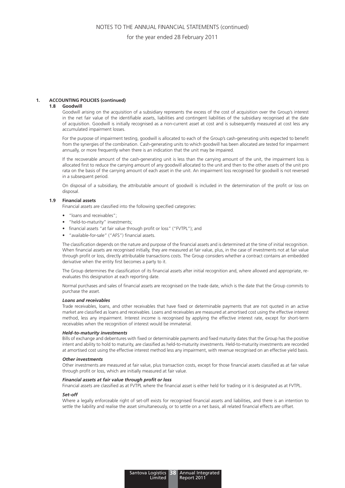### **1. ACCOUNTING POLICIES (continued)**

### **1.8 Goodwill**

Goodwill arising on the acquisition of a subsidiary represents the excess of the cost of acquisition over the Group's interest in the net fair value of the identifiable assets, liabilities and contingent liabilities of the subsidiary recognised at the date of acquisition. Goodwill is initially recognised as a non-current asset at cost and is subsequently measured at cost less any accumulated impairment losses.

For the purpose of impairment testing, goodwill is allocated to each of the Group's cash-generating units expected to benefit from the synergies of the combination. Cash-generating units to which goodwill has been allocated are tested for impairment annually, or more frequently when there is an indication that the unit may be impaired.

If the recoverable amount of the cash-generating unit is less than the carrying amount of the unit, the impairment loss is allocated first to reduce the carrying amount of any goodwill allocated to the unit and then to the other assets of the unit pro rata on the basis of the carrying amount of each asset in the unit. An impairment loss recognised for goodwill is not reversed in a subsequent period.

On disposal of a subsidiary, the attributable amount of goodwill is included in the determination of the profit or loss on disposal.

### **1.9 Financial assets**

Financial assets are classified into the following specified categories:

- "loans and receivables";
- "held-to-maturity" investments;
- financial assets "at fair value through profit or loss" ("FVTPL"); and
- "available-for-sale" ("AFS") financial assets.

The classification depends on the nature and purpose of the financial assets and is determined at the time of initial recognition. When financial assets are recognised initially, they are measured at fair value, plus, in the case of investments not at fair value through profit or loss, directly attributable transactions costs. The Group considers whether a contract contains an embedded derivative when the entity first becomes a party to it.

The Group determines the classification of its financial assets after initial recognition and, where allowed and appropriate, reevaluates this designation at each reporting date.

Normal purchases and sales of financial assets are recognised on the trade date, which is the date that the Group commits to purchase the asset.

#### *Loans and receivables*

Trade receivables, loans, and other receivables that have fixed or determinable payments that are not quoted in an active market are classified as loans and receivables. Loans and receivables are measured at amortised cost using the effective interest method, less any impairment. Interest income is recognised by applying the effective interest rate, except for short-term receivables when the recognition of interest would be immaterial.

#### *Held-to-maturity investments*

Bills of exchange and debentures with fixed or determinable payments and fixed maturity dates that the Group has the positive intent and ability to hold to maturity, are classified as held-to-maturity investments. Held-to-maturity investments are recorded at amortised cost using the effective interest method less any impairment, with revenue recognised on an effective yield basis.

#### *Other investments*

Other investments are measured at fair value, plus transaction costs, except for those financial assets classified as at fair value through profit or loss, which are initially measured at fair value.

#### **Financial assets at fair value through profit or loss**

Financial assets are classified as at FVTPL where the financial asset is either held for trading or it is designated as at FVTPL.

#### *Set-off*

Where a legally enforceable right of set-off exists for recognised financial assets and liabilities, and there is an intention to settle the liability and realise the asset simultaneously, or to settle on a net basis, all related financial effects are offset.

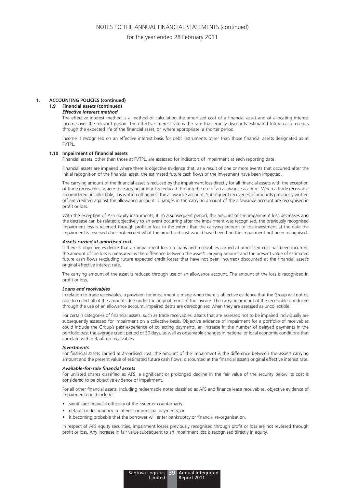### **1. ACCOUNTING POLICIES (continued)**

## **1.9 Financial assets (continued)**

### *Effective interest method*

The effective interest method is a method of calculating the amortised cost of a financial asset and of allocating interest income over the relevant period. The effective interest rate is the rate that exactly discounts estimated future cash receipts through the expected life of the financial asset, or, where appropriate, a shorter period.

Income is recognised on an effective interest basis for debt instruments other than those financial assets designated as at **FVTPL.** 

#### **1.10** Impairment of financial assets

Financial assets, other than those at FVTPL, are assessed for indicators of impairment at each reporting date.

Financial assets are impaired where there is objective evidence that, as a result of one or more events that occurred after the initial recognition of the financial asset, the estimated future cash flows of the investment have been impacted.

The carrying amount of the financial asset is reduced by the impairment loss directly for all financial assets with the exception of trade receivables, where the carrying amount is reduced through the use of an allowance account. When a trade receivable is considered uncollectible, it is written off against the allowance account. Subsequent recoveries of amounts previously written off are credited against the allowance account. Changes in the carrying amount of the allowance account are recognised in profit or loss.

With the exception of AFS equity instruments, if, in a subsequent period, the amount of the impairment loss decreases and the decrease can be related objectively to an event occurring after the impairment was recognised, the previously recognised impairment loss is reversed through profit or loss to the extent that the carrying amount of the investment at the date the impairment is reversed does not exceed what the amortised cost would have been had the impairment not been recognised.

#### *Assets carried at amortised cost*

If there is objective evidence that an impairment loss on loans and receivables carried at amortised cost has been incurred, the amount of the loss is measured as the difference between the asset's carrying amount and the present value of estimated future cash flows (excluding future expected credit losses that have not been incurred) discounted at the financial asset's original effective interest rate.

The carrying amount of the asset is reduced through use of an allowance account. The amount of the loss is recognised in profit or loss.

#### *Loans and receivables*

In relation to trade receivables, a provision for impairment is made when there is objective evidence that the Group will not be able to collect all of the amounts due under the original terms of the invoice. The carrying amount of the receivable is reduced through the use of an allowance account. Impaired debts are derecognised when they are assessed as uncollectible.

For certain categories of financial assets, such as trade receivables, assets that are assessed not to be impaired individually are subsequently assessed for impairment on a collective basis. Objective evidence of impairment for a portfolio of receivables could include the Group's past experience of collecting payments, an increase in the number of delayed payments in the portfolio past the average credit period of 30 days, as well as observable changes in national or local economic conditions that correlate with default on receivables.

#### *Investments*

For financial assets carried at amortised cost, the amount of the impairment is the difference between the asset's carrying amount and the present value of estimated future cash flows, discounted at the financial asset's original effective interest rate.

#### *Available-for-sale fi nancial assets*

For unlisted shares classified as AFS, a significant or prolonged decline in the fair value of the security below its cost is considered to be objective evidence of impairment.

For all other financial assets, including redeemable notes classified as AFS and finance lease receivables, objective evidence of impairment could include:

- significant financial difficulty of the issuer or counterparty:
- default or delinquency in interest or principal payments; or
- it becoming probable that the borrower will enter bankruptcy or financial re-organisation.

In respect of AFS equity securities, impairment losses previously recognised through profit or loss are not reversed through profit or loss. Any increase in fair value subsequent to an impairment loss is recognised directly in equity.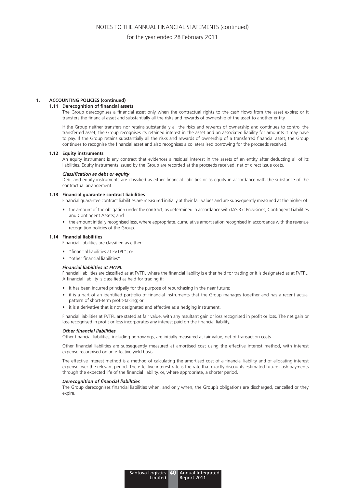### **1. ACCOUNTING POLICIES (continued)**

### **1.11 Derecognition of financial assets**

The Group derecognises a financial asset only when the contractual rights to the cash flows from the asset expire; or it transfers the financial asset and substantially all the risks and rewards of ownership of the asset to another entity.

If the Group neither transfers nor retains substantially all the risks and rewards of ownership and continues to control the transferred asset, the Group recognises its retained interest in the asset and an associated liability for amounts it may have to pay. If the Group retains substantially all the risks and rewards of ownership of a transferred financial asset, the Group continues to recognise the financial asset and also recognises a collateralised borrowing for the proceeds received.

#### **1.12 Equity instruments**

An equity instrument is any contract that evidences a residual interest in the assets of an entity after deducting all of its liabilities. Equity instruments issued by the Group are recorded at the proceeds received, net of direct issue costs.

#### *Classifi cation as debt or equity*

Debt and equity instruments are classified as either financial liabilities or as equity in accordance with the substance of the contractual arrangement.

#### **1.13 Financial guarantee contract liabilities**

Financial guarantee contract liabilities are measured initially at their fair values and are subsequently measured at the higher of:

- the amount of the obligation under the contract, as determined in accordance with IAS 37: Provisions, Contingent Liabilities and Contingent Assets; and
- the amount initially recognised less, where appropriate, cumulative amortisation recognised in accordance with the revenue recognition policies of the Group.

#### **1.14 Financial liabilities**

Financial liabilities are classified as either:

- "financial liabilities at FVTPL"; or
- $\bullet$  "other financial liabilities"

#### *Financial liabilities at FVTPL*

Financial liabilities are classified as at FVTPL where the financial liability is either held for trading or it is designated as at FVTPL. A financial liability is classified as held for trading if:

- it has been incurred principally for the purpose of repurchasing in the near future;
- it is a part of an identified portfolio of financial instruments that the Group manages together and has a recent actual pattern of short-term profit-taking; or
- it is a derivative that is not designated and effective as a hedging instrument.

Financial liabilities at FVTPL are stated at fair value, with any resultant gain or loss recognised in profit or loss. The net gain or loss recognised in profit or loss incorporates any interest paid on the financial liability.

#### **Other financial liabilities**

Other financial liabilities, including borrowings, are initially measured at fair value, net of transaction costs.

Other financial liabilities are subsequently measured at amortised cost using the effective interest method, with interest expense recognised on an effective yield basis.

The effective interest method is a method of calculating the amortised cost of a financial liability and of allocating interest expense over the relevant period. The effective interest rate is the rate that exactly discounts estimated future cash payments through the expected life of the financial liability, or, where appropriate, a shorter period.

#### *Derecognition of fi nancial liabilities*

The Group derecognises financial liabilities when, and only when, the Group's obligations are discharged, cancelled or they expire.

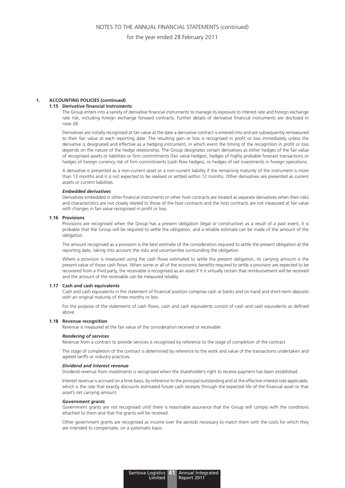### **1. ACCOUNTING POLICIES (continued)**

#### **1.15 Derivative financial instruments**

The Group enters into a variety of derivative financial instruments to manage its exposure to interest rate and foreign exchange rate risk, including foreign exchange forward contracts. Further details of derivative financial instruments are disclosed in note 28.

Derivatives are initially recognised at fair value at the date a derivative contract is entered into and are subsequently remeasured to their fair value at each reporting date. The resulting gain or loss is recognised in profit or loss immediately unless the derivative is designated and effective as a hedging instrument, in which event the timing of the recognition in profit or loss depends on the nature of the hedge relationship. The Group designates certain derivatives as either hedges of the fair value of recognised assets or liabilities or firm commitments (fair value hedges), hedges of highly probable forecast transactions or hedges of foreign currency risk of firm commitments (cash flow hedges), or hedges of net investments in foreign operations.

A derivative is presented as a non-current asset or a non-current liability if the remaining maturity of the instrument is more than 12 months and it is not expected to be realised or settled within 12 months. Other derivatives are presented as current assets or current liabilities.

#### *Embedded derivatives*

Derivatives embedded in other financial instruments or other host contracts are treated as separate derivatives when their risks and characteristics are not closely related to those of the host contracts and the host contracts are not measured at fair value with changes in fair value recognised in profit or loss.

#### **1.16 Provisions**

Provisions are recognised when the Group has a present obligation (legal or constructive) as a result of a past event, it is probable that the Group will be required to settle the obligation, and a reliable estimate can be made of the amount of the obligation.

The amount recognised as a provision is the best estimate of the consideration required to settle the present obligation at the reporting date, taking into account the risks and uncertainties surrounding the obligation.

Where a provision is measured using the cash flows estimated to settle the present obligation, its carrying amount is the present value of those cash flows. When some or all of the economic benefits required to settle a provision are expected to be recovered from a third party, the receivable is recognised as an asset if it is virtually certain that reimbursement will be received and the amount of the receivable can be measured reliably.

#### **1.17 Cash and cash equivalents**

Cash and cash equivalents in the statement of financial position comprise cash at banks and on hand and short-term deposits with an original maturity of three months or less.

For the purpose of the statements of cash flows, cash and cash equivalents consist of cash and cash equivalents as defined above.

#### **1.18 Revenue recognition**

Revenue is measured at the fair value of the consideration received or receivable.

#### *Rendering of services*

Revenue from a contract to provide services is recognised by reference to the stage of completion of the contract.

The stage of completion of the contract is determined by reference to the work and value of the transactions undertaken and agreed tariffs or industry practices.

### *Dividend and interest revenue*

Dividend revenue from investments is recognised when the shareholder's right to receive payment has been established.

Interest revenue is accrued on a time basis, by reference to the principal outstanding and at the effective interest rate applicable, which is the rate that exactly discounts estimated future cash receipts through the expected life of the financial asset to that asset's net carrying amount.

#### *Government grants*

Government grants are not recognised until there is reasonable assurance that the Group will comply with the conditions attached to them and that the grants will be received.

Other government grants are recognised as income over the periods necessary to match them with the costs for which they are intended to compensate, on a systematic basis.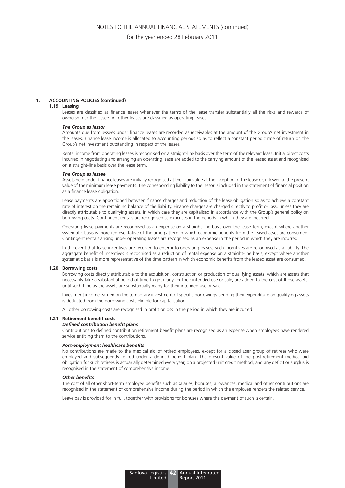### **1. ACCOUNTING POLICIES (continued)**

### **1.19 Leasing**

Leases are classified as finance leases whenever the terms of the lease transfer substantially all the risks and rewards of ownership to the lessee. All other leases are classified as operating leases.

#### *The Group as lessor*

Amounts due from lessees under finance leases are recorded as receivables at the amount of the Group's net investment in the leases. Finance lease income is allocated to accounting periods so as to reflect a constant periodic rate of return on the Group's net investment outstanding in respect of the leases.

Rental income from operating leases is recognised on a straight-line basis over the term of the relevant lease. Initial direct costs incurred in negotiating and arranging an operating lease are added to the carrying amount of the leased asset and recognised on a straight-line basis over the lease term.

#### *The Group as lessee*

Assets held under finance leases are initially recognised at their fair value at the inception of the lease or, if lower, at the present value of the minimum lease payments. The corresponding liability to the lessor is included in the statement of financial position as a finance lease obligation.

Lease payments are apportioned between finance charges and reduction of the lease obligation so as to achieve a constant rate of interest on the remaining balance of the liability. Finance charges are charged directly to profit or loss, unless they are directly attributable to qualifying assets, in which case they are capitalised in accordance with the Group's general policy on borrowing costs. Contingent rentals are recognised as expenses in the periods in which they are incurred.

Operating lease payments are recognised as an expense on a straight-line basis over the lease term, except where another systematic basis is more representative of the time pattern in which economic benefits from the leased asset are consumed. Contingent rentals arising under operating leases are recognised as an expense in the period in which they are incurred.

In the event that lease incentives are received to enter into operating leases, such incentives are recognised as a liability. The aggregate benefit of incentives is recognised as a reduction of rental expense on a straight-line basis, except where another systematic basis is more representative of the time pattern in which economic benefits from the leased asset are consumed.

#### **1.20 Borrowing costs**

Borrowing costs directly attributable to the acquisition, construction or production of qualifying assets, which are assets that necessarily take a substantial period of time to get ready for their intended use or sale, are added to the cost of those assets, until such time as the assets are substantially ready for their intended use or sale.

Investment income earned on the temporary investment of specific borrowings pending their expenditure on qualifying assets is deducted from the borrowing costs eligible for capitalisation.

All other borrowing costs are recognised in profit or loss in the period in which they are incurred.

#### **1.21 Retirement benefit costs**

#### *Defi ned contribution benefi t plans*

Contributions to defined contribution retirement benefit plans are recognised as an expense when employees have rendered service entitling them to the contributions.

#### **Post-employment healthcare benefits**

No contributions are made to the medical aid of retired employees, except for a closed user group of retirees who were employed and subsequently retired under a defined benefit plan. The present value of the post-retirement medical aid obligation for such retirees is actuarially determined every year, on a projected unit credit method, and any deficit or surplus is recognised in the statement of comprehensive income.

#### **Other benefits**

The cost of all other short-term employee benefits such as salaries, bonuses, allowances, medical and other contributions are recognised in the statement of comprehensive income during the period in which the employee renders the related service.

Leave pay is provided for in full, together with provisions for bonuses where the payment of such is certain.

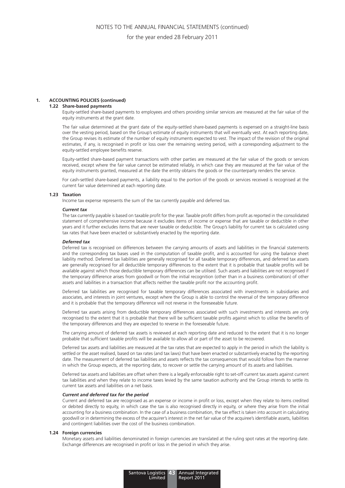### **1. ACCOUNTING POLICIES (continued)**

### **1.22 Share-based payments**

Equity-settled share-based payments to employees and others providing similar services are measured at the fair value of the equity instruments at the grant date.

The fair value determined at the grant date of the equity-settled share-based payments is expensed on a straight-line basis over the vesting period, based on the Group's estimate of equity instruments that will eventually vest. At each reporting date, the Group revises its estimate of the number of equity instruments expected to vest. The impact of the revision of the original estimates, if any, is recognised in profit or loss over the remaining vesting period, with a corresponding adjustment to the equity-settled employee benefits reserve.

Equity-settled share-based payment transactions with other parties are measured at the fair value of the goods or services received, except where the fair value cannot be estimated reliably, in which case they are measured at the fair value of the equity instruments granted, measured at the date the entity obtains the goods or the counterparty renders the service.

For cash-settled share-based payments, a liability equal to the portion of the goods or services received is recognised at the current fair value determined at each reporting date.

#### **1.23 Taxation**

Income tax expense represents the sum of the tax currently payable and deferred tax.

#### *Current tax*

The tax currently payable is based on taxable profit for the year. Taxable profit differs from profit as reported in the consolidated statement of comprehensive income because it excludes items of income or expense that are taxable or deductible in other years and it further excludes items that are never taxable or deductible. The Group's liability for current tax is calculated using tax rates that have been enacted or substantively enacted by the reporting date.

#### *Deferred tax*

Deferred tax is recognised on differences between the carrying amounts of assets and liabilities in the financial statements and the corresponding tax bases used in the computation of taxable profit, and is accounted for using the balance sheet liability method. Deferred tax liabilities are generally recognised for all taxable temporary differences, and deferred tax assets are generally recognised for all deductible temporary differences to the extent that it is probable that taxable profits will be available against which those deductible temporary differences can be utilised. Such assets and liabilities are not recognised if the temporary difference arises from goodwill or from the initial recognition (other than in a business combination) of other assets and liabilities in a transaction that affects neither the taxable profit nor the accounting profit.

Deferred tax liabilities are recognised for taxable temporary differences associated with investments in subsidiaries and associates, and interests in joint ventures, except where the Group is able to control the reversal of the temporary difference and it is probable that the temporary difference will not reverse in the foreseeable future.

Deferred tax assets arising from deductible temporary differences associated with such investments and interests are only recognised to the extent that it is probable that there will be sufficient taxable profits against which to utilise the benefits of the temporary differences and they are expected to reverse in the foreseeable future.

The carrying amount of deferred tax assets is reviewed at each reporting date and reduced to the extent that it is no longer probable that sufficient taxable profits will be available to allow all or part of the asset to be recovered.

Deferred tax assets and liabilities are measured at the tax rates that are expected to apply in the period in which the liability is settled or the asset realised, based on tax rates (and tax laws) that have been enacted or substantively enacted by the reporting date. The measurement of deferred tax liabilities and assets reflects the tax consequences that would follow from the manner in which the Group expects, at the reporting date, to recover or settle the carrying amount of its assets and liabilities.

Deferred tax assets and liabilities are offset when there is a legally enforceable right to set-off current tax assets against current tax liabilities and when they relate to income taxes levied by the same taxation authority and the Group intends to settle its current tax assets and liabilities on a net basis.

#### *Current and deferred tax for the period*

Current and deferred tax are recognised as an expense or income in profit or loss, except when they relate to items credited or debited directly to equity, in which case the tax is also recognised directly in equity, or where they arise from the initial accounting for a business combination. In the case of a business combination, the tax effect is taken into account in calculating goodwill or in determining the excess of the acquirer's interest in the net fair value of the acquiree's identifiable assets, liabilities and contingent liabilities over the cost of the business combination.

#### **1.24 Foreign currencies**

Monetary assets and liabilities denominated in foreign currencies are translated at the ruling spot rates at the reporting date. Exchange differences are recognised in profit or loss in the period in which they arise.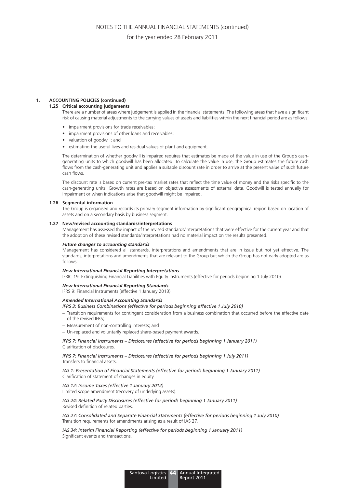### **1. ACCOUNTING POLICIES (continued)**

### **1.25 Critical accounting judgements**

There are a number of areas where judgement is applied in the financial statements. The following areas that have a significant risk of causing material adjustments to the carrying values of assets and liabilities within the next financial period are as follows:

- impairment provisions for trade receivables;
- impairment provisions of other loans and receivables;
- valuation of goodwill; and
- estimating the useful lives and residual values of plant and equipment.

The determination of whether goodwill is impaired requires that estimates be made of the value in use of the Group's cashgenerating units to which goodwill has been allocated. To calculate the value in use, the Group estimates the future cash flows from the cash-generating unit and applies a suitable discount rate in order to arrive at the present value of such future cash flows.

The discount rate is based on current pre-tax market rates that reflect the time value of money and the risks specific to the cash-generating units. Growth rates are based on objective assessments of external data. Goodwill is tested annually for impairment or when indications arise that goodwill might be impaired.

#### **1.26 Segmental information**

The Group is organised and records its primary segment information by significant geographical region based on location of assets and on a secondary basis by business segment.

#### **1.27 New/revised accounting standards/interpretations**

Management has assessed the impact of the revised standards/interpretations that were effective for the current year and that the adoption of these revised standards/interpretations had no material impact on the results presented.

#### *Future changes to accounting standards*

Management has considered all standards, interpretations and amendments that are in issue but not yet effective. The standards, interpretations and amendments that are relevant to the Group but which the Group has not early adopted are as follows:

#### *New International Financial Reporting Interpretations*

IFRIC 19: Extinguishing Financial Liabilities with Equity Instruments (effective for periods beginning 1 July 2010)

#### *New International Financial Reporting Standards*

IFRS 9: Financial Instruments (effective 1 January 2013)

#### *Amended International Accounting Standards*

### *IFRS 3: Business Combinations (effective for periods beginning effective 1 July 2010)*

- Transition requirements for contingent consideration from a business combination that occurred before the effective date of the revised IFRS;
- Measurement of non-controlling interests; and
- Un-replaced and voluntarily replaced share-based payment awards.

*IFRS 7: Financial Instruments – Disclosures (effective for periods beginning 1 January 2011)*  Clarification of disclosures.

#### *IFRS 7: Financial Instruments - Disclosures (effective for periods beginning 1 July 2011)* Transfers to financial assets.

*IAS 1: Presentation of Financial Statements (effective for periods beginning 1 January 2011)* Clarification of statement of changes in equity.

### *IAS 12: Income Taxes (effective 1 January 2012)*

Limited scope amendment (recovery of underlying assets).

*IAS 24: Related Party Disclosures (effective for periods beginning 1 January 2011)* Revised definition of related parties.

*IAS 27: Consolidated and Separate Financial Statements (effective for periods beginning 1 July 2010)* Transition requirements for amendments arising as a result of IAS 27.

*IAS 34: Interim Financial Reporting (effective for periods beginning 1 January 2011)* Significant events and transactions.

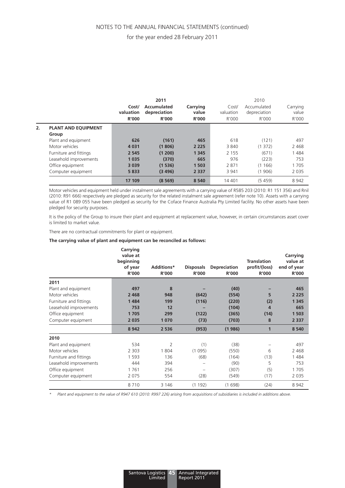|    |                            | Cost/<br>valuation<br>R'000 | 2011<br>Accumulated<br>depreciation<br>R'000 | Carrying<br>value<br><b>R'000</b> | Cost/<br>valuation<br>R'000 | 2010<br>Accumulated<br>depreciation<br>R'000 | Carrying<br>value<br>R'000 |
|----|----------------------------|-----------------------------|----------------------------------------------|-----------------------------------|-----------------------------|----------------------------------------------|----------------------------|
| 2. | <b>PLANT AND EOUIPMENT</b> |                             |                                              |                                   |                             |                                              |                            |
|    | Group                      |                             |                                              |                                   |                             |                                              |                            |
|    | Plant and equipment        | 626                         | (161)                                        | 465                               | 618                         | (121)                                        | 497                        |
|    | Motor vehicles             | 4 0 3 1                     | (1806)                                       | 2 2 2 5                           | 3840                        | (1372)                                       | 2 4 6 8                    |
|    | Furniture and fittings     | 2 5 4 5                     | (1, 200)                                     | 1 3 4 5                           | 2 1 5 5                     | (671)                                        | 1484                       |
|    | Leasehold improvements     | 1035                        | (370)                                        | 665                               | 976                         | (223)                                        | 753                        |
|    | Office equipment           | 3 0 3 9                     | (1536)                                       | 1 503                             | 2871                        | (1166)                                       | 1 705                      |
|    | Computer equipment         | 5833                        | (3496)                                       | 2 3 3 7                           | 3 9 4 1                     | (1906)                                       | 2 0 3 5                    |
|    |                            | 17 109                      | (8569)                                       | 8 5 4 0                           | 14 401                      | (5459)                                       | 8 9 4 2                    |

Motor vehicles and equipment held under instalment sale agreements with a carrying value of R585 203 (2010: R1 151 356) and Rnil (2010: R91 666) respectively are pledged as security for the related instalment sale agreement (refer note 10). Assets with a carrying value of R1 089 055 have been pledged as security for the Coface Finance Australia Pty Limited facility. No other assets have been pledged for security purposes.

It is the policy of the Group to insure their plant and equipment at replacement value, however, in certain circumstances asset cover is limited to market value.

There are no contractual commitments for plant or equipment.

### **The carrying value of plant and equipment can be reconciled as follows:**

|                        | Carrying<br>value at<br>beginning<br>of year<br>R'000 | Additions*<br><b>R'000</b> | <b>Disposals</b><br><b>R'000</b> | <b>Depreciation</b><br><b>R'000</b> | <b>Translation</b><br>profit/(loss)<br>R'000 | Carrying<br>value at<br>end of year<br><b>R'000</b> |
|------------------------|-------------------------------------------------------|----------------------------|----------------------------------|-------------------------------------|----------------------------------------------|-----------------------------------------------------|
| 2011                   |                                                       |                            |                                  |                                     |                                              |                                                     |
| Plant and equipment    | 497                                                   | 8                          |                                  | (40)                                |                                              | 465                                                 |
| Motor vehicles         | 2 4 6 8                                               | 948                        | (642)                            | (554)                               | 5                                            | 2 2 2 5                                             |
| Furniture and fittings | 1484                                                  | 199                        | (116)                            | (220)                               | (2)                                          | 1 3 4 5                                             |
| Leasehold improvements | 753                                                   | 12                         |                                  | (104)                               | 4                                            | 665                                                 |
| Office equipment       | 1705                                                  | 299                        | (122)                            | (365)                               | (14)                                         | 1 503                                               |
| Computer equipment     | 2 0 3 5                                               | 1070                       | (73)                             | (703)                               | 8                                            | 2 3 3 7                                             |
|                        | 8 9 4 2                                               | 2 5 3 6                    | (953)                            | (1986)                              | $\blacksquare$                               | 8 5 4 0                                             |
| 2010                   |                                                       |                            |                                  |                                     |                                              |                                                     |
| Plant and equipment    | 534                                                   | $\overline{2}$             | (1)                              | (38)                                |                                              | 497                                                 |
| Motor vehicles         | 2 3 0 3                                               | 1804                       | (1095)                           | (550)                               | 6                                            | 2 4 6 8                                             |
| Furniture and fittings | 1 5 9 3                                               | 136                        | (68)                             | (164)                               | (13)                                         | 1484                                                |
| Leasehold improvements | 444                                                   | 394                        |                                  | (90)                                | 5                                            | 753                                                 |
| Office equipment       | 1761                                                  | 256                        |                                  | (307)                               | (5)                                          | 1705                                                |
| Computer equipment     | 2 0 7 5                                               | 554                        | (28)                             | (549)                               | (17)                                         | 2 0 3 5                                             |
|                        | 8710                                                  | 3 1 4 6                    | (1 192)                          | (1698)                              | (24)                                         | 8 9 4 2                                             |

*\* Plant and equipment to the value of R947 610 (2010: R997 226) arising from acquisitions of subsidiaries is included in additions above.*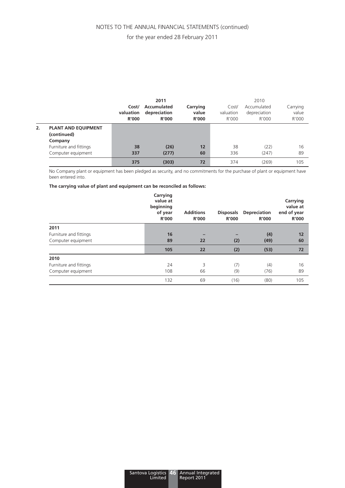|    |                                                      |                                    | 2011                                 |                                   |                             | 2010                                 |                            |
|----|------------------------------------------------------|------------------------------------|--------------------------------------|-----------------------------------|-----------------------------|--------------------------------------|----------------------------|
|    |                                                      | Cost/<br>valuation<br><b>R'000</b> | Accumulated<br>depreciation<br>R'000 | Carrying<br>value<br><b>R'000</b> | Cost/<br>valuation<br>R'000 | Accumulated<br>depreciation<br>R'000 | Carrying<br>value<br>R'000 |
| 2. | <b>PLANT AND EQUIPMENT</b><br>(continued)<br>Company |                                    |                                      |                                   |                             |                                      |                            |
|    | Furniture and fittings                               | 38                                 | (26)                                 | 12                                | 38                          | (22)                                 | 16                         |
|    | Computer equipment                                   | 337                                | (277)                                | 60                                | 336                         | (247)                                | 89                         |
|    |                                                      | 375                                | (303)                                | 72                                | 374                         | (269)                                | 105                        |

No Company plant or equipment has been pledged as security, and no commitments for the purchase of plant or equipment have been entered into.

### **The carrying value of plant and equipment can be reconciled as follows:**

|                        | Carrying<br>value at<br>beginning<br>of year<br>R'000 | <b>Additions</b><br><b>R'000</b> | <b>Disposals</b><br>R'000 | <b>Depreciation</b><br><b>R'000</b> | Carrying<br>value at<br>end of year<br><b>R'000</b> |
|------------------------|-------------------------------------------------------|----------------------------------|---------------------------|-------------------------------------|-----------------------------------------------------|
| 2011                   |                                                       |                                  |                           |                                     |                                                     |
| Furniture and fittings | 16                                                    |                                  |                           | (4)                                 | 12                                                  |
| Computer equipment     | 89                                                    | 22                               | (2)                       | (49)                                | 60                                                  |
|                        | 105                                                   | 22                               | (2)                       | (53)                                | 72                                                  |
| 2010                   |                                                       |                                  |                           |                                     |                                                     |
| Furniture and fittings | 24                                                    | 3                                | (7)                       | (4)                                 | 16                                                  |
| Computer equipment     | 108                                                   | 66                               | (9)                       | (76)                                | 89                                                  |
|                        | 132                                                   | 69                               | (16)                      | (80)                                | 105                                                 |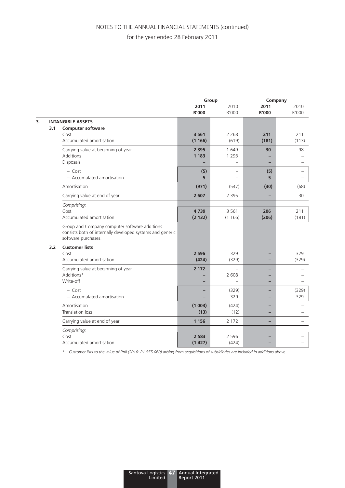|     |                                                                                                                                   | Group                                                                          |         | Company |       |
|-----|-----------------------------------------------------------------------------------------------------------------------------------|--------------------------------------------------------------------------------|---------|---------|-------|
|     |                                                                                                                                   | 2011                                                                           | 2010    | 2011    | 2010  |
|     |                                                                                                                                   | <b>R'000</b>                                                                   | R'000   | R'000   | R'000 |
|     |                                                                                                                                   |                                                                                |         |         |       |
| 3.1 | <b>Computer software</b>                                                                                                          |                                                                                |         |         |       |
|     | Cost                                                                                                                              | 3 5 6 1                                                                        | 2 2 6 8 | 211     | 211   |
|     | Accumulated amortisation                                                                                                          | (1166)                                                                         | (619)   | (181)   | (113) |
|     | Carrying value at beginning of year                                                                                               | 2 3 9 5                                                                        | 1649    | 30      | 98    |
|     | <b>Additions</b>                                                                                                                  | 1 1 8 3                                                                        | 1 2 9 3 |         |       |
|     | <b>Disposals</b>                                                                                                                  |                                                                                |         |         |       |
|     | $-$ Cost                                                                                                                          |                                                                                |         |         |       |
|     | - Accumulated amortisation                                                                                                        | 5                                                                              |         | 5       |       |
|     | Amortisation                                                                                                                      | (971)                                                                          | (547)   | (30)    | (68)  |
|     | Carrying value at end of year                                                                                                     | 2 607                                                                          | 2 3 9 5 |         | 30    |
|     |                                                                                                                                   |                                                                                |         |         |       |
|     | Cost                                                                                                                              | 4739                                                                           | 3 5 6 1 | 206     | 211   |
|     | Accumulated amortisation                                                                                                          | (2 132)                                                                        | (1166)  | (206)   | (181) |
|     | Group and Company computer software additions<br>consists both of internally developed systems and generic<br>software purchases. |                                                                                |         |         |       |
| 3.2 | <b>Customer lists</b>                                                                                                             |                                                                                |         |         |       |
|     | Cost                                                                                                                              | 2 5 9 6                                                                        | 329     |         | 329   |
|     | Accumulated amortisation                                                                                                          | (424)                                                                          | (329)   |         | (329) |
|     |                                                                                                                                   | 2 1 7 2                                                                        |         |         |       |
|     | Additions*                                                                                                                        |                                                                                | 2 608   |         |       |
|     | Write-off                                                                                                                         |                                                                                |         |         |       |
|     | $-$ Cost                                                                                                                          |                                                                                |         |         | (329) |
|     | - Accumulated amortisation                                                                                                        | -                                                                              | 329     | -       | 329   |
|     | Amortisation                                                                                                                      | (1003)                                                                         | (424)   |         |       |
|     | <b>Translation loss</b>                                                                                                           | (13)                                                                           | (12)    |         |       |
|     | Carrying value at end of year                                                                                                     | 1 1 5 6                                                                        | 2 1 7 2 | -       |       |
|     | Comprising:                                                                                                                       |                                                                                |         |         |       |
|     | Cost                                                                                                                              | 2 5 8 3                                                                        | 2 5 9 6 |         |       |
|     | Accumulated amortisation                                                                                                          | (1427)                                                                         | (424)   |         |       |
|     |                                                                                                                                   | <b>INTANGIBLE ASSETS</b><br>Comprising:<br>Carrying value at beginning of year | (5)     | (329)   | (5)   |

*\* Customer lists to the value of Rnil (2010: R1 555 060) arising from acquisitions of subsidiaries are included in additions above.*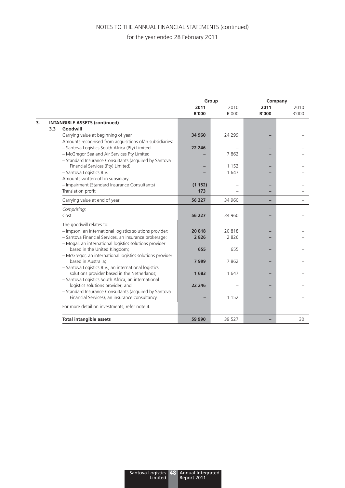|                                                                                                      | Group         |               |               | Company       |  |
|------------------------------------------------------------------------------------------------------|---------------|---------------|---------------|---------------|--|
|                                                                                                      | 2011<br>R'000 | 2010<br>R'000 | 2011<br>R'000 | 2010<br>R'000 |  |
| <b>INTANGIBLE ASSETS (continued)</b>                                                                 |               |               |               |               |  |
| Goodwill<br>3.3                                                                                      |               |               |               |               |  |
| Carrying value at beginning of year                                                                  | 34 960        | 24 299        |               |               |  |
| Amounts recognised from acquisitions of/in subsidiaries:                                             |               |               |               |               |  |
| - Santova Logistics South Africa (Pty) Limited                                                       | 22 246        | 7862          |               |               |  |
| - McGregor Sea and Air Services Pty Limited<br>- Standard Insurance Consultants (acquired by Santova |               |               |               |               |  |
| Financial Services (Pty) Limited)                                                                    |               | 1 1 5 2       |               |               |  |
| - Santova Logistics B.V.                                                                             |               | 1 647         |               |               |  |
| Amounts written-off in subsidiary:                                                                   |               |               |               |               |  |
| - Impairment (Standard Insurance Consultants)                                                        | (1152)        |               |               |               |  |
| Translation profit                                                                                   | 173           |               |               |               |  |
| Carrying value at end of year                                                                        | 56 227        | 34 960        |               |               |  |
| Comprising:                                                                                          |               |               |               |               |  |
| Cost                                                                                                 | 56 227        | 34 960        |               |               |  |
| The goodwill relates to:                                                                             |               |               |               |               |  |
| - Impson, an international logistics solutions provider;                                             | 20818         | 20818         |               |               |  |
| - Santova Financial Services, an insurance brokerage;                                                | 2826          | 2826          |               |               |  |
| - Mogal, an international logistics solutions provider                                               |               |               |               |               |  |
| based in the United Kingdom;                                                                         | 655           | 655           |               |               |  |
| - McGregor, an international logistics solutions provider<br>based in Australia;                     | 7999          | 7862          |               |               |  |
| - Santova Logistics B.V., an international logistics                                                 |               |               |               |               |  |
| solutions provider based in the Netherlands;                                                         | 1683          | 1647          |               |               |  |
| - Santova Logistics South Africa, an international                                                   |               |               |               |               |  |
| logistics solutions provider; and                                                                    | 22 246        |               |               |               |  |
| - Standard Insurance Consultants (acquired by Santova                                                |               |               |               |               |  |
| Financial Services), an insurance consultancy.                                                       |               | 1 1 5 2       |               |               |  |
| For more detail on investments, refer note 4.                                                        |               |               |               |               |  |
| <b>Total intangible assets</b>                                                                       | 59 990        | 39 527        |               | 30            |  |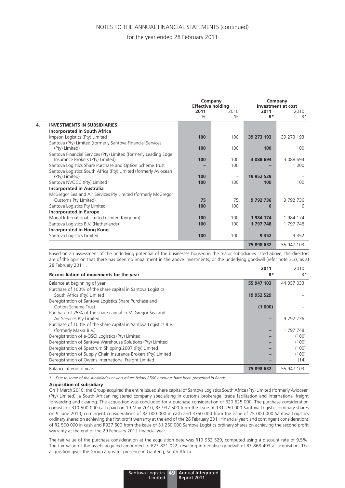|                                                                                   | Company<br><b>Effective holding</b><br>2011<br>$\%$ | 2010<br>$\%$ | 2011<br>$R*$ | Company<br>Investment at cost<br>2010<br>$R*$ |
|-----------------------------------------------------------------------------------|-----------------------------------------------------|--------------|--------------|-----------------------------------------------|
| <b>INVESTMENTS IN SUBSIDIARIES</b>                                                |                                                     |              |              |                                               |
| <b>Incorporated in South Africa</b>                                               |                                                     |              |              |                                               |
| Impson Logistics (Pty) Limited                                                    | 100                                                 | 100          | 39 273 193   | 39 273 193                                    |
| Santova (Pty) Limited (formerly Santova Financial Services                        |                                                     |              |              |                                               |
| (Pty) Limited)                                                                    | 100                                                 | 100          | 100          | 100                                           |
| Santova Financial Services (Pty) Limited (formerly Leading Edge                   |                                                     |              |              |                                               |
| Insurance Brokers (Pty) Limited)                                                  | 100                                                 | 100          | 3 088 694    | 3 088 694                                     |
| Santova Logistics Share Purchase and Option Scheme Trust                          |                                                     | 100          |              | 1 0 0 0                                       |
| Santova Logistics South Africa (Pty) Limited (formerly Aviocean<br>(Pty) Limited) | 100                                                 |              | 19 952 529   |                                               |
| Santova NVOCC (Pty) Limited                                                       | 100                                                 | 100          | 100          | 100                                           |
| <b>Incorporated in Australia</b>                                                  |                                                     |              |              |                                               |
| McGregor Sea and Air Services Pty Limited (formerly McGregor                      |                                                     |              |              |                                               |
| Customs Pty Limited)                                                              | 75                                                  | 75           | 9792736      | 9 7 9 2 7 3 6                                 |
| Santova Logistics Pty Limited                                                     | 100                                                 | 100          | 6            | 6                                             |
| <b>Incorporated in Europe</b>                                                     |                                                     |              |              |                                               |
| Mogal International Limited (United Kingdom)                                      | 100                                                 | 100          | 1984 174     | 1 984 174                                     |
| Santova Logistics B.V. (Netherlands)                                              | 100                                                 | 100          | 1 797 748    | 1 797 748                                     |
| <b>Incorporated in Hong Kong</b>                                                  |                                                     |              |              |                                               |
| Santova Logistics Limited                                                         | 100                                                 | 100          | 9 3 5 2      | 9 3 5 2                                       |
|                                                                                   |                                                     |              | 75 898 632   | 55 947 103                                    |

Based on an assessment of the underlying potential of the businesses housed in the major subsidiaries listed above, the directors are of the opinion that there has been no impairment in the above investments, or the underlying goodwill (refer note 3.3), as at 28 February 2011 . **<sup>2011</sup>**<sup>2010</sup>

| Reconciliation of movements for the year                        | <b>ZUTT</b><br>$R*$ | ZUJU<br>$R*$  |
|-----------------------------------------------------------------|---------------------|---------------|
| Balance at beginning of year                                    | 55 947 103          | 44 357 033    |
| Purchase of 100% of the share capital in Santova Logistics      |                     |               |
| South Africa (Pty) Limited                                      | 19 952 529          |               |
| Deregistration of Santova Logistics Share Purchase and          |                     |               |
| Option Scheme Trust                                             | (1000)              |               |
| Purchase of 75% of the share capital in McGregor Sea and        |                     |               |
| Air Services Pty Limited                                        |                     | 9 7 9 2 7 3 6 |
| Purchase of 100% of the share capital in Santova Logistics B.V. |                     |               |
| (formerly Maxxs B.V.)                                           |                     | 1 797 748     |
| Deregistration of e-OSCI Logistics (Pty) Limited                |                     | (100)         |
| Deregistration of Santova Warehouse Solutions (Pty) Limited     |                     | (100)         |
| Deregistration of Spectrum Shipping 2007 (Pty) Limited          |                     | (100)         |
| Deregistration of Supply Chain Insurance Brokers (Pty) Limited  |                     | (100)         |
| Deregistration of Owens International Freight Limited           |                     | (14)          |
| Balance at end of year                                          | 75 898 632          | 55 947 103    |

*\* Due to some of the subsidiaries having values below R500 amounts have been presented in Rands.*

#### **Acquisition of subsidiary**

On 1 March 2010, the Group acquired the entire issued share capital of Santova Logistics South Africa (Pty) Limited (formerly Aviocean (Pty) Limited), a South African registered company specialising in customs brokerage, trade facilitation and international freight forwarding and clearing. The acquisition was concluded for a purchase consideration of R20 625 000. The purchase consideration consists of R10 500 000 cash paid on 19 May 2010; R3 937 500 from the issue of 131 250 000 Santova Logistics ordinary shares on 9 June 2010; contingent considerations of R2 000 000 in cash and R750 000 from the issue of 25 000 000 Santova Logistics ordinary shares on achieving the first profit warranty at the end of the 28 February 2011 financial year; and contingent considerations of R2 500 000 in cash and R937 500 from the issue of 31 250 000 Santova Logistics ordinary shares on achieving the second profit warranty at the end of the 29 February 2012 financial year.

The fair value of the purchase consideration at the acquisition date was R19 952 529, computed using a discount rate of 9,5%. The fair value of the assets acquired amounted to R23 821 022, resulting in negative goodwill of R3 868 493 at acquisition. The acquisition gives the Group a greater presence in Gauteng, South Africa.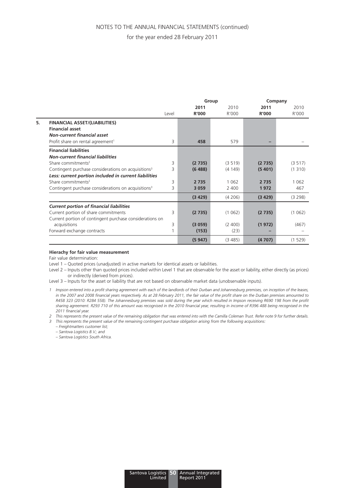|                                                                 |       | Group        |         |              | Company |  |
|-----------------------------------------------------------------|-------|--------------|---------|--------------|---------|--|
|                                                                 |       | 2011         | 2010    | 2011         | 2010    |  |
|                                                                 | Level | <b>R'000</b> | R'000   | <b>R'000</b> | R'000   |  |
| <b>FINANCIAL ASSET/(LIABILITIES)</b>                            |       |              |         |              |         |  |
| <b>Financial asset</b>                                          |       |              |         |              |         |  |
| <b>Non-current financial asset</b>                              |       |              |         |              |         |  |
| Profit share on rental agreement <sup>1</sup>                   | 3     | 458          | 579     |              |         |  |
| <b>Financial liabilities</b>                                    |       |              |         |              |         |  |
| <b>Non-current financial liabilities</b>                        |       |              |         |              |         |  |
| Share commitments <sup>2</sup>                                  | 3     | (2735)       | (3519)  | (2735)       | (3 517) |  |
| Contingent purchase considerations on acquisitions <sup>3</sup> | 3     | (6488)       | (4149)  | (5401)       | (1310)  |  |
| Less: current portion included in current liabilities           |       |              |         |              |         |  |
| Share commitments <sup>2</sup>                                  | 3     | 2735         | 1 0 6 2 | 2 7 3 5      | 1 0 6 2 |  |
| Contingent purchase considerations on acquisitions <sup>3</sup> | 3     | 3 0 5 9      | 2 400   | 1972         | 467     |  |
|                                                                 |       | (3429)       | (4206)  | (3 429)      | (3 298) |  |
| <b>Current portion of financial liabilities</b>                 |       |              |         |              |         |  |
| Current portion of share commitments                            | 3     | (2735)       | (1062)  | (2735)       | (1062)  |  |
| Current portion of contingent purchase considerations on        |       |              |         |              |         |  |
| acquisitions                                                    | Β     | (3059)       | (2,400) | (1972)       | (467)   |  |
| Forward exchange contracts                                      |       | (153)        | (23)    |              |         |  |
|                                                                 |       | (5947)       | (3485)  | (4707)       | (1529)  |  |

#### **Hierachy for fair value measurement**

Fair value determination:

Level 1 – Quoted prices (unadjusted) in active markets for identical assets or liabilities.

- Level 2 Inputs other than quoted prices included within Level 1 that are observable for the asset or liability, either directly (as prices) or indirectly (derived from prices).
- Level 3 Inputs for the asset or liability that are not based on observable market data (unobservable inputs).
- *1 Impson entered into a profi t sharing agreement with each of the landlords of their Durban and Johannesburg premises, on inception of the leases,*  in the 2007 and 2008 financial years respectively. As at 28 February 2011, the fair value of the profit share on the Durban premises amounted to *R458 323 (2010: R284 558). The Johannesburg premises was sold during the year which resulted in Impson receiving R690 198 from the profi t*  sharing agreement. R293 710 of this amount was recognised in the 2010 financial year, resulting in income of R396 488 being recognised in the 2011 financial year.

*2 This represents the present value of the remaining obligation that was entered into with the Camilla Coleman Trust. Refer note 9 for further details.*

*3 This represents the present value of the remaining contingent purchase obligation arising from the following acquisitions:*

 *– Freightmatters customer list;* 

 *– Santova Logistics B.V.; and*

 *– Santova Logistics South Africa.*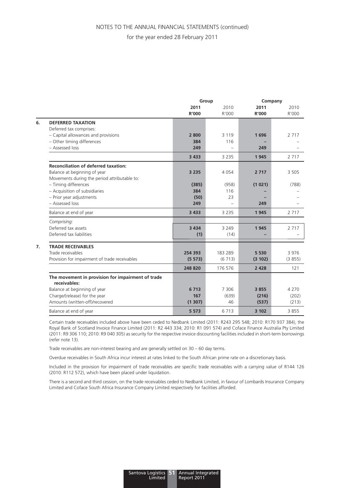|                                                                   |         | Group   |         | Company |  |
|-------------------------------------------------------------------|---------|---------|---------|---------|--|
|                                                                   | 2011    | 2010    | 2011    | 2010    |  |
|                                                                   | R'000   | R'000   | R'000   | R'000   |  |
| <b>DEFERRED TAXATION</b>                                          |         |         |         |         |  |
| Deferred tax comprises:                                           |         |         |         |         |  |
| - Capital allowances and provisions                               | 2800    | 3 1 1 9 | 1696    | 2 7 1 7 |  |
| - Other timing differences                                        | 384     | 116     |         |         |  |
| - Assessed loss                                                   | 249     |         | 249     |         |  |
|                                                                   | 3 4 3 3 | 3 2 3 5 | 1945    | 2 7 1 7 |  |
| <b>Reconciliation of deferred taxation:</b>                       |         |         |         |         |  |
| Balance at beginning of year                                      | 3 2 3 5 | 4 0 5 4 | 2 7 1 7 | 3 5 0 5 |  |
| Movements during the period attributable to:                      |         |         |         |         |  |
| - Timing differences                                              | (385)   | (958)   | (1021)  | (788)   |  |
| - Acquisition of subsidiaries                                     | 384     | 116     |         |         |  |
| - Prior year adjustments                                          | (50)    | 23      |         |         |  |
| - Assessed loss                                                   | 249     |         | 249     |         |  |
| Balance at end of year                                            | 3 4 3 3 | 3 2 3 5 | 1945    | 2 7 1 7 |  |
| Comprising:                                                       |         |         |         |         |  |
| Deferred tax assets                                               | 3 4 3 4 | 3 2 4 9 | 1945    | 2 7 1 7 |  |
| Deferred tax liabilities                                          | (1)     | (14)    |         |         |  |
| <b>TRADE RECEIVABLES</b>                                          |         |         |         |         |  |
| Trade receivables                                                 | 254 393 | 183 289 | 5 5 3 0 | 3976    |  |
| Provision for impairment of trade receivables                     | (5573)  | (6713)  | (3 102) | (3855)  |  |
|                                                                   | 248 820 | 176 576 | 2 4 2 8 | 121     |  |
| The movement in provision for impairment of trade<br>receivables: |         |         |         |         |  |
| Balance at beginning of year                                      | 6713    | 7 30 6  | 3855    | 4 2 7 0 |  |
| Charge/(release) for the year                                     | 167     | (639)   | (216)   | (202)   |  |
| Amounts (written-off)/recovered                                   | (1307)  | 46      | (537)   | (213)   |  |
| Balance at end of year                                            | 5 5 7 3 | 6 7 1 3 | 3 10 2  | 3855    |  |

Certain trade receivables included above have been ceded to Nedbank Limited (2011: R243 295 548; 2010: R170 937 384), the Royal Bank of Scotland Invoice Finance Limited (2011: R2 443 334; 2010: R1 091 574) and Coface Finance Australia Pty Limited (2011: R9 306 110; 2010: R9 040 305) as security for the respective invoice discounting facilities included in short-term borrowings (refer note 13).

Trade receivables are non-interest bearing and are generally settled on 30 – 60 day terms.

Overdue receivables in South Africa incur interest at rates linked to the South African prime rate on a discretionary basis.

Included in the provision for impairment of trade receivables are specific trade receivables with a carrying value of R144 126 (2010: R112 572), which have been placed under liquidation.

There is a second and third cession, on the trade receivables ceded to Nedbank Limited, in favour of Lombards Insurance Company Limited and Coface South Africa Insurance Company Limited respectively for facilities afforded.

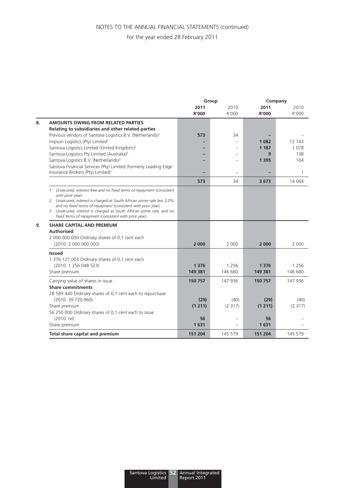|                                                                                                                                         | Group   |         |         | Company |  |
|-----------------------------------------------------------------------------------------------------------------------------------------|---------|---------|---------|---------|--|
|                                                                                                                                         | 2011    | 2010    | 2011    | 2010    |  |
|                                                                                                                                         | R'000   | R'000   | R'000   | R'000   |  |
| <b>AMOUNTS OWING FROM RELATED PARTIES</b>                                                                                               |         |         |         |         |  |
| Relating to subsidiaries and other related parties                                                                                      |         |         |         |         |  |
| Previous vendors of Santova Logistics B.V. (Netherlands) <sup>1</sup>                                                                   | 573     | 34      |         |         |  |
| Impson Logistics (Pty) Limited <sup>2</sup>                                                                                             |         |         | 1082    | 12 743  |  |
| Santova Logistics Limited (United Kingdom) <sup>3</sup>                                                                                 |         |         | 1 1 8 7 | 1 0 7 8 |  |
| Santova Logistics Pty Limited (Australia) <sup>3</sup>                                                                                  |         |         | 9       | 138     |  |
| Santova Logistics B.V. (Netherlands) <sup>3</sup>                                                                                       |         |         | 1 3 9 5 | 104     |  |
| Santova Financial Services (Pty) Limited (formerly Leading Edge                                                                         |         |         |         |         |  |
| Insurance Brokers (Pty) Limited) <sup>1</sup>                                                                                           |         |         |         | 1       |  |
|                                                                                                                                         | 573     | 34      | 3 6 7 3 | 14 0 64 |  |
| 1 Unsecured, interest-free and no fixed terms of repayment (consistent                                                                  |         |         |         |         |  |
| with prior year).                                                                                                                       |         |         |         |         |  |
| 2 Unsecured, interest is charged at South African prime rate less 2,0%<br>and no fixed terms of repayment (consistent with prior year). |         |         |         |         |  |
| 3 Unsecured, interest is charged at South African prime rate, and no                                                                    |         |         |         |         |  |
| fixed terms of repayment (consistent with prior year).                                                                                  |         |         |         |         |  |
| <b>SHARE CAPITAL AND PREMIUM</b>                                                                                                        |         |         |         |         |  |
| <b>Authorised</b>                                                                                                                       |         |         |         |         |  |
| 2 000 000 000 Ordinary shares of 0,1 cent each                                                                                          |         |         |         |         |  |
| (2010: 2 000 000 000)                                                                                                                   | 2 0 0 0 | 2 0 0 0 | 2 0 0 0 | 2 000   |  |
| <b>Issued</b>                                                                                                                           |         |         |         |         |  |
| 1 376 127 003 Ordinary shares of 0,1 cent each                                                                                          |         |         |         |         |  |
| (2010: 1 256 048 523)                                                                                                                   | 1 3 7 6 | 1 2 5 6 | 1 3 7 6 | 1 2 5 6 |  |
| Share premium                                                                                                                           | 149 381 | 146 680 | 149 381 | 146 680 |  |
| Carrying value of shares in issue                                                                                                       | 150 757 | 147 936 | 150 757 | 147 936 |  |
| <b>Share commitments</b>                                                                                                                |         |         |         |         |  |
| 28 549 440 Ordinary shares of 0,1 cent each to repurchase                                                                               |         |         |         |         |  |
| (2010: 39 720 960)                                                                                                                      | (29)    | (40)    | (29)    | (40)    |  |
| Share premium                                                                                                                           | (1211)  | (2317)  | (1211)  | (2317)  |  |
| 56 250 000 Ordinary shares of 0,1 cent each to issue                                                                                    |         |         |         |         |  |
| (2010: nil)                                                                                                                             | 56      |         | 56      |         |  |
| Share premium                                                                                                                           | 1631    |         | 1631    |         |  |
| Total share capital and premium                                                                                                         | 151 204 | 145 579 | 151 204 | 145 579 |  |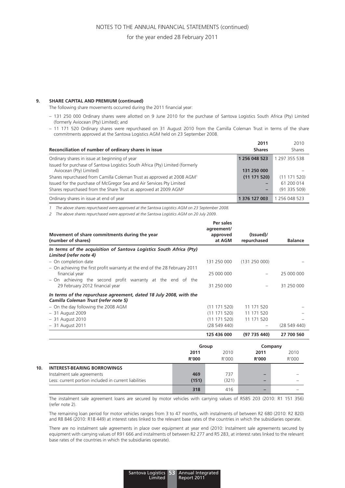#### **9. SHARE CAPITAL AND PREMIUM (continued)**

The following share movements occurred during the 2011 financial year:

- 131 250 000 Ordinary shares were allotted on 9 June 2010 for the purchase of Santova Logistics South Africa (Pty) Limited (formerly Aviocean (Pty) Limited); and
- 11 171 520 Ordinary shares were repurchased on 31 August 2010 from the Camilla Coleman Trust in terms of the share commitments approved at the Santova Logistics AGM held on 23 September 2008.

| Reconciliation of number of ordinary shares in issue                               | 2011<br><b>Shares</b> | 2010<br>Shares |
|------------------------------------------------------------------------------------|-----------------------|----------------|
| Ordinary shares in issue at beginning of year                                      | 1 256 048 523         | 1 297 355 538  |
| Issued for purchase of Santova Logistics South Africa (Pty) Limited (formerly      |                       |                |
| Aviocean (Pty) Limited)                                                            | 131 250 000           |                |
| Shares repurchased from Camilla Coleman Trust as approved at 2008 AGM <sup>1</sup> | (11 171 520)          | (11171520)     |
| Issued for the purchase of McGregor Sea and Air Services Pty Limited               |                       | 61 200 014     |
| Shares repurchased from the Share Trust as approved at 2009 AGM <sup>2</sup>       |                       | (91335509)     |
| Ordinary shares in issue at end of year                                            | 1 376 127 003         | 1 256 048 523  |

*1 The above shares repurchased were approved at the Santova Logistics AGM on 23 September 2008.*

*2 The above shares repurchased were approved at the Santova Logistics AGM on 20 July 2009.*

| Movement of share commitments during the year<br>(number of shares)                                        | Per sales<br>agreement/<br>approved<br>at AGM | (Issued)/<br>repurchased         | <b>Balance</b> |
|------------------------------------------------------------------------------------------------------------|-----------------------------------------------|----------------------------------|----------------|
| In terms of the acquisition of Santova Logistics South Africa (Pty)                                        |                                               |                                  |                |
| <b>Limited (refer note 4)</b>                                                                              |                                               |                                  |                |
| - On completion date                                                                                       | 131 250 000                                   | (131 250 000)                    |                |
| - On achieving the first profit warranty at the end of the 28 February 2011<br>financial year              | 25 000 000                                    |                                  | 25 000 000     |
| - On achieving the second profit warranty at the end of the<br>29 February 2012 financial year             | 31 250 000                                    |                                  | 31 250 000     |
| In terms of the repurchase agreement, dated 18 July 2008, with the<br>Camilla Coleman Trust (refer note 5) |                                               |                                  |                |
| - On the day following the 2008 AGM                                                                        | (11171520)                                    | 11 171 520                       |                |
| $-31$ August 2009                                                                                          | (11171520)                                    | 11 171 520                       |                |
| $-31$ August 2010                                                                                          | (11 171 520)                                  | 11 171 520                       |                |
| $-31$ August 2011                                                                                          | (28549440)                                    |                                  | (28549440)     |
|                                                                                                            | 125 436 000                                   | (97735440)                       | 27 700 560     |
|                                                                                                            | $\sim$ $\sim$ $\sim$ $\sim$                   | $\mathcal{L}$ - and an extension |                |

|     |                                                       |               | Group         |               | Company       |  |
|-----|-------------------------------------------------------|---------------|---------------|---------------|---------------|--|
|     |                                                       | 2011<br>R'000 | 2010<br>R'000 | 2011<br>R'000 | 2010<br>R'000 |  |
| 10. | <b>INTEREST-BEARING BORROWINGS</b>                    |               |               |               |               |  |
|     | Instalment sale agreements                            | 469           | 737           |               |               |  |
|     | Less: current portion included in current liabilities | (151)         | (321)         |               |               |  |
|     |                                                       | 318           | 416           |               |               |  |

The instalment sale agreement loans are secured by motor vehicles with carrying values of R585 203 (2010: R1 151 356) (refer note 2).

The remaining loan period for motor vehicles ranges from 3 to 47 months, with instalments of between R2 680 (2010: R2 820) and R8 846 (2010: R18 449) at interest rates linked to the relevant base rates of the countries in which the subsidiaries operate.

There are no instalment sale agreements in place over equipment at year end (2010: Instalment sale agreements secured by equipment with carrying values of R91 666 and instalments of between R2 277 and R5 283, at interest rates linked to the relevant base rates of the countries in which the subsidiaries operate).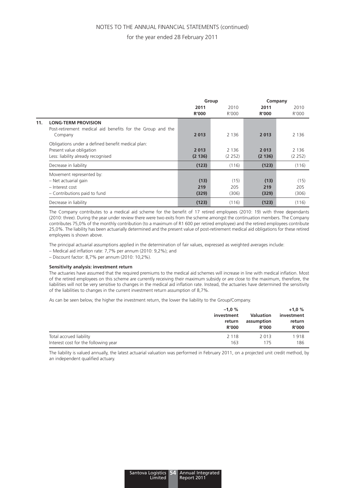### NOTES TO THE ANNUAL FINANCIAL STATEMENTS (continued)

### for the year ended 28 February 2011

|     |                                                            | Group        |         | Company |         |  |
|-----|------------------------------------------------------------|--------------|---------|---------|---------|--|
|     |                                                            | 2011         | 2010    | 2011    | 2010    |  |
|     |                                                            | <b>R'000</b> | R'000   | R'000   | R'000   |  |
| 11. | <b>LONG-TERM PROVISION</b>                                 |              |         |         |         |  |
|     | Post-retirement medical aid benefits for the Group and the |              |         |         |         |  |
|     | Company                                                    | 2013         | 2 1 3 6 | 2013    | 2 1 3 6 |  |
|     | Obligations under a defined benefit medical plan:          |              |         |         |         |  |
|     | Present value obligation                                   | 2013         | 2 1 3 6 | 2013    | 2 1 3 6 |  |
|     | Less: liability already recognised                         | (2136)       | (2 252) | (2136)  | (2 252) |  |
|     | Decrease in liability                                      | (123)        | (116)   | (123)   | (116)   |  |
|     | Movement represented by:                                   |              |         |         |         |  |
|     | - Net actuarial gain                                       | (13)         | (15)    | (13)    | (15)    |  |
|     | - Interest cost                                            | 219          | 205     | 219     | 205     |  |
|     | - Contributions paid to fund                               | (329)        | (306)   | (329)   | (306)   |  |
|     | Decrease in liability                                      | (123)        | (116)   | (123)   | (116)   |  |

The Company contributes to a medical aid scheme for the benefit of 17 retired employees (2010: 19) with three dependants (2010: three). During the year under review there were two exits from the scheme amongst the continuation members. The Company contributes 75,0% of the monthly contribution (to a maximum of R1 600 per retired employee) and the retired employees contribute 25,0%. The liability has been actuarially determined and the present value of post-retirement medical aid obligations for these retired employees is shown above.

The principal actuarial assumptions applied in the determination of fair values, expressed as weighted averages include:

– Medical aid inflation rate: 7,7% per annum (2010: 9,2%); and

– Discount factor: 8,7% per annum (2010: 10,2%).

### **Sensitivity analysis: investment return**

The actuaries have assumed that the required premiums to the medical aid schemes will increase in line with medical inflation. Most of the retired employees on this scheme are currently receiving their maximum subsidy or are close to the maximum, therefore, the liabilities will not be very sensitive to changes in the medical aid inflation rate. Instead, the actuaries have determined the sensitivity of the liabilities to changes in the current investment return assumption of 8,7%.

As can be seen below, the higher the investment return, the lower the liability to the Group/Company.

|                                      | $-1,0%$<br>investment<br>return<br><b>R'000</b> | Valuation<br>assumption<br><b>R'000</b> | $+1,0%$<br>investment<br>return<br><b>R'000</b> |
|--------------------------------------|-------------------------------------------------|-----------------------------------------|-------------------------------------------------|
| Total accrued liability              | 2 1 1 8                                         | 2 0 1 3                                 | 1 918                                           |
| Interest cost for the following year | 163                                             | 175                                     | 186                                             |

The liability is valued annually, the latest actuarial valuation was performed in February 2011, on a projected unit credit method, by an independent qualified actuary.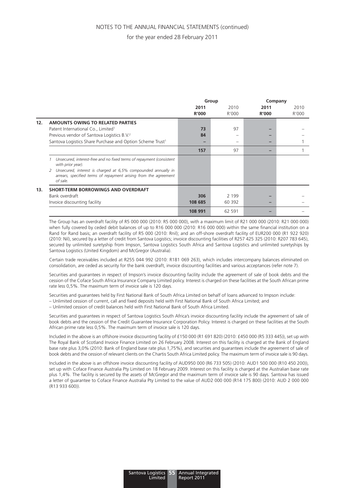|     |                                                                                                                                               | Group        |         | Company      |       |  |
|-----|-----------------------------------------------------------------------------------------------------------------------------------------------|--------------|---------|--------------|-------|--|
|     |                                                                                                                                               | 2011         | 2010    | 2011         | 2010  |  |
|     |                                                                                                                                               | <b>R'000</b> | R'000   | <b>R'000</b> | R'000 |  |
| 12. | AMOUNTS OWING TO RELATED PARTIES                                                                                                              |              |         |              |       |  |
|     | Patent International Co., Limited <sup>1</sup>                                                                                                | 73           | 97      |              |       |  |
|     | Previous vendor of Santova Logistics B.V. <sup>2</sup>                                                                                        | 84           |         |              |       |  |
|     | Santova Logistics Share Purchase and Option Scheme Trust <sup>1</sup>                                                                         |              |         |              |       |  |
|     |                                                                                                                                               | 157          | 97      |              |       |  |
|     | Unsecured, interest-free and no fixed terms of repayment (consistent<br>with prior year).                                                     |              |         |              |       |  |
|     | Unsecured, interest is charged at 6,5% compounded annually in<br>arrears, specified terms of repayment arising from the agreement<br>of sale. |              |         |              |       |  |
| 13. | <b>SHORT-TERM BORROWINGS AND OVERDRAFT</b>                                                                                                    |              |         |              |       |  |
|     | Bank overdraft                                                                                                                                | 306          | 2 1 9 9 |              |       |  |
|     | Invoice discounting facility                                                                                                                  | 108 685      | 60 392  |              |       |  |
|     |                                                                                                                                               | 108 991      | 62 591  |              |       |  |

The Group has an overdraft facility of R5 000 000 (2010: R5 000 000), with a maximum limit of R21 000 000 (2010: R21 000 000) when fully covered by ceded debit balances of up to R16 000 000 (2010: R16 000 000) within the same financial institution on a Rand for Rand basis; an overdraft facility of R5 000 (2010: Rnil); and an off-shore overdraft facility of EUR200 000 (R1 922 920) (2010: Nil), secured by a letter of credit from Santova Logistics; invoice discounting facilities of R257 425 325 (2010: R207 783 645), secured by unlimited suretyship from Impson, Santova Logistics South Africa and Santova Logistics and unlimited suretyships by Santova Logistics (United Kingdom) and McGregor (Australia).

Certain trade receivables included at R255 044 992 (2010: R181 069 263), which includes intercompany balances eliminated on consolidation, are ceded as security for the bank overdraft, invoice discounting facilities and various acceptances (refer note 7).

Securities and guarantees in respect of Impson's invoice discounting facility include the agreement of sale of book debts and the cession of the Coface South Africa Insurance Company Limited policy. Interest is charged on these facilities at the South African prime rate less 0,5%. The maximum term of invoice sale is 120 days.

Securities and guarantees held by First National Bank of South Africa Limited on behalf of loans advanced to Impson include:

– Unlimited cession of current, call and fi xed deposits held with First National Bank of South Africa Limited; and

– Unlimited cession of credit balances held with First National Bank of South Africa Limited.

Securities and guarantees in respect of Santova Logistics South Africa's invoice discounting facility include the agreement of sale of book debts and the cession of the Credit Guarantee Insurance Corporation Policy. Interest is charged on these facilities at the South African prime rate less 0,5%. The maximum term of invoice sale is 120 days.

Included in the above is an offshore invoice discounting facility of £150 000 (R1 691 820) (2010: £450 000 (R5 333 445)), set up with The Royal Bank of Scotland Invoice Finance Limited on 26 February 2008. Interest on this facility is charged at the Bank of England base rate plus 3,0% (2010: Bank of England base rate plus 1,75%), and securities and guarantees include the agreement of sale of book debts and the cession of relevant clients on the Chartis South Africa Limited policy. The maximum term of invoice sale is 90 days.

Included in the above is an offshore invoice discounting facility of AUD950 000 (R6 733 505) (2010: AUD1 500 000 (R10 450 200)), set up with Coface Finance Australia Pty Limited on 18 February 2009. Interest on this facility is charged at the Australian base rate plus 1,4%. The facility is secured by the assets of McGregor and the maximum term of invoice sale is 90 days. Santova has issued a letter of guarantee to Coface Finance Australia Pty Limited to the value of AUD2 000 000 (R14 175 800) (2010: AUD 2 000 000 (R13 933 600)).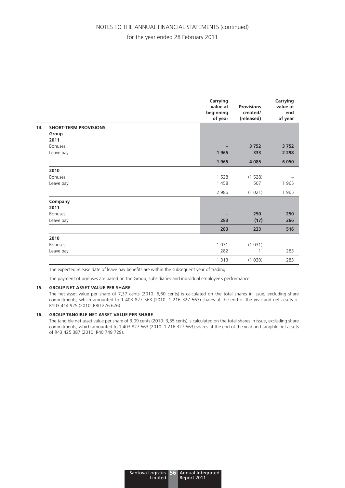### NOTES TO THE ANNUAL FINANCIAL STATEMENTS (continued)

### for the year ended 28 February 2011

|                              | Carrying<br>value at<br>beginning<br>of year | <b>Provisions</b><br>created/<br>(released) | Carrying<br>value at<br>end<br>of year |
|------------------------------|----------------------------------------------|---------------------------------------------|----------------------------------------|
| <b>SHORT-TERM PROVISIONS</b> |                                              |                                             |                                        |
| Group                        |                                              |                                             |                                        |
| 2011                         |                                              |                                             |                                        |
| <b>Bonuses</b>               |                                              | 3752                                        | 3752                                   |
| Leave pay                    | 1965                                         | 333                                         | 2 2 9 8                                |
|                              | 1965                                         | 4 0 8 5                                     | 6 0 5 0                                |
| 2010                         |                                              |                                             |                                        |
| <b>Bonuses</b>               | 1 5 2 8                                      | (1 528)                                     |                                        |
| Leave pay                    | 1458                                         | 507                                         | 1965                                   |
|                              | 2 9 8 6                                      | (1 021)                                     | 1965                                   |
| Company                      |                                              |                                             |                                        |
| 2011                         |                                              |                                             |                                        |
| <b>Bonuses</b>               |                                              | 250                                         | 250                                    |
| Leave pay                    | 283                                          | (17)                                        | 266                                    |
|                              | 283                                          | 233                                         | 516                                    |
| 2010                         |                                              |                                             |                                        |
| <b>Bonuses</b>               | 1 0 3 1                                      | (1031)                                      |                                        |
| Leave pay                    | 282                                          | 1                                           | 283                                    |
|                              | 1 3 1 3                                      | (1 030)                                     | 283                                    |

The expected release date of leave pay benefits are within the subsequent year of trading.

The payment of bonuses are based on the Group, subsidiaries and individual employee's performance.

#### **15. GROUP NET ASSET VALUE PER SHARE**

The net asset value per share of 7,37 cents (2010: 6,60 cents) is calculated on the total shares in issue, excluding share commitments, which amounted to 1 403 827 563 (2010: 1 216 327 563) shares at the end of the year and net assets of R103 414 925 (2010: R80 276 676).

### **16. GROUP TANGIBLE NET ASSET VALUE PER SHARE**

The tangible net asset value per share of 3,09 cents (2010: 3,35 cents) is calculated on the total shares in issue, excluding share commitments, which amounted to 1 403 827 563 (2010: 1 216 327 563) shares at the end of the year and tangible net assets of R43 425 387 (2010: R40 749 729).

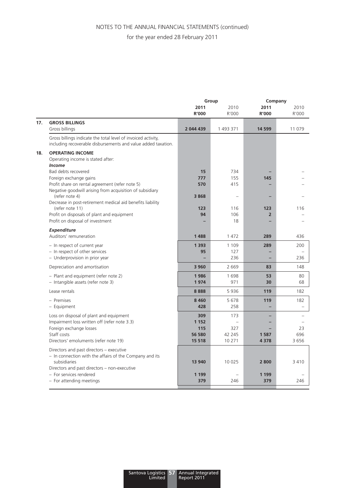|     |                                                                                                                                       | Group          |                |                       | Company  |  |
|-----|---------------------------------------------------------------------------------------------------------------------------------------|----------------|----------------|-----------------------|----------|--|
|     |                                                                                                                                       | 2011           | 2010           | 2011                  | 2010     |  |
|     |                                                                                                                                       | R'000          | R'000          | R'000                 | R'000    |  |
| 17. | <b>GROSS BILLINGS</b><br>Gross billings                                                                                               | 2 044 439      | 1 493 371      | 14 599                | 11 0 79  |  |
|     | Gross billings indicate the total level of invoiced activity,<br>including recoverable disbursements and value added taxation.        |                |                |                       |          |  |
| 18. | <b>OPERATING INCOME</b><br>Operating income is stated after:<br><b>Income</b>                                                         |                |                |                       |          |  |
|     | Bad debts recovered                                                                                                                   | 15             | 734<br>155     |                       |          |  |
|     | Foreign exchange gains<br>Profit share on rental agreement (refer note 5)<br>Negative goodwill arising from acquisition of subsidiary | 777<br>570     | 415            | 145                   |          |  |
|     | (refer note 4)<br>Decrease in post-retirement medical aid benefits liability                                                          | 3868           |                |                       |          |  |
|     | (refer note 11)<br>Profit on disposals of plant and equipment                                                                         | 123<br>94      | 116<br>106     | 123<br>$\overline{2}$ | 116      |  |
|     | Profit on disposal of investment                                                                                                      |                | 18             |                       |          |  |
|     | <b>Expenditure</b>                                                                                                                    |                |                |                       |          |  |
|     | Auditors' remuneration                                                                                                                | 1488           | 1 4 7 2        | 289                   | 436      |  |
|     | - In respect of current year<br>- In respect of other services                                                                        | 1 3 9 3<br>95  | 1 1 0 9<br>127 | 289                   | 200      |  |
|     | - Underprovision in prior year                                                                                                        |                | 236            |                       | 236      |  |
|     | Depreciation and amortisation                                                                                                         | 3 9 6 0        | 2 6 6 9        | 83                    | 148      |  |
|     | - Plant and equipment (refer note 2)<br>- Intangible assets (refer note 3)                                                            | 1986<br>1974   | 1698<br>971    | 53<br>30              | 80<br>68 |  |
|     | Lease rentals                                                                                                                         | 8888           | 5936           | 119                   | 182      |  |
|     | - Premises                                                                                                                            | 8 4 6 0<br>428 | 5 6 7 8<br>258 | 119                   | 182      |  |
|     | - Equipment                                                                                                                           |                |                |                       |          |  |
|     | Loss on disposal of plant and equipment<br>Impairment loss written off (refer note 3.3)                                               | 309<br>1 1 5 2 | 173            |                       |          |  |
|     | Foreign exchange losses                                                                                                               | 115            | 327            |                       | 23       |  |
|     | Staff costs                                                                                                                           | 56 580         | 42 245         | 1 5 8 7               | 696      |  |
|     | Directors' emoluments (refer note 19)                                                                                                 | 15 5 18        | 10 271         | 4 3 7 8               | 3656     |  |
|     | Directors and past directors - executive<br>- In connection with the affairs of the Company and its                                   |                |                |                       |          |  |
|     | subsidiaries<br>Directors and past directors - non-executive                                                                          | 13 940         | 10 0 25        | 2800                  | 3410     |  |
|     | - For services rendered                                                                                                               | 1 1 9 9        |                | 1 1 9 9               |          |  |
|     | - For attending meetings                                                                                                              | 379            | 246            | 379                   | 246      |  |
|     |                                                                                                                                       |                |                |                       |          |  |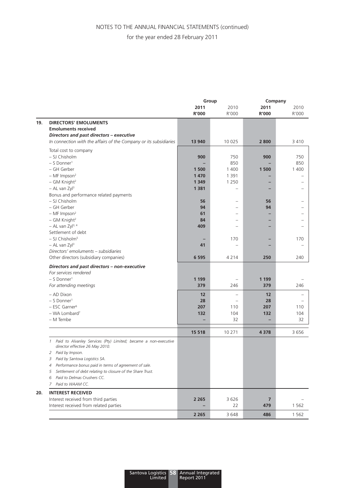|                                                                                                  | Group         |                          |                          | Company       |
|--------------------------------------------------------------------------------------------------|---------------|--------------------------|--------------------------|---------------|
|                                                                                                  | 2011<br>R'000 | 2010<br>R'000            | 2011<br>R'000            | 2010<br>R'000 |
|                                                                                                  |               |                          |                          |               |
| <b>DIRECTORS' EMOLUMENTS</b><br><b>Emoluments received</b>                                       |               |                          |                          |               |
| Directors and past directors - executive                                                         |               |                          |                          |               |
| In connection with the affairs of the Company or its subsidiaries                                | 13 940        | 10 0 25                  | 2 800                    | 3 4 1 0       |
| Total cost to company                                                                            |               |                          |                          |               |
| - SJ Chisholm                                                                                    | 900           | 750                      | 900                      | 750           |
| $-$ S Donner <sup>1</sup>                                                                        |               | 850                      |                          | 850           |
| - GH Gerber                                                                                      | 1500          | 1 400                    | 1500                     | 1 400         |
| $-$ MF Impson <sup>2</sup>                                                                       | 1470          | 1 3 9 1                  |                          |               |
| - GM Knight <sup>2</sup>                                                                         | 1 3 4 9       | 1 2 5 0                  |                          |               |
| $-$ AL van Zyl <sup>3</sup>                                                                      | 1 3 8 1       | $\overline{\phantom{0}}$ |                          |               |
| Bonus and performance related payments                                                           |               |                          |                          |               |
| - SJ Chisholm                                                                                    | 56            | $\overline{\phantom{0}}$ | 56                       |               |
| - GH Gerber                                                                                      | 94            |                          | 94                       |               |
| $-$ MF Impson <sup>2</sup>                                                                       | 61            |                          |                          |               |
| - GM Knight <sup>2</sup><br>$-$ AL van Zyl <sup>3, 4</sup>                                       | 84<br>409     |                          |                          |               |
| Settlement of debt                                                                               |               |                          |                          |               |
| $-$ SJ Chisholm <sup>5</sup>                                                                     |               | 170                      |                          | 170           |
| $-$ AL van Zyl <sup>3</sup>                                                                      | 41            |                          |                          |               |
| Directors' emoluments - subsidiaries                                                             |               |                          |                          |               |
| Other directors (subsidiary companies)                                                           | 6 5 9 5       | 4 2 1 4                  | 250                      | 240           |
| Directors and past directors - non-executive                                                     |               |                          |                          |               |
| For services rendered                                                                            |               |                          |                          |               |
| $- S$ Donner <sup>1</sup>                                                                        | 1 1 9 9       |                          | 1 1 9 9                  |               |
| For attending meetings                                                                           | 379           | 246                      | 379                      | 246           |
| - AD Dixon                                                                                       | 12            | $\overline{\phantom{0}}$ | $12 \overline{ }$        |               |
| $-$ S Donner <sup>1</sup>                                                                        | 28            |                          | 28                       |               |
| - ESC Garner <sup>6</sup>                                                                        | 207           | 110                      | 207                      | 110           |
| - WA Lombard <sup>7</sup>                                                                        | 132           | 104                      | 132                      | 104           |
| - M Tembe                                                                                        |               | 32                       | -                        | 32            |
|                                                                                                  | 15 5 18       | 10 271                   | 4 3 7 8                  | 3 6 5 6       |
| 1 Paid to Alvanley Services (Pty) Limited; became a non-executive                                |               |                          |                          |               |
| director effective 26 May 2010.                                                                  |               |                          |                          |               |
| 2 Paid by Impson.                                                                                |               |                          |                          |               |
| Paid by Santova Logistics SA.<br>3<br>Performance bonus paid in terms of agreement of sale.<br>4 |               |                          |                          |               |
| Settlement of debt relating to closure of the Share Trust.<br>5                                  |               |                          |                          |               |
| Paid to Delmas Crushers CC.<br>6                                                                 |               |                          |                          |               |
| Paid to WAAM CC.<br>7                                                                            |               |                          |                          |               |
| <b>INTEREST RECEIVED</b>                                                                         |               |                          |                          |               |
| Interest received from third parties                                                             | 2 2 6 5       | 3 6 2 6                  | $\overline{\phantom{a}}$ |               |
| Interest received from related parties                                                           |               | 22                       | 479                      | 1 5 6 2       |
|                                                                                                  | 2 2 6 5       | 3648                     | 486                      | 1 5 6 2       |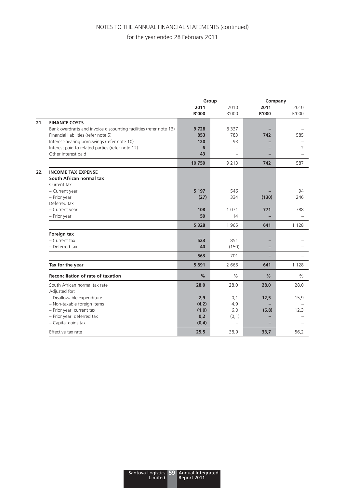|                                                                    | Group   |                |              | Company        |  |
|--------------------------------------------------------------------|---------|----------------|--------------|----------------|--|
|                                                                    | 2011    | 2010           | 2011         | 2010           |  |
|                                                                    | R'000   | R'000          | <b>R'000</b> | R'000          |  |
| <b>FINANCE COSTS</b>                                               |         |                |              |                |  |
| Bank overdrafts and invoice discounting facilities (refer note 13) | 9728    | 8 3 3 7        |              |                |  |
| Financial liabilities (refer note 5)                               | 853     | 783            | 742          | 585            |  |
| Interest-bearing borrowings (refer note 10)                        | 120     | 93             |              |                |  |
| Interest paid to related parties (refer note 12)                   | 6       |                |              | $\overline{2}$ |  |
| Other interest paid                                                | 43      |                |              |                |  |
|                                                                    | 10 750  | 9 2 1 3        | 742          | 587            |  |
| <b>INCOME TAX EXPENSE</b>                                          |         |                |              |                |  |
| South African normal tax                                           |         |                |              |                |  |
| Current tax                                                        |         |                |              |                |  |
| - Current year                                                     | 5 1 9 7 | 546            |              | 94             |  |
| - Prior year                                                       | (27)    | 334            | (130)        | 246            |  |
| Deferred tax                                                       |         |                |              |                |  |
| - Current year                                                     | 108     | 1 0 7 1        | 771          | 788            |  |
| - Prior year                                                       | 50      | 14             |              |                |  |
|                                                                    | 5 3 2 8 | 1965           | 641          | 1 1 2 8        |  |
| Foreign tax                                                        |         |                |              |                |  |
| $-$ Current tax                                                    | 523     | 851            |              |                |  |
| - Deferred tax                                                     | 40      | (150)          |              |                |  |
|                                                                    | 563     | 701            |              |                |  |
| Tax for the year                                                   | 5891    | 2 6 6 6        | 641          | 1 1 2 8        |  |
| <b>Reconciliation of rate of taxation</b>                          | %       | $\frac{0}{0}$  | %            | $\frac{0}{0}$  |  |
| South African normal tax rate                                      | 28,0    | 28,0           | 28,0         | 28,0           |  |
| Adjusted for:                                                      |         |                |              |                |  |
| - Disallowable expenditure                                         | 2,9     | 0,1            | 12,5         | 15,9           |  |
| - Non-taxable foreign items                                        | (4,2)   | 4,9            |              |                |  |
| - Prior year: current tax                                          | (1,0)   | 6,0            | (6, 8)       | 12,3           |  |
| - Prior year: deferred tax                                         | 0,2     | (0,1)          |              |                |  |
| - Capital gains tax                                                | (0,4)   | $\overline{a}$ |              |                |  |
| Effective tax rate                                                 | 25,5    | 38,9           | 33,7         | 56,2           |  |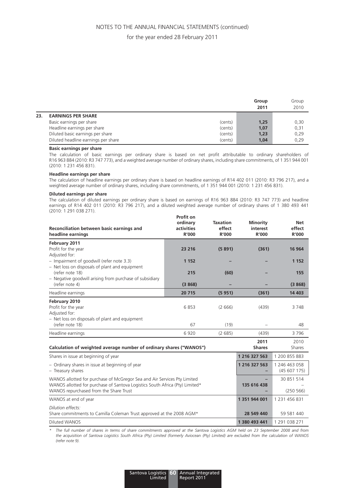|     |                                                | Group<br>2011 | Group<br>2010 |
|-----|------------------------------------------------|---------------|---------------|
| 23. | <b>EARNINGS PER SHARE</b>                      |               |               |
|     | Basic earnings per share<br>(cents)            | 1,25          | 0,30          |
|     | Headline earnings per share<br>(cents)         | 1,07          | 0,31          |
|     | Diluted basic earnings per share<br>(cents)    | 1,23          | 0,29          |
|     | Diluted headline earnings per share<br>(cents) | 1,04          | 0.29          |

### **Basic earnings per share**

The calculation of basic earnings per ordinary share is based on net profit attributable to ordinary shareholders of R16 963 884 (2010: R3 747 773), and a weighted average number of ordinary shares, including share commitments, of 1 351 944 001 (2010: 1 231 456 831).

### **Headline earnings per share**

The calculation of headline earnings per ordinary share is based on headline earnings of R14 402 011 (2010: R3 796 217), and a weighted average number of ordinary shares, including share commitments, of 1 351 944 001 (2010: 1 231 456 831).

### **Diluted earnings per share**

The calculation of diluted earnings per ordinary share is based on earnings of R16 963 884 (2010: R3 747 773) and headline earnings of R14 402 011 (2010: R3 796 217), and a diluted weighted average number of ordinary shares of 1 380 493 441 (2010: 1 291 038 271). **Profi t on**

| Reconciliation between basic earnings and<br>headline earnings               | Profit on<br>ordinary<br>activities<br>R'000 | <b>Taxation</b><br>effect<br>R'000 | <b>Minority</b><br>interest<br>R'000 | <b>Net</b><br>effect<br>R'000 |
|------------------------------------------------------------------------------|----------------------------------------------|------------------------------------|--------------------------------------|-------------------------------|
| February 2011                                                                |                                              |                                    |                                      |                               |
| Profit for the year<br>Adjusted for:                                         | 23 216                                       | (5891)                             | (361)                                | 16 964                        |
| - Impairment of goodwill (refer note 3.3)                                    | 1 1 5 2                                      |                                    |                                      | 1 1 5 2                       |
| - Net loss on disposals of plant and equipment                               |                                              |                                    |                                      |                               |
| (refer note 18)<br>- Negative goodwill arising from purchase of subsidiary   | 215                                          | (60)                               |                                      | 155                           |
| (refer note 4)                                                               | (3868)                                       |                                    |                                      | (3868)                        |
| Headline earnings                                                            | 20715                                        | (5951)                             | (361)                                | 14 403                        |
| February 2010                                                                |                                              |                                    |                                      |                               |
| Profit for the year                                                          | 6853                                         | (2666)                             | (439)                                | 3748                          |
| Adjusted for:<br>- Net loss on disposals of plant and equipment              |                                              |                                    |                                      |                               |
| (refer note 18)                                                              | 67                                           | (19)                               |                                      | 48                            |
| Headline earnings                                                            | 6920                                         | (2685)                             | (439)                                | 3796                          |
|                                                                              |                                              |                                    | 2011                                 | 2010                          |
| Calculation of weighted average number of ordinary shares ("WANOS")          |                                              |                                    | <b>Shares</b>                        | Shares                        |
| Shares in issue at beginning of year                                         |                                              |                                    | 1 216 327 563                        | 1 200 855 883                 |
| - Ordinary shares in issue at beginning of year                              |                                              |                                    | 1 2 1 6 3 2 7 5 6 3                  | 1 246 463 058                 |
| - Treasury shares                                                            |                                              |                                    |                                      | (45607175)                    |
| WANOS allotted for purchase of McGregor Sea and Air Services Pty Limited     |                                              |                                    |                                      | 30 851 514                    |
| WANOS allotted for purchase of Santova Logistics South Africa (Pty) Limited* | 135 616 438                                  |                                    |                                      |                               |
| WANOS repurchased from the Share Trust                                       |                                              |                                    |                                      | (250 566)                     |
| WANOS at end of year                                                         |                                              |                                    | 1 351 944 001                        | 1 231 456 831                 |
| Dilution effects:                                                            |                                              |                                    |                                      |                               |
| Share commitments to Camilla Coleman Trust approved at the 2008 AGM*         |                                              |                                    | 28 549 440                           | 59 581 440                    |
| Diluted WANOS                                                                |                                              |                                    | 1 380 493 441                        | 1 291 038 271                 |

*\* The full number of shares in terms of share commitments approved at the Santova Logistics AGM held on 23 September 2008 and from the acquisition of Santova Logistics South Africa (Pty) Limited (formerly Aviocean (Pty) Limited) are excluded from the calculation of WANOS (refer note 9).*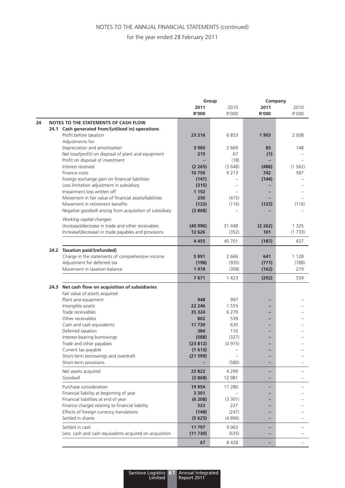|    |                                                                                       | Group          |         |         | Company |
|----|---------------------------------------------------------------------------------------|----------------|---------|---------|---------|
|    |                                                                                       | 2011           | 2010    | 2011    | 2010    |
|    |                                                                                       | R'000          | R'000   | R'000   | R'000   |
| 24 | NOTES TO THE STATEMENTS OF CASH FLOW                                                  |                |         |         |         |
|    | 24.1 Cash generated from/(utilised in) operations                                     |                |         |         |         |
|    | Profit before taxation                                                                | 23 216         | 6853    | 1 9 0 3 | 2 0 0 8 |
|    | Adjustments for:                                                                      |                |         |         |         |
|    | Depreciation and amortisation                                                         | 3 9 6 0        | 2 6 6 9 | 83      | 148     |
|    | Net loss/(profit) on disposal of plant and equipment                                  | 215            | 67      | (1)     |         |
|    | Profit on disposal of investment                                                      |                | (18)    |         |         |
|    | Interest received                                                                     | (2265)         | (3648)  | (486)   | (1562)  |
|    | Finance costs                                                                         | 10750          | 9 2 1 3 | 742     | 587     |
|    | Foreign exchange gain on financial liabilities                                        | (147)          |         | (144)   |         |
|    | Loss limitation adjustment in subsidiary                                              | (315)          |         |         |         |
|    | Impairment loss written off<br>Movement in fair value of financial assets/liabilities | 1 1 5 2<br>250 | (415)   |         |         |
|    | Movement in retirement benefits                                                       | (123)          | (116)   | (123)   | (116)   |
|    | Negative goodwill arising from acquisition of subsidiary                              | (3868)         |         |         |         |
|    |                                                                                       |                |         |         |         |
|    | Working capital changes:                                                              |                |         |         |         |
|    | (Increase)/decrease in trade and other receivables                                    | (40996)        | 31 448  | (2 262) | 1 3 2 5 |
|    | Increase/(decrease) in trade payables and provisions                                  | 12 6 26        | (352)   | 101     | (1733)  |
|    |                                                                                       | 4455           | 45 701  | (187)   | 657     |
|    | 24.2 Taxation paid/(refunded)                                                         |                |         |         |         |
|    | Charge in the statements of comprehensive income                                      | 5891           | 2 6 6 6 | 641     | 1 1 2 8 |
|    | Adjustment for deferred tax                                                           | (198)          | (935)   | (771)   | (788)   |
|    | Movement in taxation balance                                                          | 1978           | (308)   | (162)   | 219     |
|    |                                                                                       | 7671           | 1423    | (292)   | 559     |
|    | 24.3 Net cash flow on acquisition of subsidiaries                                     |                |         |         |         |
|    | Fair value of assets acquired:                                                        |                |         |         |         |
|    | Plant and equipment                                                                   | 948            | 997     |         |         |
|    | Intangible assets                                                                     | 22 246         | 1 5 5 5 |         |         |
|    | Trade receivables                                                                     | 35 324         | 6 2 7 9 |         |         |
|    | Other receivables                                                                     | 802            | 539     |         |         |
|    | Cash and cash equivalents                                                             | 11 730         | 635     |         |         |
|    | Deferred taxation                                                                     | 384            | 116     |         |         |
|    | Interest-bearing borrowings                                                           | (588)          | (327)   |         |         |
|    | Trade and other payables                                                              | (23812)        | (4915)  |         |         |
|    | Current tax payable                                                                   | (1613)         |         |         |         |
|    | Short-term borrowings and overdraft                                                   | (21599)        |         |         |         |
|    | Short-term provisions                                                                 |                | (580)   |         |         |
|    | Net assets acquired                                                                   | 23 822         | 4 2 9 9 |         |         |
|    | Goodwill                                                                              | (3868)         | 12 981  |         |         |
|    | Purchase consideration                                                                | 19 9 54        | 17 280  |         |         |
|    | Financial liability at beginning of year                                              | 3 3 0 1        |         |         |         |
|    | Financial liabilities at end of year                                                  | (6208)         | (3301)  |         |         |
|    | Finance charges relating to financial liability                                       | 523            | 227     |         |         |
|    | Effects of foreign currency translations                                              | (148)          | (247)   |         |         |
|    | Settled in shares                                                                     | (5625)         | (4896)  |         |         |
|    | Settled in cash                                                                       | 11797          | 9 0 63  |         |         |
|    | Less: cash and cash equivalents acquired on acquisition                               | (11730)        | (635)   |         |         |
|    |                                                                                       |                |         |         |         |
|    |                                                                                       | 67             | 8428    |         |         |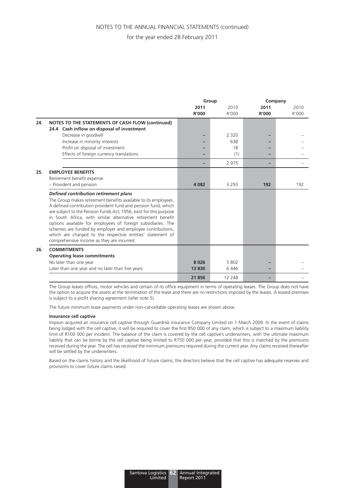|     |                                                                                                                              | Group        |         | Company |       |
|-----|------------------------------------------------------------------------------------------------------------------------------|--------------|---------|---------|-------|
|     |                                                                                                                              | 2011         | 2010    | 2011    | 2010  |
|     |                                                                                                                              | <b>R'000</b> | R'000   | R'000   | R'000 |
| 24. | NOTES TO THE STATEMENTS OF CASH FLOW (continued)                                                                             |              |         |         |       |
|     | 24.4 Cash inflow on disposal of investment                                                                                   |              |         |         |       |
|     | Decrease in goodwill                                                                                                         |              | 2 3 2 0 |         |       |
|     | Increase in minority interests                                                                                               |              | 638     |         |       |
|     | Profit on disposal of investment                                                                                             |              | 18      |         |       |
|     | Effects of foreign currency translations                                                                                     |              | (1)     |         |       |
|     |                                                                                                                              | -            | 2 9 7 5 |         |       |
| 25. | <b>EMPLOYEE BENEFITS</b>                                                                                                     |              |         |         |       |
|     | Retirement benefit expense                                                                                                   |              |         |         |       |
|     | - Provident and pension                                                                                                      | 4 0 8 2      | 3 2 9 3 | 192     | 192   |
|     | Defined contribution retirement plans                                                                                        |              |         |         |       |
|     | The Group makes retirement benefits available to its employees.                                                              |              |         |         |       |
|     | A defined contribution provident fund and pension fund, which                                                                |              |         |         |       |
|     | are subject to the Pension Funds Act, 1956, exist for this purpose                                                           |              |         |         |       |
|     | in South Africa, with similar alternative retirement benefit<br>options available for employees of foreign subsidiaries. The |              |         |         |       |
|     | schemes are funded by employer and employee contributions,                                                                   |              |         |         |       |
|     | which are charged to the respective entities' statement of                                                                   |              |         |         |       |
|     | comprehensive income as they are incurred.                                                                                   |              |         |         |       |
| 26. | <b>COMMITMENTS</b>                                                                                                           |              |         |         |       |
|     | <b>Operating lease commitments</b>                                                                                           |              |         |         |       |
|     | No later than one year                                                                                                       | 8026         | 5802    |         |       |
|     | Later than one year and no later than five years                                                                             | 13830        | 6446    |         |       |
|     |                                                                                                                              | 21856        | 12 248  |         |       |

The Group leases offices, motor vehicles and certain of its office equipment in terms of operating leases. The Group does not have the option to acquire the assets at the termination of the lease and there are no restrictions imposed by the leases. A leased premises is subject to a profit sharing agreement (refer note 5).

The future minimum lease payments under non-cancellable operating leases are shown above.

#### **Insurance cell captive**

Impson acquired an insurance cell captive through Guardrisk Insurance Company Limited on 1 March 2009. In the event of claims being lodged with the cell captive, it will be required to cover the first R50 000 of any claim, which is subject to a maximum liability limit of R100 000 per incident. The balance of the claim is covered by the cell captive's underwriters, with the ultimate maximum liability that can be borne by the cell captive being limited to R750 000 per year, provided that this is matched by the premiums received during the year. The cell has received the minimum premiums required during the current year. Any claims received thereafter will be settled by the underwriters.

Based on the claims history and the likelihood of future claims, the directors believe that the cell captive has adequate reserves and provisions to cover future claims raised.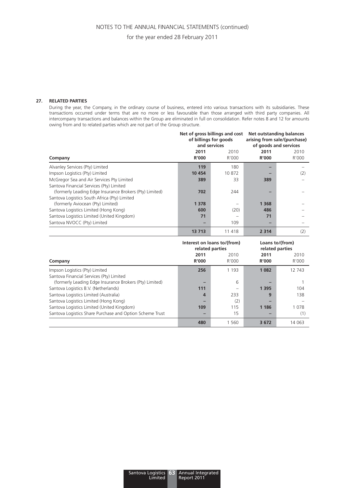### **27. RELATED PARTIES**

During the year, the Company, in the ordinary course of business, entered into various transactions with its subsidiaries. These transactions occurred under terms that are no more or less favourable than those arranged with third party companies. All intercompany transactions and balances within the Group are eliminated in full on consolidation. Refer notes 8 and 12 for amounts owing from and to related parties which are not part of the Group structure.

|                                                                                                     | of billings for goods                          | Net of gross billings and cost<br>and services | Net outstanding balances<br>arising from sale/(purchase)<br>of goods and services |                                    |
|-----------------------------------------------------------------------------------------------------|------------------------------------------------|------------------------------------------------|-----------------------------------------------------------------------------------|------------------------------------|
| Company                                                                                             | 2011<br><b>R'000</b>                           | 2010<br>R'000                                  | 2011<br><b>R'000</b>                                                              | 2010<br>R'000                      |
| Alvanley Services (Pty) Limited                                                                     | 119                                            | 180                                            |                                                                                   |                                    |
| Impson Logistics (Pty) Limited                                                                      | 10 4 54                                        | 10872                                          |                                                                                   | (2)                                |
| McGregor Sea and Air Services Pty Limited                                                           | 389                                            | 33                                             | 389                                                                               |                                    |
| Santova Financial Services (Pty) Limited<br>(formerly Leading Edge Insurance Brokers (Pty) Limited) | 702                                            | 244                                            |                                                                                   |                                    |
| Santova Logistics South Africa (Pty) Limited<br>(formerly Aviocean (Pty) Limited)                   | 1 3 7 8                                        |                                                | 1 3 6 8                                                                           |                                    |
| Santova Logistics Limited (Hong Kong)                                                               | 600                                            | (20)                                           | 486                                                                               |                                    |
| Santova Logistics Limited (United Kingdom)                                                          | 71                                             |                                                | 71                                                                                |                                    |
| Santova NVOCC (Pty) Limited                                                                         |                                                | 109                                            |                                                                                   |                                    |
|                                                                                                     | 13 7 13                                        | 11 418                                         | 2 3 1 4                                                                           | (2)                                |
|                                                                                                     | Interest on loans to/(from)<br>related parties |                                                |                                                                                   | Loans to/(from)<br>related parties |

|                                                          |       | related parties | related parties |        |  |
|----------------------------------------------------------|-------|-----------------|-----------------|--------|--|
|                                                          | 2011  | 2010            | 2011            | 2010   |  |
| Company                                                  | R'000 | R'000           | R'000           | R'000  |  |
| Impson Logistics (Pty) Limited                           | 256   | 1 1 9 3         | 1082            | 12 743 |  |
| Santova Financial Services (Pty) Limited                 |       |                 |                 |        |  |
| (formerly Leading Edge Insurance Brokers (Pty) Limited)  |       | 6               |                 |        |  |
| Santova Logistics B.V. (Netherlands)                     | 111   |                 | 1 3 9 5         | 104    |  |
| Santova Logistics Limited (Australia)                    | 4     | 233             | 9               | 138    |  |
| Santova Logistics Limited (Hong Kong)                    |       | (2)             |                 |        |  |
| Santova Logistics Limited (United Kingdom)               | 109   | 115             | 1 1 8 6         | 1078   |  |
| Santova Logistics Share Purchase and Option Scheme Trust |       | 15              |                 | (1)    |  |
|                                                          | 480   | 560             | 3672            | 14 063 |  |

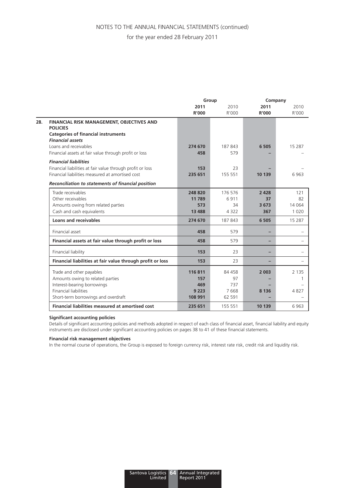|                                                               |              | Group   |         | Company  |  |  |
|---------------------------------------------------------------|--------------|---------|---------|----------|--|--|
|                                                               | 2011         | 2010    | 2011    | 2010     |  |  |
|                                                               | <b>R'000</b> | R'000   | R'000   | R'000    |  |  |
| 28.<br>FINANCIAL RISK MANAGEMENT, OBJECTIVES AND              |              |         |         |          |  |  |
| <b>POLICIES</b><br><b>Categories of financial instruments</b> |              |         |         |          |  |  |
| <b>Financial assets</b>                                       |              |         |         |          |  |  |
| Loans and receivables                                         | 274 670      | 187843  | 6 5 0 5 | 15 2 8 7 |  |  |
| Financial assets at fair value through profit or loss         | 458          | 579     |         |          |  |  |
| <b>Financial liabilities</b>                                  |              |         |         |          |  |  |
| Financial liabilities at fair value through profit or loss    | 153          | 23      |         |          |  |  |
| Financial liabilities measured at amortised cost              | 235 651      | 155 551 | 10 139  | 6963     |  |  |
| Reconciliation to statements of financial position            |              |         |         |          |  |  |
| Trade receivables                                             | 248 820      | 176 576 | 2 4 2 8 | 121      |  |  |
| Other receivables                                             | 11 789       | 6911    | 37      | 82       |  |  |
| Amounts owing from related parties                            | 573          | 34      | 3 6 7 3 | 14 0 64  |  |  |
| Cash and cash equivalents                                     | 13 4 8 8     | 4 3 2 2 | 367     | 1 0 2 0  |  |  |
| <b>Loans and receivables</b>                                  | 274 670      | 187843  | 6 5 0 5 | 15 287   |  |  |
| Financial asset                                               | 458          | 579     |         |          |  |  |
| Financial assets at fair value through profit or loss         | 458          | 579     | -       |          |  |  |
| Financial liability                                           | 153          | 23      |         |          |  |  |
| Financial liabilities at fair value through profit or loss    | 153          | 23      | -       |          |  |  |
| Trade and other payables                                      | 116811       | 84 45 8 | 2 0 0 3 | 2 1 3 5  |  |  |
| Amounts owing to related parties                              | 157          | 97      |         |          |  |  |
| Interest-bearing borrowings                                   | 469          | 737     |         |          |  |  |
| <b>Financial liabilities</b>                                  | 9 2 2 3      | 7668    | 8 1 3 6 | 4827     |  |  |
| Short-term borrowings and overdraft                           | 108 991      | 62 591  |         |          |  |  |
| Financial liabilities measured at amortised cost              | 235 651      | 155 551 | 10 139  | 6963     |  |  |

### **Significant accounting policies**

Details of significant accounting policies and methods adopted in respect of each class of financial asset, financial liability and equity instruments are disclosed under significant accounting policies on pages 38 to 41 of these financial statements.

### **Financial risk management objectives**

In the normal course of operations, the Group is exposed to foreign currency risk, interest rate risk, credit risk and liquidity risk.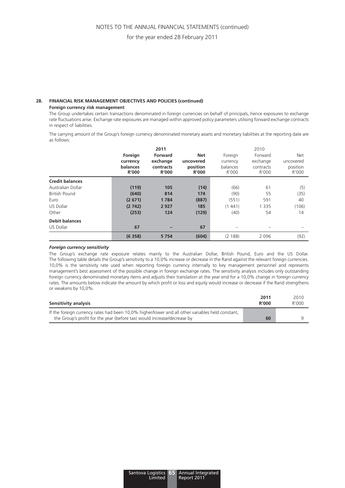### **28. FINANCIAL RISK MANAGEMENT OBJECTIVES AND POLICIES (continued)**

### **Foreign currency risk management**

The Group undertakes certain transactions denominated in foreign currencies on behalf of principals, hence exposures to exchange rate fluctuations arise. Exchange rate exposures are managed within approved policy parameters utilising forward exchange contracts in respect of liabilities.

The carrying amount of the Group's foreign currency denominated monetary assets and monetary liabilities at the reporting date are as follows:

|                                                                                                   | Foreign<br>currency<br>balances<br><b>R'000</b> | 2011<br>Forward<br>exchange<br>contracts<br><b>R'000</b> | <b>Net</b><br>uncovered<br>position<br><b>R'000</b> | Foreign<br>currency<br>balances<br>R'000 | 2010<br>Forward<br>exchange<br>contracts<br>R'000 | <b>Net</b><br>uncovered<br>position<br>R'000 |
|---------------------------------------------------------------------------------------------------|-------------------------------------------------|----------------------------------------------------------|-----------------------------------------------------|------------------------------------------|---------------------------------------------------|----------------------------------------------|
| <b>Credit balances</b><br>Australian Dollar<br><b>British Pound</b><br>Euro<br>US Dollar<br>Other | (119)<br>(640)<br>(2671)<br>(2742)<br>(253)     | 105<br>814<br>1784<br>2 9 2 7<br>124                     | (14)<br>174<br>(887)<br>185<br>(129)                | (66)<br>(90)<br>(551)<br>(1441)<br>(40)  | 61<br>55<br>591<br>1 3 3 5<br>54                  | (5)<br>(35)<br>40<br>(106)<br>14             |
| <b>Debit balances</b><br>US Dollar                                                                | 67                                              |                                                          | 67                                                  |                                          |                                                   |                                              |
|                                                                                                   | (6358)                                          | 5 7 5 4                                                  | (604)                                               | (2188)                                   | 2 0 9 6                                           | (92)                                         |

### *Foreign currency sensitivity*

The Group's exchange rate exposure relates mainly to the Australian Dollar, British Pound, Euro and the US Dollar. The following table details the Group's sensitivity to a 10,0% increase or decrease in the Rand against the relevant foreign currencies. 10,0% is the sensitivity rate used when reporting foreign currency internally to key management personnel and represents management's best assessment of the possible change in foreign exchange rates. The sensitivity analysis includes only outstanding foreign currency denominated monetary items and adjusts their translation at the year end for a 10,0% change in foreign currency rates. The amounts below indicate the amount by which profit or loss and equity would increase or decrease if the Rand strengthens or weakens by 10,0%.

| Sensitivity analysis                                                                                                                                                        | 2011<br><b>R'000</b> | 2010<br>R'000 |
|-----------------------------------------------------------------------------------------------------------------------------------------------------------------------------|----------------------|---------------|
| If the foreign currency rates had been 10.0% higher/lower and all other variables held constant,<br>the Group's profit for the year (before tax) would increase/decrease by | 60                   |               |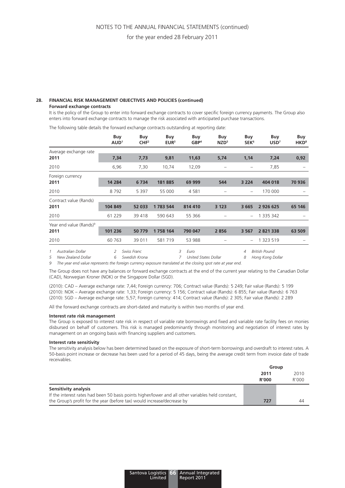## **28. FINANCIAL RISK MANAGEMENT OBJECTIVES AND POLICIES (continued)**

### **Forward exchange contracts**

It is the policy of the Group to enter into forward exchange contracts to cover specific foreign currency payments. The Group also enters into forward exchange contracts to manage the risk associated with anticipated purchase transactions.

The following table details the forward exchange contracts outstanding at reporting date:

|                                                               | Buy<br>AUD <sup>1</sup> | Buy<br>CHF <sup>2</sup>      | Buy<br>EUR <sup>3</sup> | Buy<br>GBP <sup>4</sup>                  | Buy<br>NZD <sup>5</sup> | Buy<br>SEK <sup>6</sup>  | Buy<br>USD <sup>7</sup> | Buy<br><b>HKD<sup>8</sup></b> |
|---------------------------------------------------------------|-------------------------|------------------------------|-------------------------|------------------------------------------|-------------------------|--------------------------|-------------------------|-------------------------------|
| Average exchange rate                                         |                         |                              |                         |                                          |                         |                          |                         |                               |
| 2011                                                          | 7,34                    | 7,73                         | 9,81                    | 11,63                                    | 5,74                    | 1,14                     | 7,24                    | 0,92                          |
| 2010                                                          | 6,96                    | 7,30                         | 10,74                   | 12,09                                    |                         | $\qquad \qquad -$        | 7,85                    |                               |
| Foreign currency                                              |                         |                              |                         |                                          |                         |                          |                         |                               |
| 2011                                                          | 14 2 8 4                | 6734                         | 181885                  | 69 999                                   | 544                     | 3 2 2 4                  | 404 018                 | 70 936                        |
| 2010                                                          | 8792                    | 5 3 9 7                      | 55 000                  | 4581                                     |                         |                          | 170 000                 |                               |
| Contract value (Rands)                                        |                         |                              |                         |                                          |                         |                          |                         |                               |
| 2011                                                          | 104 849                 | 52 033                       | 1783544                 | 814 410                                  | 3 1 2 3                 | 3 6 6 5                  | 2 926 625               | 65 146                        |
| 2010                                                          | 61 2 2 9                | 39 418                       | 590 643                 | 55 366                                   |                         | $\overline{\phantom{0}}$ | 1 335 342               |                               |
| Year end value (Rands) <sup>9</sup>                           |                         |                              |                         |                                          |                         |                          |                         |                               |
| 2011                                                          | 101 236                 | 50 779                       | 1758 164                | 790 047                                  | 2856                    | 3 5 6 7                  | 2 821 338               | 63 509                        |
| 2010                                                          | 60 7 63                 | 39 011                       | 581719                  | 53 988                                   |                         | -                        | 1 323 519               |                               |
| Australian Dollar<br>$\mathcal{I}$<br>New Zealand Dollar<br>5 | 2                       | Swiss Franc<br>Swedish Krona |                         | 3<br>Euro<br><b>United States Dollar</b> |                         | 4<br>8                   | <b>British Pound</b>    |                               |
|                                                               | 6                       |                              |                         |                                          |                         |                          | Hong Kong Dollar        |                               |

*9 The year end value represents the foreign currency exposure translated at the closing spot rate at year end.*

The Group does not have any balances or forward exchange contracts at the end of the current year relating to the Canadian Dollar (CAD), Norwegian Kroner (NOK) or the Singapore Dollar (SGD).

(2010): CAD – Average exchange rate: 7,44; Foreign currency: 706; Contract value (Rands): 5 249; Fair value (Rands): 5 199 (2010): NOK – Average exchange rate: 1,33; Foreign currency: 5 156; Contract value (Rands): 6 855; Fair value (Rands): 6 763 (2010): SGD – Average exchange rate: 5,57; Foreign currency: 414; Contract value (Rands): 2 305; Fair value (Rands): 2 289

All the forward exchange contracts are short-dated and maturity is within two months of year end.

#### **Interest rate risk management**

The Group is exposed to interest rate risk in respect of variable rate borrowings and fixed and variable rate facility fees on monies disbursed on behalf of customers. This risk is managed predominantly through monitoring and negotiation of interest rates by management on an ongoing basis with financing suppliers and customers.

#### **Interest rate sensitivity**

 The sensitivity analysis below has been determined based on the exposure of short-term borrowings and overdraft to interest rates. A 50-basis point increase or decrease has been used for a period of 45 days, being the average credit term from invoice date of trade receivables.

|                                                                                                    | Group |       |
|----------------------------------------------------------------------------------------------------|-------|-------|
|                                                                                                    | 2011  | 2010  |
|                                                                                                    | R'000 | R'000 |
| Sensitivity analysis                                                                               |       |       |
| If the interest rates had been 50 basis points higher/lower and all other variables held constant, |       |       |
| the Group's profit for the year (before tax) would increase/decrease by                            | 727   | 44    |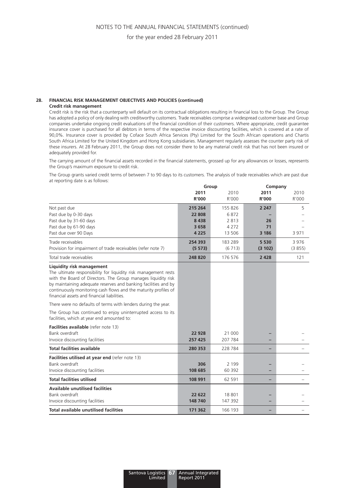#### **28. FINANCIAL RISK MANAGEMENT OBJECTIVES AND POLICIES (continued) Credit risk management**

Credit risk is the risk that a counterparty will default on its contractual obligations resulting in financial loss to the Group. The Group has adopted a policy of only dealing with creditworthy customers. Trade receivables comprise a widespread customer base and Group companies undertake ongoing credit evaluations of the financial condition of their customers. Where appropriate, credit guarantee insurance cover is purchased for all debtors in terms of the respective invoice discounting facilities, which is covered at a rate of 90,0%. Insurance cover is provided by Coface South Africa Services (Pty) Limited for the South African operations and Chartis South Africa Limited for the United Kingdom and Hong Kong subsidiaries. Management regularly assesses the counter party risk of these insurers. At 28 February 2011, the Group does not consider there to be any material credit risk that has not been insured or adequately provided for.

The carrying amount of the financial assets recorded in the financial statements, grossed up for any allowances or losses, represents the Group's maximum exposure to credit risk.

The Group grants varied credit terms of between 7 to 90 days to its customers. The analysis of trade receivables which are past due at reporting date is as follows:

|                                                                                                                                                                                                                                                                                                                                                          | Group   |         | Company |         |
|----------------------------------------------------------------------------------------------------------------------------------------------------------------------------------------------------------------------------------------------------------------------------------------------------------------------------------------------------------|---------|---------|---------|---------|
|                                                                                                                                                                                                                                                                                                                                                          | 2011    | 2010    | 2011    | 2010    |
|                                                                                                                                                                                                                                                                                                                                                          | R'000   | R'000   | R'000   | R'000   |
| Not past due                                                                                                                                                                                                                                                                                                                                             | 215 264 | 155 826 | 2 2 4 7 | 5       |
| Past due by 0-30 days                                                                                                                                                                                                                                                                                                                                    | 22 808  | 6872    |         |         |
| Past due by 31-60 days                                                                                                                                                                                                                                                                                                                                   | 8438    | 2 8 1 3 | 26      |         |
| Past due by 61-90 days                                                                                                                                                                                                                                                                                                                                   | 3 6 5 8 | 4 2 7 2 | 71      |         |
| Past due over 90 Days                                                                                                                                                                                                                                                                                                                                    | 4 2 2 5 | 13 506  | 3 18 6  | 3 9 7 1 |
| Trade receivables                                                                                                                                                                                                                                                                                                                                        | 254 393 | 183 289 | 5 5 3 0 | 3976    |
| Provision for impairment of trade receivables (refer note 7)                                                                                                                                                                                                                                                                                             | (5573)  | (6713)  | (3 102) | (3855)  |
| Total trade receivables                                                                                                                                                                                                                                                                                                                                  | 248 820 | 176 576 | 2 4 2 8 | 121     |
| <b>Liquidity risk management</b><br>The ultimate responsibility for liquidity risk management rests<br>with the Board of Directors. The Group manages liquidity risk<br>by maintaining adequate reserves and banking facilities and by<br>continuously monitoring cash flows and the maturity profiles of<br>financial assets and financial liabilities. |         |         |         |         |
| There were no defaults of terms with lenders during the year.                                                                                                                                                                                                                                                                                            |         |         |         |         |
| The Group has continued to enjoy uninterrupted access to its<br>facilities, which at year end amounted to:                                                                                                                                                                                                                                               |         |         |         |         |
| <b>Facilities available</b> (refer note 13)                                                                                                                                                                                                                                                                                                              |         |         |         |         |
| Bank overdraft                                                                                                                                                                                                                                                                                                                                           | 22 9 28 | 21 000  |         |         |
| Invoice discounting facilities                                                                                                                                                                                                                                                                                                                           | 257 425 | 207 784 |         |         |
| <b>Total facilities available</b>                                                                                                                                                                                                                                                                                                                        | 280 353 | 228 784 |         |         |
| Facilities utilised at year end (refer note 13)                                                                                                                                                                                                                                                                                                          |         |         |         |         |
| <b>Bank overdraft</b>                                                                                                                                                                                                                                                                                                                                    | 306     | 2 1 9 9 |         |         |
| Invoice discounting facilities                                                                                                                                                                                                                                                                                                                           | 108 685 | 60 392  |         |         |
| <b>Total facilities utilised</b>                                                                                                                                                                                                                                                                                                                         | 108 991 | 62 591  |         |         |
| <b>Available unutilised facilities</b>                                                                                                                                                                                                                                                                                                                   |         |         |         |         |
| Bank overdraft                                                                                                                                                                                                                                                                                                                                           | 22 622  | 18 801  |         |         |
| Invoice discounting facilities                                                                                                                                                                                                                                                                                                                           | 148 740 | 147 392 |         |         |
| <b>Total available unutilised facilities</b>                                                                                                                                                                                                                                                                                                             | 171 362 | 166 193 |         |         |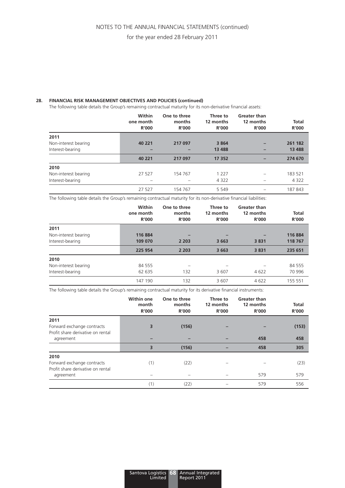### **28. FINANCIAL RISK MANAGEMENT OBJECTIVES AND POLICIES (continued)**

The following table details the Group's remaining contractual maturity for its non-derivative financial assets:

|                      | Within<br>one month<br><b>R'000</b> | One to three<br>months<br>R'000 | Three to<br>12 months<br>R'000 | <b>Greater than</b><br>12 months<br><b>R'000</b> | <b>Total</b><br><b>R'000</b> |
|----------------------|-------------------------------------|---------------------------------|--------------------------------|--------------------------------------------------|------------------------------|
| 2011                 |                                     |                                 |                                |                                                  |                              |
| Non-interest bearing | 40 221                              | 217 097                         | 3 8 6 4                        |                                                  | 261 182                      |
| Interest-bearing     |                                     |                                 | 13 4 88                        | -                                                | 13 4 88                      |
|                      | 40 221                              | 217 097                         | 17 3 52                        |                                                  | 274 670                      |
| 2010                 |                                     |                                 |                                |                                                  |                              |
| Non-interest bearing | 27 527                              | 154 767                         | 1 2 2 7                        |                                                  | 183 521                      |
| Interest-bearing     |                                     |                                 | 4 3 2 2                        |                                                  | 4 3 2 2                      |
|                      | 27 527                              | 154 767                         | 5 5 4 9                        |                                                  | 187 843                      |

The following table details the Group's remaining contractual maturity for its non-derivative financial liabilities:

|                      | Within<br>one month<br><b>R'000</b> | One to three<br>months<br>R'000 | Three to<br>12 months<br><b>R'000</b> | Greater than<br>12 months<br><b>R'000</b> | <b>Total</b><br>R'000 |
|----------------------|-------------------------------------|---------------------------------|---------------------------------------|-------------------------------------------|-----------------------|
| 2011                 |                                     |                                 |                                       |                                           |                       |
| Non-interest bearing | 116 884                             |                                 |                                       |                                           | 116 884               |
| Interest-bearing     | 109 070                             | 2 2 0 3                         | 3 6 6 3                               | 3831                                      | 118 767               |
|                      | 225 954                             | 2 2 0 3                         | 3 6 6 3                               | 3831                                      | 235 651               |
| 2010                 |                                     |                                 |                                       |                                           |                       |
| Non-interest bearing | 84 555                              |                                 |                                       |                                           | 84 555                |
| Interest-bearing     | 62 635                              | 132                             | 3 607                                 | 4 6 2 2                                   | 70 996                |
|                      | 147 190                             | 132                             | 3 607                                 | 4 6 2 2                                   | 155 551               |

The following table details the Group's remaining contractual maturity for its derivative financial instruments:

|                                   | <b>Within one</b><br>month<br><b>R'000</b> | One to three<br>months<br>R'000 | Three to<br>12 months<br><b>R'000</b> | Greater than<br>12 months<br><b>R'000</b> | <b>Total</b><br>R'000 |
|-----------------------------------|--------------------------------------------|---------------------------------|---------------------------------------|-------------------------------------------|-----------------------|
| 2011                              |                                            |                                 |                                       |                                           |                       |
| Forward exchange contracts        | 3                                          | (156)                           |                                       |                                           | (153)                 |
| Profit share derivative on rental |                                            |                                 |                                       |                                           |                       |
| agreement                         |                                            |                                 |                                       | 458                                       | 458                   |
|                                   | 3                                          | (156)                           |                                       | 458                                       | 305                   |
| 2010                              |                                            |                                 |                                       |                                           |                       |
| Forward exchange contracts        | (1)                                        | (22)                            |                                       |                                           | (23)                  |
| Profit share derivative on rental |                                            |                                 |                                       |                                           |                       |
| agreement                         |                                            |                                 |                                       | 579                                       | 579                   |
|                                   | (1)                                        | (22)                            |                                       | 579                                       | 556                   |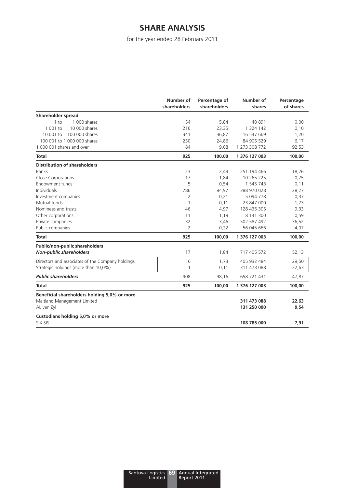# **SHARE ANALYSIS**

for the year ended 28 February 2011

|                                                  | Number of<br>shareholders | Percentage of<br>shareholders | Number of<br>shares | Percentage<br>of shares |
|--------------------------------------------------|---------------------------|-------------------------------|---------------------|-------------------------|
| Shareholder spread                               |                           |                               |                     |                         |
| 1 to<br>1 000 shares                             | 54                        | 5,84                          | 40 891              | 0,00                    |
| 10 000 shares<br>1 001 to                        | 216                       | 23,35                         | 1 324 142           | 0,10                    |
| 100 000 shares<br>10 001 to                      | 341                       | 36,87                         | 16 547 669          | 1,20                    |
| 100 001 to 1 000 000 shares                      | 230                       | 24,86                         | 84 905 529          | 6,17                    |
| 1,000,001 shares and over                        | 84                        | 9,08                          | 1 273 308 772       | 92,53                   |
| <b>Total</b>                                     | 925                       | 100,00                        | 1 376 127 003       | 100,00                  |
| <b>Distribution of shareholders</b>              |                           |                               |                     |                         |
| <b>Banks</b>                                     | 23                        | 2,49                          | 251 194 466         | 18,26                   |
| Close Corporations                               | 17                        | 1,84                          | 10 265 225          | 0,75                    |
| Endowment funds                                  | 5                         | 0,54                          | 1 545 743           | 0,11                    |
| Individuals                                      | 786                       | 84,97                         | 388 970 028         | 28,27                   |
| Investment companies                             | $\overline{2}$            | 0,21                          | 5 0 9 4 7 7 8       | 0,37                    |
| Mutual funds                                     | 1                         | 0,11                          | 23 847 000          | 1,73                    |
| Nominees and trusts                              | 46                        | 4,97                          | 128 435 305         | 9,33                    |
| Other corporations                               | 11                        | 1,19                          | 8 141 300           | 0,59                    |
| Private companies                                | 32                        | 3,46                          | 502 587 492         | 36,52                   |
| Public companies                                 | 2                         | 0,22                          | 56 045 666          | 4,07                    |
| Total                                            | 925                       | 100,00                        | 1 376 127 003       | 100,00                  |
| Public/non-public shareholders                   |                           |                               |                     |                         |
| <b>Non-public shareholders</b>                   | 17                        | 1,84                          | 717 405 572         | 52,13                   |
| Directors and associates of the Company holdings | 16                        | 1,73                          | 405 932 484         | 29,50                   |
| Strategic holdings (more than 10,0%)             | 1                         | 0,11                          | 311 473 088         | 22,63                   |
| <b>Public shareholders</b>                       | 908                       | 98,16                         | 658 721 431         | 47,87                   |
| <b>Total</b>                                     | 925                       | 100,00                        | 1 376 127 003       | 100,00                  |
| Beneficial shareholders holding 5,0% or more     |                           |                               |                     |                         |
| Maitland Management Limited                      |                           |                               | 311 473 088         | 22,63                   |
| AL van Zyl                                       |                           |                               | 131 250 000         | 9,54                    |
| Custodians holding 5,0% or more                  |                           |                               |                     |                         |
| SIX SIS                                          |                           |                               | 108 785 000         | 7,91                    |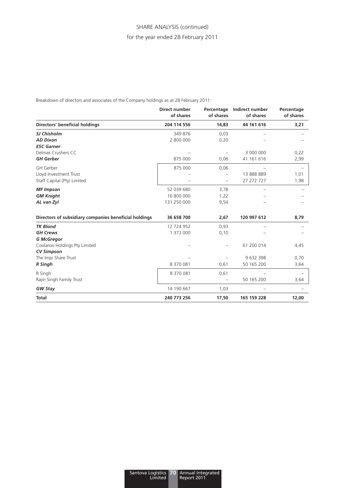## SHARE ANALYSIS (continued)

## for the year ended 28 February 2011

Breakdown of directors and associates of the Company holdings as at 28 February 2011:

|                                                                            | <b>Direct number</b><br>of shares       | Percentage<br>of shares                   | Indirect number<br>of shares | Percentage<br>of shares |
|----------------------------------------------------------------------------|-----------------------------------------|-------------------------------------------|------------------------------|-------------------------|
| <b>Directors' beneficial holdings</b>                                      | 204 114 556                             | 14,83                                     | 44 161 616                   | 3,21                    |
| SJ Chisholm<br><b>AD Dixon</b><br><b>ESC Garner</b>                        | 349 876<br>2 800 000                    | 0,03<br>0,20                              |                              |                         |
| Delmas Crushers CC<br><b>GH</b> Gerber                                     | 875 000                                 | 0,06                                      | 3 000 000<br>41 161 616      | 0,22<br>2,99            |
| GH Gerber<br>Lloyd Investment Trust<br>Staff Capital (Pty) Limited         | 875 000                                 | 0,06<br>$\overbrace{\phantom{123221111}}$ | 13 888 889<br>27 272 727     | 1,01<br>1,98            |
| <b>MF</b> Impson<br><b>GM Knight</b><br>AL van Zyl                         | 52 039 680<br>16 800 000<br>131 250 000 | 3,78<br>1,22<br>9,54                      |                              |                         |
| Directors of subsidiary companies beneficial holdings                      | 36 658 700                              | 2,67                                      | 120 997 612                  | 8,79                    |
| <b>TK Blond</b><br><b>GH Crews</b><br><b>G McGregor</b>                    | 12 724 952<br>1 373 000                 | 0,93<br>0,10                              |                              |                         |
| Coolaroo Holdings Pty Limited<br><b>CV Simpson</b><br>The Impi Share Trust |                                         |                                           | 61 200 014<br>9632398        | 4,45<br>0,70            |
| <b>R</b> Singh                                                             | 8 370 081                               | 0,61                                      | 50 165 200                   | 3,64                    |
| R Singh<br>Rajin Singh Family Trust                                        | 8 370 081                               | 0,61<br>$\overline{\phantom{0}}$          | 50 165 200                   | 3,64                    |
| <b>GW Stay</b>                                                             | 14 190 667                              | 1,03                                      |                              |                         |
| <b>Total</b>                                                               | 240 773 256                             | 17,50                                     | 165 159 228                  | 12,00                   |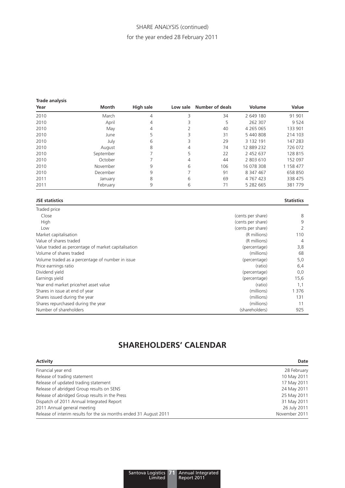## SHARE ANALYSIS (continued)

# for the year ended 28 February 2011

## **Trade analysis**

| Year | Month     | High sale | Low sale | <b>Number of deals</b> | Volume        | Value     |
|------|-----------|-----------|----------|------------------------|---------------|-----------|
| 2010 | March     | 4         | ξ        | 34                     | 2 649 180     | 91 901    |
| 2010 | April     | 4         | 3        | 5                      | 262 307       | 9 5 2 4   |
| 2010 | May       |           |          | 40                     | 4 2 6 5 0 6 5 | 133 901   |
| 2010 | June      |           |          | 31                     | 5 440 808     | 214 103   |
| 2010 | July      | 6         | 3        | 29                     | 3 132 191     | 147 283   |
| 2010 | August    | 8         | 4        | 74                     | 12 889 232    | 726 072   |
| 2010 | September |           |          | 22                     | 2 452 637     | 128 815   |
| 2010 | October   |           | 4        | 44                     | 2 803 610     | 152 097   |
| 2010 | November  | 9         | 6        | 106                    | 16 078 308    | 1 158 477 |
| 2010 | December  |           |          | 91                     | 8 347 467     | 658 850   |
| 2011 | January   | 8         | 6        | 69                     | 4 7 6 7 4 2 3 | 338 475   |
| 2011 | February  | 9         | 6        | 71                     | 5 282 665     | 381 779   |

#### **JSE statistics Statistics**

| Traded price                                        |                   |       |
|-----------------------------------------------------|-------------------|-------|
| Close                                               | (cents per share) | 8     |
| High                                                | (cents per share) | 9     |
| Low                                                 | (cents per share) |       |
| Market capitalisation                               | (R millions)      | 110   |
| Value of shares traded                              | (R millions)      | 4     |
| Value traded as percentage of market capitalisation | (percentage)      | 3,8   |
| Volume of shares traded                             | (millions)        | 68    |
| Volume traded as a percentage of number in issue    | (percentage)      | 5,0   |
| Price earnings ratio                                | (ratio)           | 6,4   |
| Dividend yield                                      | (percentage)      | 0,0   |
| Earnings yield                                      | (percentage)      | 15,6  |
| Year end market price/net asset value               | (ratio)           | 1,1   |
| Shares in issue at end of year                      | (millions)        | 1 376 |
| Shares issued during the year                       | (millions)        | 131   |
| Shares repurchased during the year                  | (millions)        | 11    |
| Number of shareholders                              | (shareholders)    | 925   |

# **SHAREHOLDERS' CALENDAR**

| <b>Activity</b>                                                    | Date          |
|--------------------------------------------------------------------|---------------|
| Financial year end                                                 | 28 February   |
| Release of trading statement                                       | 10 May 2011   |
| Release of updated trading statement                               | 17 May 2011   |
| Release of abridged Group results on SENS                          | 24 May 2011   |
| Release of abridged Group results in the Press                     | 25 May 2011   |
| Dispatch of 2011 Annual Integrated Report                          | 31 May 2011   |
| 2011 Annual general meeting                                        | 26 July 2011  |
| Release of interim results for the six months ended 31 August 2011 | November 2011 |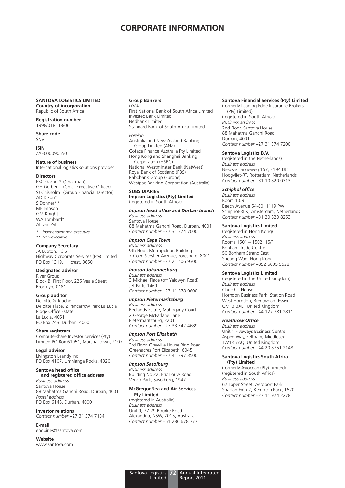## **CORPORATE INFORMATION**

#### **SANTOVA LOGISTICS LIMITED Country of incorporation** Republic of South Africa

**Registration number** 1998/018118/06

**Share code** SN<sub>V</sub>

**ISIN** ZAE000090650

**Nature of business** International logistics solutions provider

## **Directors**

ESC Garner\* (Chairman) GH Gerber (Chief Executive Officer) SJ Chisholm (Group Financial Director) AD Dixon\* S Donner\*\* MF Impson GM Knight WA Lombard\* AL van Zyl

*\* Independent non-executive*

*\*\* Non-executive*

## **Company Secretary**

JA Lupton, FCIS Highway Corporate Services (Pty) Limited PO Box 1319, Hillcrest, 3650

## **Designated advisor**

River Group Block B, First Floor, 225 Veale Street Brooklyn, 0181

## **Group auditor**

Deloitte & Touche Deloitte Place, 2 Pencarrow Park La Lucia Ridge Office Estate La Lucia, 4051 PO Box 243, Durban, 4000

## **Share registrars**

Computershare Investor Services (Pty) Limited PO Box 61051, Marshalltown, 2107

**Legal advisor** Livingston Leandy Inc PO Box 4107, Umhlanga Rocks, 4320

## **Santova head office**

and registered office address *Business address* Santova House 88 Mahatma Gandhi Road, Durban, 4001 *Postal address* PO Box 6148, Durban, 4000

**Investor relations** *Contact number* +27 31 374 7134

**E-mail** enquiries@santova.com

**Website** www.santova.com

## **Group Bankers**

*Local* First National Bank of South Africa Limited Investec Bank Limited Nedbank Limited Standard Bank of South Africa Limited

#### *Foreign*

Australia and New Zealand Banking Group Limited (ANZ) Coface Finance Australia Pty Limited Hong Kong and Shanghai Banking Corporation (HSBC) National Westminster Bank (NatWest) Royal Bank of Scotland (RBS) Rabobank Group (Europe) Westpac Banking Corporation (Australia)

## **SUBSIDIARIES**

**Impson Logistics (Pty) Limited** (registered in South Africa)

*Impson head office and Durban branch Business address* Santova House 88 Mahatma Gandhi Road, Durban, 4001 *Contact number* +27 31 374 7000

## *Impson Cape Town*

*Business address* 9th Floor, Metropolitan Building 7 Coen Steytler Avenue, Foreshore, 8001 *Contact number* +27 21 406 9300

## *Impson Johannesburg*

*Business address* 3 Michael Place (off Yaldwyn Road) Jet Park, 1469 *Contact number* +27 11 578 0600

## *Impson Pietermaritzburg*

*Business address* Redlands Estate, Mahogany Court 2 George McFarlane Lane Pietermaritzburg, 3201 *Contact number* +27 33 342 4689

*Impson Port Elizabeth Business address* 3rd Floor, Greyville House Ring Road Greenacres Port Elizabeth, 6045 *Contact number* +27 41 397 3500

*Impson Sasolburg Business address* Building No 32, Eric Louw Road Venco Park, Sasolburg, 1947

## **McGregor Sea and Air Services**

**Pty Limited** (registered in Australia) *Business address* Unit 9, 77-79 Bourke Road Alexandria, NSW, 2015, Australia *Contact number* +61 286 678 777

## **Santova Financial Services (Pty) Limited**

(formerly Leading Edge Insurance Brokers (Pty) Limited) (registered in South Africa) *Business address* 2nd Floor, Santova House 88 Mahatma Gandhi Road Durban, 4001 *Contact number* +27 31 374 7200

## **Santova Logistics B.V.**

(registered in the Netherlands) *Business address* Nieuwe Langeweg 167, 3194 DC Hoogvliet-RT, Rotterdam, Netherlands *Contact number* +31 10 820 0313

## *Schiphol offi ce*

*Business address* Room 1.09 Beech Avenue 54-80, 1119 PW Schiphol-RIJK, Amsterdam, Netherlands *Contact number* +31 20 820 8253

## **Santova Logistics Limited**

(registered in Hong Kong) *Business address* Rooms 1501 – 1502, 15/F Bonham Trade Centre 50 Bonham Strand East Sheung Wan, Hong Kong *Contact number* +852 6035 5528

## **Santova Logistics Limited**

(registered in the United Kingdom) *Business address* Churchill House Horndon Business Park, Station Road West Horndon, Brentwood, Essex CM13 3XD, United Kingdom *Contact number* +44 127 781 2811

## **Heathrow Office**

*Business address* Unit 1 Fiveways Business Centre Aspen Way, Feltham, Middlesex TW13 7AQ, United Kingdom *Contact number* +44 20 8751 2148

**Santova Logistics South Africa (Pty) Limited** 

(formerly Aviocean (Pty) Limited) (registered in South Africa) *Business address* 67 Loper Street, Aeroport Park Spartan Extn 2, Kempton Park, 1620 *Contact number* +27 11 974 2278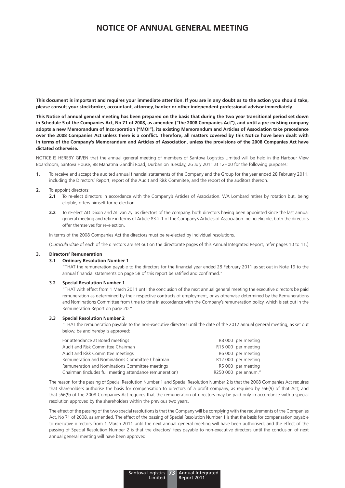## **NOTICE OF ANNUAL GENERAL MEETING**

**This document is important and requires your immediate attention. If you are in any doubt as to the action you should take, please consult your stockbroker, accountant, attorney, banker or other independent professional advisor immediately.**

**This Notice of annual general meeting has been prepared on the basis that during the two year transitional period set down in Schedule 5 of the Companies Act, No 71 of 2008, as amended ("the 2008 Companies Act"), and until a pre-existing company adopts a new Memorandum of Incorporation ("MOI"), its existing Memorandum and Articles of Association take precedence**  over the 2008 Companies Act unless there is a conflict. Therefore, all matters covered by this Notice have been dealt with **in terms of the Company's Memorandum and Articles of Association, unless the provisions of the 2008 Companies Act have dictated otherwise.**

NOTICE IS HEREBY GIVEN that the annual general meeting of members of Santova Logistics Limited will be held in the Harbour View Boardroom, Santova House, 88 Mahatma Gandhi Road, Durban on Tuesday, 26 July 2011 at 12H00 for the following purposes:

1. To receive and accept the audited annual financial statements of the Company and the Group for the year ended 28 February 2011, including the Directors' Report, report of the Audit and Risk Commitee, and the report of the auditors thereon.

## **2.** To appoint directors:

- **2.1** To re-elect directors in accordance with the Company's Articles of Association. WA Lombard retires by rotation but, being eligible, offers himself for re-election.
- **2.2** To re-elect AD Dixon and AL van Zyl as directors of the company, both directors having been appointed since the last annual general meeting and retire in terms of Article 83.2.1 of the Company's Articles of Association: being eligible, both the directors offer themselves for re-election.

In terms of the 2008 Companies Act the directors must be re-elected by individual resolutions.

(*Curricula vitae* of each of the directors are set out on the directorate pages of this Annual Integrated Report, refer pages 10 to 11.)

#### **3. Directors' Remuneration**

#### **3.1 Ordinary Resolution Number 1**

"THAT the remuneration payable to the directors for the financial year ended 28 February 2011 as set out in Note 19 to the annual financial statements on page 58 of this report be ratified and confirmed."

#### **3.2 Special Resolution Number 1**

 "THAT with effect from 1 March 2011 until the conclusion of the next annual general meeting the executive directors be paid remuneration as determined by their respective contracts of employment, or as otherwise determined by the Remunerations and Nominations Committee from time to time in accordance with the Company's remuneration policy, which is set out in the Remuneration Report on page 20."

#### **3.3 Special Resolution Number 2**

 "THAT the remuneration payable to the non-executive directors until the date of the 2012 annual general meeting, as set out below, be and hereby is approved:

| For attendance at Board meetings                         | R8 000 per meeting   |
|----------------------------------------------------------|----------------------|
| Audit and Risk Committee Chairman                        | R15 000 per meeting  |
| Audit and Risk Committee meetings                        | R6 000 per meeting   |
| Remuneration and Nominations Committee Chairman          | R12 000 per meeting  |
| Remuneration and Nominations Committee meetings          | R5 000 per meeting   |
| Chairman (includes full meeting attendance remuneration) | R250 000 per annum." |

 The reason for the passing of Special Resolution Number 1 and Special Resolution Number 2 is that the 2008 Companies Act requires that shareholders authorise the basis for compensation to directors of a profit company, as required by s66(9) of that Act; and that s66(9) of the 2008 Companies Act requires that the remuneration of directors may be paid only in accordance with a special resolution approved by the shareholders within the previous two years.

 The effect of the passing of the two special resolutions is that the Company will be complying with the requirements of the Companies Act, No 71 of 2008, as amended. The effect of the passing of Special Resolution Number 1 is that the basis for compensation payable to executive directors from 1 March 2011 until the next annual general meeting will have been authorised; and the effect of the passing of Special Resolution Number 2 is that the directors' fees payable to non-executive directors until the conclusion of next annual general meeting will have been approved.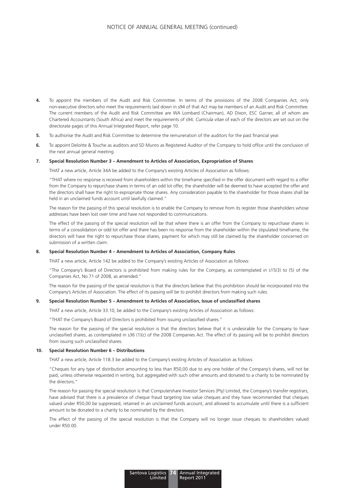- **4.** To appoint the members of the Audit and Risk Committee. In terms of the provisions of the 2008 Companies Act, only non-executive directors who meet the requirements laid down in s94 of that Act may be members of an Audit and Risk Committee. The current members of the Audit and Risk Committee are WA Lombard (Chairman), AD Dixon, ESC Garner, all of whom are Chartered Accountants (South Africa) and meet the requirements of s94. *Curricula vitae* of each of the directors are set out on the directorate pages of this Annual Integrated Report, refer page 10.
- **5.** To authorise the Audit and Risk Committee to determine the remuneration of the auditors for the past financial year.
- **6.** To appoint Deloitte & Touche as auditors and SD Munro as Registered Auditor of the Company to hold office until the conclusion of the next annual general meeting.

## **7. Special Resolution Number 3 – Amendment to Articles of Association, Expropriation of Shares**

THAT a new article, Article 34A be added to the Company's existing Articles of Association as follows:

"THAT where no response is received from shareholders within the timeframe specified in the offer document with regard to a offer from the Company to repurchase shares in terms of an odd lot offer, the shareholder will be deemed to have accepted the offer and the directors shall have the right to expropriate those shares. Any consideration payable to the shareholder for those shares shall be held in an unclaimed funds account until lawfully claimed."

 The reason for the passing of this special resolution is to enable the Company to remove from its register those shareholders whose addresses have been lost over time and have not responded to communications.

 The effect of the passing of the special resolution will be that where there is an offer from the Company to repurchase shares in terms of a consolidation or odd lot offer and there has been no response from the shareholder within the stipulated timeframe, the directors will have the right to repurchase those shares, payment for which may still be claimed by the shareholder concerned on submission of a written claim.

#### **8. Special Resolution Number 4 – Amendment to Articles of Association, Company Rules**

THAT a new article, Article 142 be added to the Company's existing Articles of Association as follows:

 "The Company's Board of Directors is prohibited from making rules for the Company, as contemplated in s15(3) to (5) of the Companies Act, No 71 of 2008, as amended."

 The reason for the passing of the special resolution is that the directors believe that this prohibition should be incorporated into the Company's Articles of Association. The effect of its passing will be to prohibit directors from making such rules.

## 9. Special Resolution Number 5 – Amendment to Articles of Association, Issue of unclassified shares

THAT a new article, Article 33.10, be added to the Company's existing Articles of Association as follows:

"THAT the Company's Board of Directors is prohibited from issuing unclassified shares."

 The reason for the passing of the special resolution is that the directors believe that it is undesirable for the Company to have unclassified shares, as contemplated in s36 (1)(c) of the 2008 Companies Act. The effect of its passing will be to prohibit directors from issuing such unclassified shares.

#### **10. Special Resolution Number 6 – Distributions**

THAT a new article, Article 118.3 be added to the Company's existing Articles of Association as follows:

 "Cheques for any type of distribution amounting to less than R50,00 due to any one holder of the Company's shares, will not be paid, unless otherwise requested in writing, but aggregated with such other amounts and donated to a charity to be nominated by the directors."

 The reason for passing the special resolution is that Computershare Investor Services (Pty) Limited, the Company's transfer registrars, have advised that there is a prevalence of cheque fraud targeting low value cheques and they have recommended that cheques valued under R50,00 be suppressed, retained in an unclaimed funds account, and allowed to accumulate until there is a sufficient amount to be donated to a charity to be nominated by the directors.

 The effect of the passing of the special resolution is that the Company will no longer issue cheques to shareholders valued under R50.00.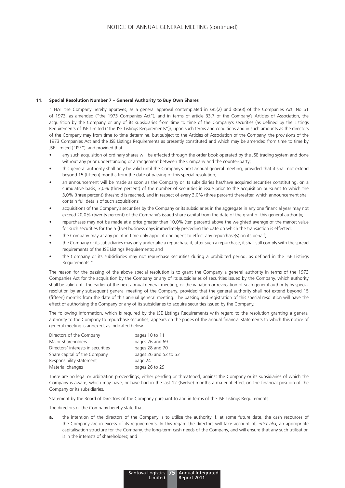## **11. Special Resolution Number 7 – General Authority to Buy Own Shares**

 "THAT the Company hereby approves, as a general approval contemplated in s85(2) and s85(3) of the Companies Act, No 61 of 1973, as amended ("the 1973 Companies Act"), and in terms of article 33.7 of the Company's Articles of Association, the acquisition by the Company or any of its subsidiaries from time to time of the Company's securities (as defined by the Listings Requirements of JSE Limited ("the JSE Listings Requirements")), upon such terms and conditions and in such amounts as the directors of the Company may from time to time determine, but subject to the Articles of Association of the Company, the provisions of the 1973 Companies Act and the JSE Listings Requirements as presently constituted and which may be amended from time to time by JSE Limited ("JSE"), and provided that:

- any such acquisition of ordinary shares will be effected through the order book operated by the JSE trading system and done without any prior understanding or arrangement between the Company and the counter-party;
- this general authority shall only be valid until the Company's next annual general meeting, provided that it shall not extend beyond 15 (fifteen) months from the date of passing of this special resolution;
- an announcement will be made as soon as the Company or its subsidiaries has/have acquired securities constituting, on a cumulative basis, 3,0% (three percent) of the number of securities in issue prior to the acquisition pursuant to which the 3,0% (three percent) threshold is reached, and in respect of every 3,0% (three percent) thereafter, which announcement shall contain full details of such acquisitions;
- acquisitions of the Company's securities by the Company or its subsidiaries in the aggregate in any one financial year may not exceed 20,0% (twenty percent) of the Company's issued share capital from the date of the grant of this general authority;
- repurchases may not be made at a price greater than 10,0% (ten percent) above the weighted average of the market value for such securities for the 5 (five) business days immediately preceding the date on which the transaction is effected;
- the Company may at any point in time only appoint one agent to effect any repurchase(s) on its behalf;
- the Company or its subsidiaries may only undertake a repurchase if, after such a repurchase, it shall still comply with the spread requirements of the JSE Listings Requirements; and
- the Company or its subsidiaries may not repurchase securities during a prohibited period, as defined in the JSE Listings Requirements."

 The reason for the passing of the above special resolution is to grant the Company a general authority in terms of the 1973 Companies Act for the acquisition by the Company or any of its subsidiaries of securities issued by the Company, which authority shall be valid until the earlier of the next annual general meeting, or the variation or revocation of such general authority by special resolution by any subsequent general meeting of the Company; provided that the general authority shall not extend beyond 15 (fifteen) months from the date of this annual general meeting. The passing and registration of this special resolution will have the effect of authorising the Company or any of its subsidiaries to acquire securities issued by the Company.

 The following information, which is required by the JSE Listings Requirements with regard to the resolution granting a general authority to the Company to repurchase securities, appears on the pages of the annual financial statements to which this notice of general meeting is annexed, as indicated below:

| pages 10 to 11        |
|-----------------------|
| pages 26 and 69       |
| pages 28 and 70       |
| pages 26 and 52 to 53 |
| page 24               |
| pages 26 to 29        |
|                       |

 There are no legal or arbitration proceedings, either pending or threatened, against the Company or its subsidiaries of which the Company is aware, which may have, or have had in the last 12 (twelve) months a material effect on the financial position of the Company or its subsidiaries.

Statement by the Board of Directors of the Company pursuant to and in terms of the JSE Listings Requirements:

The directors of the Company hereby state that:

**a.** the intention of the directors of the Company is to utilise the authority if, at some future date, the cash resources of the Company are in excess of its requirements. In this regard the directors will take account of, *inter alia*, an appropriate capitalisation structure for the Company, the long-term cash needs of the Company, and will ensure that any such utilisation is in the interests of shareholders; and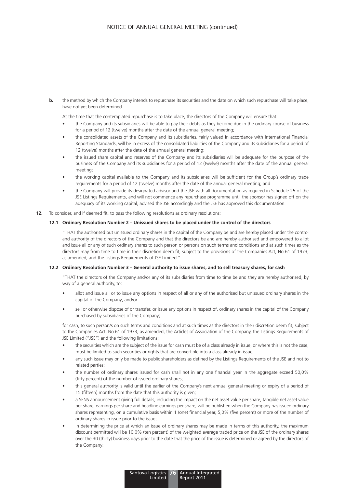## NOTICE OF ANNUAL GENERAL MEETING (continued)

**b.** the method by which the Company intends to repurchase its securities and the date on which such repurchase will take place, have not yet been determined.

At the time that the contemplated repurchase is to take place, the directors of the Company will ensure that:

- the Company and its subsidiaries will be able to pay their debts as they become due in the ordinary course of business for a period of 12 (twelve) months after the date of the annual general meeting;
- the consolidated assets of the Company and its subsidiaries, fairly valued in accordance with International Financial Reporting Standards, will be in excess of the consolidated liabilities of the Company and its subsidiaries for a period of 12 (twelve) months after the date of the annual general meeting;
- the issued share capital and reserves of the Company and its subsidiaries will be adequate for the purpose of the business of the Company and its subsidiaries for a period of 12 (twelve) months after the date of the annual general meeting;
- the working capital available to the Company and its subsidiaries will be sufficient for the Group's ordinary trade requirements for a period of 12 (twelve) months after the date of the annual general meeting; and
- the Company will provide its designated advisor and the JSE with all documentation as required in Schedule 25 of the JSE Listings Requirements, and will not commence any repurchase programme until the sponsor has signed off on the adequacy of its working capital, advised the JSE accordingly and the JSE has approved this documentation.
- 12. To consider, and if deemed fit, to pass the following resolutions as ordinary resolutions:

## **12.1 Ordinary Resolution Number 2 – Unissued shares to be placed under the control of the directors**

 "THAT the authorised but unissued ordinary shares in the capital of the Company be and are hereby placed under the control and authority of the directors of the Company and that the directors be and are hereby authorised and empowered to allot and issue all or any of such ordinary shares to such person or persons on such terms and conditions and at such times as the directors may from time to time in their discretion deem fit, subject to the provisions of the Companies Act, No 61 of 1973, as amended, and the Listings Requirements of JSE Limited."

#### **12.2 Ordinary Resolution Number 3 – General authority to issue shares, and to sell treasury shares, for cash**

 "THAT the directors of the Company and/or any of its subsidiaries from time to time be and they are hereby authorised, by way of a general authority, to:

- allot and issue all or to issue any options in respect of all or any of the authorised but unissued ordinary shares in the capital of the Company; and/or
- sell or otherwise dispose of or transfer, or issue any options in respect of, ordinary shares in the capital of the Company purchased by subsidiaries of the Company;

for cash, to such person/s on such terms and conditions and at such times as the directors in their discretion deem fit, subject to the Companies Act, No 61 of 1973, as amended, the Articles of Association of the Company, the Listings Requirements of JSE Limited ("JSE") and the following limitations:

- the securities which are the subject of the issue for cash must be of a class already in issue, or where this is not the case, must be limited to such securities or rights that are convertible into a class already in issue;
- any such issue may only be made to public shareholders as defined by the Listings Requirements of the JSE and not to related parties;
- the number of ordinary shares issued for cash shall not in any one financial year in the aggregate exceed 50,0% (fifty percent) of the number of issued ordinary shares;
- this general authority is valid until the earlier of the Company's next annual general meeting or expiry of a period of 15 (fifteen) months from the date that this authority is given;
- a SENS announcement giving full details, including the impact on the net asset value per share, tangible net asset value per share, earnings per share and headline earnings per share, will be published when the Company has issued ordinary shares representing, on a cumulative basis within 1 (one) financial year, 5,0% (five percent) or more of the number of ordinary shares in issue prior to the issue;
- in determining the price at which an issue of ordinary shares may be made in terms of this authority, the maximum discount permitted will be 10,0% (ten percent) of the weighted average traded price on the JSE of the ordinary shares over the 30 (thirty) business days prior to the date that the price of the issue is determined or agreed by the directors of the Company;

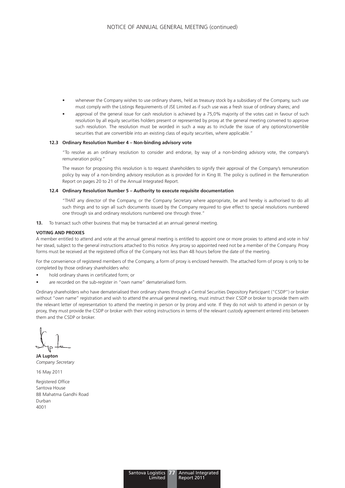- whenever the Company wishes to use ordinary shares, held as treasury stock by a subsidiary of the Company, such use must comply with the Listings Requirements of JSE Limited as if such use was a fresh issue of ordinary shares; and
- approval of the general issue for cash resolution is achieved by a 75,0% majority of the votes cast in favour of such resolution by all equity securities holders present or represented by proxy at the general meeting convened to approve such resolution. The resolution must be worded in such a way as to include the issue of any options/convertible securities that are convertible into an existing class of equity securities, where applicable."

## **12.3 Ordinary Resolution Number 4 – Non-binding advisory vote**

 "To resolve as an ordinary resolution to consider and endorse, by way of a non-binding advisory vote, the company's remuneration policy."

 The reason for proposing this resolution is to request shareholders to signify their approval of the Company's remuneration policy by way of a non-binding advisory resolution as is provided for in King III. The policy is outlined in the Remuneration Report on pages 20 to 21 of the Annual Integrated Report.

## **12.4 Ordinary Resolution Number 5 – Authority to execute requisite documentation**

 "THAT any director of the Company, or the Company Secretary where appropriate, be and hereby is authorised to do all such things and to sign all such documents issued by the Company required to give effect to special resolutions numbered one through six and ordinary resolutions numbered one through three."

**13.** To transact such other business that may be transacted at an annual general meeting.

## **VOTING AND PROXIES**

A member entitled to attend and vote at the annual general meeting is entitled to appoint one or more proxies to attend and vote in his/ her stead, subject to the general instructions attached to this notice. Any proxy so appointed need not be a member of the Company. Proxy forms must be received at the registered office of the Company not less than 48 hours before the date of the meeting.

For the convenience of registered members of the Company, a form of proxy is enclosed herewith. The attached form of proxy is only to be completed by those ordinary shareholders who:

- hold ordinary shares in certificated form; or
- are recorded on the sub-register in "own name" dematerialised form.

Ordinary shareholders who have dematerialised their ordinary shares through a Central Securities Depository Participant ("CSDP") or broker without "own name" registration and wish to attend the annual general meeting, must instruct their CSDP or broker to provide them with the relevant letter of representation to attend the meeting in person or by proxy and vote. If they do not wish to attend in person or by proxy, they must provide the CSDP or broker with their voting instructions in terms of the relevant custody agreement entered into between them and the CSDP or broker.

**JA Lupton** *Company Secretary*

16 May 2011

Registered Office Santova House 88 Mahatma Gandhi Road Durban 4001

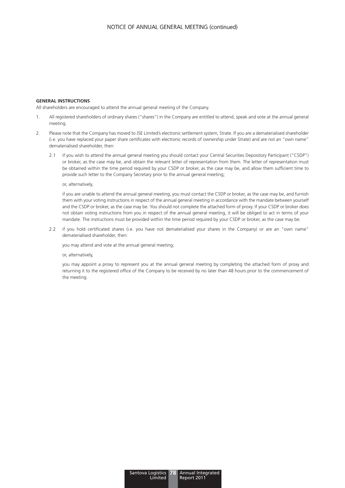## **GENERAL INSTRUCTIONS**

All shareholders are encouraged to attend the annual general meeting of the Company.

- 1. All registered shareholders of ordinary shares ("shares") in the Company are entitled to attend, speak and vote at the annual general meeting.
- 2. Please note that the Company has moved to JSE Limited's electronic settlement system, Strate. If you are a dematerialised shareholder (i.e. you have replaced your paper share certificates with electronic records of ownership under Strate) and are not an "own name" dematerialised shareholder, then:
	- 2.1 if you wish to attend the annual general meeting you should contact your Central Securities Depository Participant ("CSDP") or broker, as the case may be, and obtain the relevant letter of representation from them. The letter of representation must be obtained within the time period required by your CSDP or broker, as the case may be, and allow them sufficient time to provide such letter to the Company Secretary prior to the annual general meeting;

## or, alternatively,

 if you are unable to attend the annual general meeting, you must contact the CSDP or broker, as the case may be, and furnish them with your voting instructions in respect of the annual general meeting in accordance with the mandate between yourself and the CSDP or broker, as the case may be. You should not complete the attached form of proxy. If your CSDP or broker does not obtain voting instructions from you in respect of the annual general meeting, it will be obliged to act in terms of your mandate. The instructions must be provided within the time period required by your CSDP or broker, as the case may be.

2.2 if you hold certificated shares (i.e. you have not dematerialised your shares in the Company) or are an "own name" dematerialised shareholder, then:

you may attend and vote at the annual general meeting;

## or, alternatively,

 you may appoint a proxy to represent you at the annual general meeting by completing the attached form of proxy and returning it to the registered office of the Company to be received by no later than 48 hours prior to the commencement of the meeting.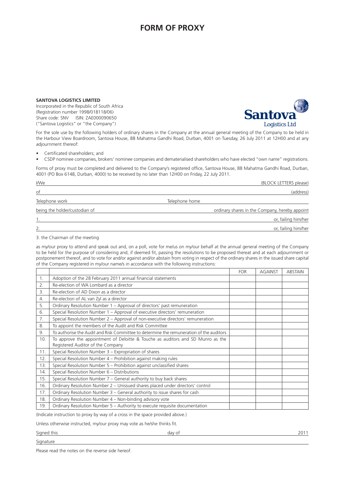# **FORM OF PROXY**

## **SANTOVA LOGISTICS LIMITED**

Incorporated in the Republic of South Africa (Registration number 1998/018118/06) Share code: SNV ISIN: ZAE000090650 ("Santova Logistics" or "the Company")



For the sole use by the following holders of ordinary shares in the Company at the annual general meeting of the Company to be held in the Harbour View Boardroom, Santova House, 88 Mahatma Gandhi Road, Durban, 4001 on Tuesday, 26 July 2011 at 12H00 and at any adjournment thereof:

#### Certificated shareholders; and

• CSDP nominee companies, brokers' nominee companies and dematerialised shareholders who have elected "own name" registrations.

Forms of proxy must be completed and delivered to the Company's registered office, Santova House, 88 Mahatma Gandhi Road, Durban, 4001 (PO Box 6148, Durban, 4000) to be received by no later than 12H00 on Friday, 22 July 2011.

| I/We                          |                | (BLOCK LETTERS please)                         |
|-------------------------------|----------------|------------------------------------------------|
| of                            |                | (address)                                      |
| Telephone work                | Telephone home |                                                |
| being the holder/custodian of |                | ordinary shares in the Company, hereby appoint |
|                               |                | or, failing him/her                            |
|                               |                | or, failing him/her                            |

## 3. the Chairman of the meeting

as my/our proxy to attend and speak out and, on a poll, vote for me/us on my/our behalf at the annual general meeting of the Company to be held for the purpose of considering and, if deemed fit, passing the resolutions to be proposed thereat and at each adjournment or postponement thereof, and to vote for and/or against and/or abstain from voting in respect of the ordinary shares in the issued share capital of the Company registered in my/our name/s in accordance with the following instructions:

|                       |                                                                                         | <b>FOR</b> | <b>AGAINST</b> | <b>ABSTAIN</b> |
|-----------------------|-----------------------------------------------------------------------------------------|------------|----------------|----------------|
| 1.                    | Adoption of the 28 February 2011 annual financial statements                            |            |                |                |
| 2.                    | Re-election of WA Lombard as a director                                                 |            |                |                |
| $\overline{3}$ .      | Re-election of AD Dixon as a director                                                   |            |                |                |
| $\mathcal{A}_{\cdot}$ | Re-election of AL van Zyl as a director                                                 |            |                |                |
| 5.                    | Ordinary Resolution Number 1 - Approval of directors' past remuneration                 |            |                |                |
| 6.                    | Special Resolution Number 1 - Approval of executive directors' remuneration             |            |                |                |
| 7.                    | Special Resolution Number 2 - Approval of non-executive directors' remuneration         |            |                |                |
| 8.                    | To appoint the members of the Audit and Risk Committee                                  |            |                |                |
| 9.                    | To authorise the Audit and Risk Committee to determine the remuneration of the auditors |            |                |                |
| 10.                   | To approve the appointment of Deloitte & Touche as auditors and SD Munro as the         |            |                |                |
|                       | Registered Auditor of the Company                                                       |            |                |                |
| 11.                   | Special Resolution Number 3 - Expropriation of shares                                   |            |                |                |
| 12.                   | Special Resolution Number 4 – Prohibition against making rules                          |            |                |                |
| 13.                   | Special Resolution Number 5 - Prohibition against unclassified shares                   |            |                |                |
| 14.                   | Special Resolution Number 6 - Distributions                                             |            |                |                |
| 15.                   | Special Resolution Number 7 – General authority to buy back shares                      |            |                |                |
| 16.                   | Ordinary Resolution Number 2 - Unissued shares placed under directors' control          |            |                |                |
| 17.                   | Ordinary Resolution Number 3 – General authority to issue shares for cash               |            |                |                |
| 18.                   | Ordinary Resolution Number 4 – Non-binding advisory vote                                |            |                |                |
| 19.                   | Ordinary Resolution Number 5 – Authority to execute requisite documentation             |            |                |                |

(Indicate instruction to proxy by way of a cross in the space provided above.)

Unless otherwise instructed, my/our proxy may vote as he/she thinks fit.

Signed this and 2011 and 2012 and 2012 and 2012 and 2012 and 2012 and 2012 and 2012 and 2012 and 2014 and 2012 Signature

Please read the notes on the reverse side hereof.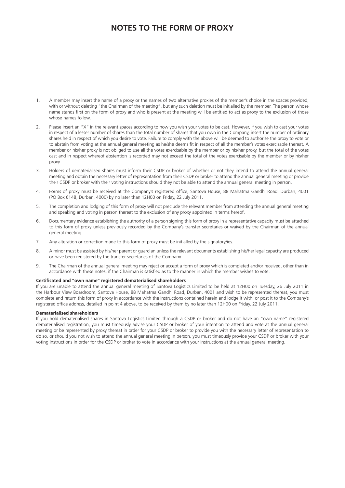# **NOTES TO THE FORM OF PROXY**

- 1. A member may insert the name of a proxy or the names of two alternative proxies of the member's choice in the spaces provided, with or without deleting "the Chairman of the meeting", but any such deletion must be initialled by the member. The person whose name stands first on the form of proxy and who is present at the meeting will be entitled to act as proxy to the exclusion of those whose names follow.
- 2. Please insert an "X" in the relevant spaces according to how you wish your votes to be cast. However, if you wish to cast your votes in respect of a lesser number of shares than the total number of shares that you own in the Company, insert the number of ordinary shares held in respect of which you desire to vote. Failure to comply with the above will be deemed to authorise the proxy to vote or to abstain from voting at the annual general meeting as he/she deems fit in respect of all the member's votes exercisable thereat. A member or his/her proxy is not obliged to use all the votes exercisable by the member or by his/her proxy, but the total of the votes cast and in respect whereof abstention is recorded may not exceed the total of the votes exercisable by the member or by his/her proxy.
- 3. Holders of dematerialised shares must inform their CSDP or broker of whether or not they intend to attend the annual general meeting and obtain the necessary letter of representation from their CSDP or broker to attend the annual general meeting or provide their CSDP or broker with their voting instructions should they not be able to attend the annual general meeting in person.
- 4. Forms of proxy must be received at the Company's registered office, Santova House, 88 Mahatma Gandhi Road, Durban, 4001 (PO Box 6148, Durban, 4000) by no later than 12H00 on Friday, 22 July 2011.
- 5. The completion and lodging of this form of proxy will not preclude the relevant member from attending the annual general meeting and speaking and voting in person thereat to the exclusion of any proxy appointed in terms hereof.
- 6. Documentary evidence establishing the authority of a person signing this form of proxy in a representative capacity must be attached to this form of proxy unless previously recorded by the Company's transfer secretaries or waived by the Chairman of the annual general meeting.
- 7. Any alteration or correction made to this form of proxy must be initialled by the signatory/ies.
- 8. A minor must be assisted by his/her parent or quardian unless the relevant documents establishing his/her legal capacity are produced or have been registered by the transfer secretaries of the Company.
- 9. The Chairman of the annual general meeting may reject or accept a form of proxy which is completed and/or received, other than in accordance with these notes, if the Chairman is satisfied as to the manner in which the member wishes to vote.

## Certificated and "own name" registered dematerialised shareholders

If you are unable to attend the annual general meeting of Santova Logistics Limited to be held at 12H00 on Tuesday, 26 July 2011 in the Harbour View Boardroom, Santova House, 88 Mahatma Gandhi Road, Durban, 4001 and wish to be represented thereat, you must complete and return this form of proxy in accordance with the instructions contained herein and lodge it with, or post it to the Company's registered office address, detailed in point 4 above, to be received by them by no later than 12H00 on Friday, 22 July 2011.

## **Dematerialised shareholders**

If you hold dematerialised shares in Santova Logistics Limited through a CSDP or broker and do not have an "own name" registered dematerialised registration, you must timeously advise your CSDP or broker of your intention to attend and vote at the annual general meeting or be represented by proxy thereat in order for your CSDP or broker to provide you with the necessary letter of representation to do so, or should you not wish to attend the annual general meeting in person, you must timeously provide your CSDP or broker with your voting instructions in order for the CSDP or broker to vote in accordance with your instructions at the annual general meeting.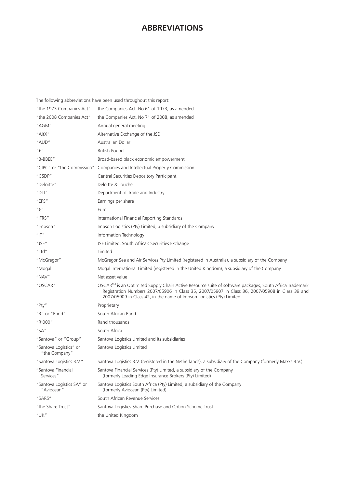# **ABBREVIATIONS**

The following abbreviations have been used throughout this report:

| "the 1973 Companies Act"                | the Companies Act, No 61 of 1973, as amended                                                                                                                                                                                                                                        |
|-----------------------------------------|-------------------------------------------------------------------------------------------------------------------------------------------------------------------------------------------------------------------------------------------------------------------------------------|
| "the 2008 Companies Act"                | the Companies Act, No 71 of 2008, as amended                                                                                                                                                                                                                                        |
| "AGM"                                   | Annual general meeting                                                                                                                                                                                                                                                              |
| "AltX"                                  | Alternative Exchange of the JSE                                                                                                                                                                                                                                                     |
| "AUD"                                   | Australian Dollar                                                                                                                                                                                                                                                                   |
| "f"                                     | <b>British Pound</b>                                                                                                                                                                                                                                                                |
| "B-BBEE"                                | Broad-based black economic empowerment                                                                                                                                                                                                                                              |
|                                         | "CIPC" or "the Commission" Companies and Intellectual Property Commission                                                                                                                                                                                                           |
| "CSDP"                                  | Central Securities Depository Participant                                                                                                                                                                                                                                           |
| "Deloitte"                              | Deloitte & Touche                                                                                                                                                                                                                                                                   |
| "DTI"                                   | Department of Trade and Industry                                                                                                                                                                                                                                                    |
| $"$ EPS $"$                             | Earnings per share                                                                                                                                                                                                                                                                  |
| "€"                                     | Euro                                                                                                                                                                                                                                                                                |
| "IFRS"                                  | International Financial Reporting Standards                                                                                                                                                                                                                                         |
| "Impson"                                | Impson Logistics (Pty) Limited, a subsidiary of the Company                                                                                                                                                                                                                         |
| $"$ $T"$                                | Information Technology                                                                                                                                                                                                                                                              |
| $^{\prime\prime}$ JSE $^{\prime\prime}$ | JSE Limited, South Africa's Securities Exchange                                                                                                                                                                                                                                     |
| "Ltd"                                   | Limited                                                                                                                                                                                                                                                                             |
| "McGregor"                              | McGregor Sea and Air Services Pty Limited (registered in Australia), a subsidiary of the Company                                                                                                                                                                                    |
| "Mogal"                                 | Mogal International Limited (registered in the United Kingdom), a subsidiary of the Company                                                                                                                                                                                         |
| "NAV"                                   | Net asset value                                                                                                                                                                                                                                                                     |
| "OSCAR"                                 | OSCAR™ is an Optimised Supply Chain Active Resource suite of software packages, South Africa Trademark<br>Registration Numbers 2007/05906 in Class 35, 2007/05907 in Class 36, 2007/05908 in Class 39 and<br>2007/05909 in Class 42, in the name of Impson Logistics (Pty) Limited. |
| "Pty"                                   | Proprietary                                                                                                                                                                                                                                                                         |
| "R" or "Rand"                           | South African Rand                                                                                                                                                                                                                                                                  |
| "R'000"                                 | Rand thousands                                                                                                                                                                                                                                                                      |
| "SA"                                    | South Africa                                                                                                                                                                                                                                                                        |
| "Santova" or "Group"                    | Santova Logistics Limited and its subsidiaries                                                                                                                                                                                                                                      |
| "Santova Logistics" or<br>"the Company" | Santova Logistics Limited                                                                                                                                                                                                                                                           |
| "Santova Logistics B.V."                | Santova Logistics B.V. (registered in the Netherlands), a subsidiary of the Company (formerly Maxxs B.V.)                                                                                                                                                                           |
| "Santova Financial<br>Services"         | Santova Financial Services (Pty) Limited, a subsidiary of the Company<br>(formerly Leading Edge Insurance Brokers (Pty) Limited)                                                                                                                                                    |
| "Santova Logistics SA" or<br>"Aviocean" | Santova Logistics South Africa (Pty) Limited, a subsidiary of the Company<br>(formerly Aviocean (Pty) Limited)                                                                                                                                                                      |
| "SARS"                                  | South African Revenue Services                                                                                                                                                                                                                                                      |
| "the Share Trust"                       | Santova Logistics Share Purchase and Option Scheme Trust                                                                                                                                                                                                                            |
| $"$ UK $"$                              | the United Kingdom                                                                                                                                                                                                                                                                  |